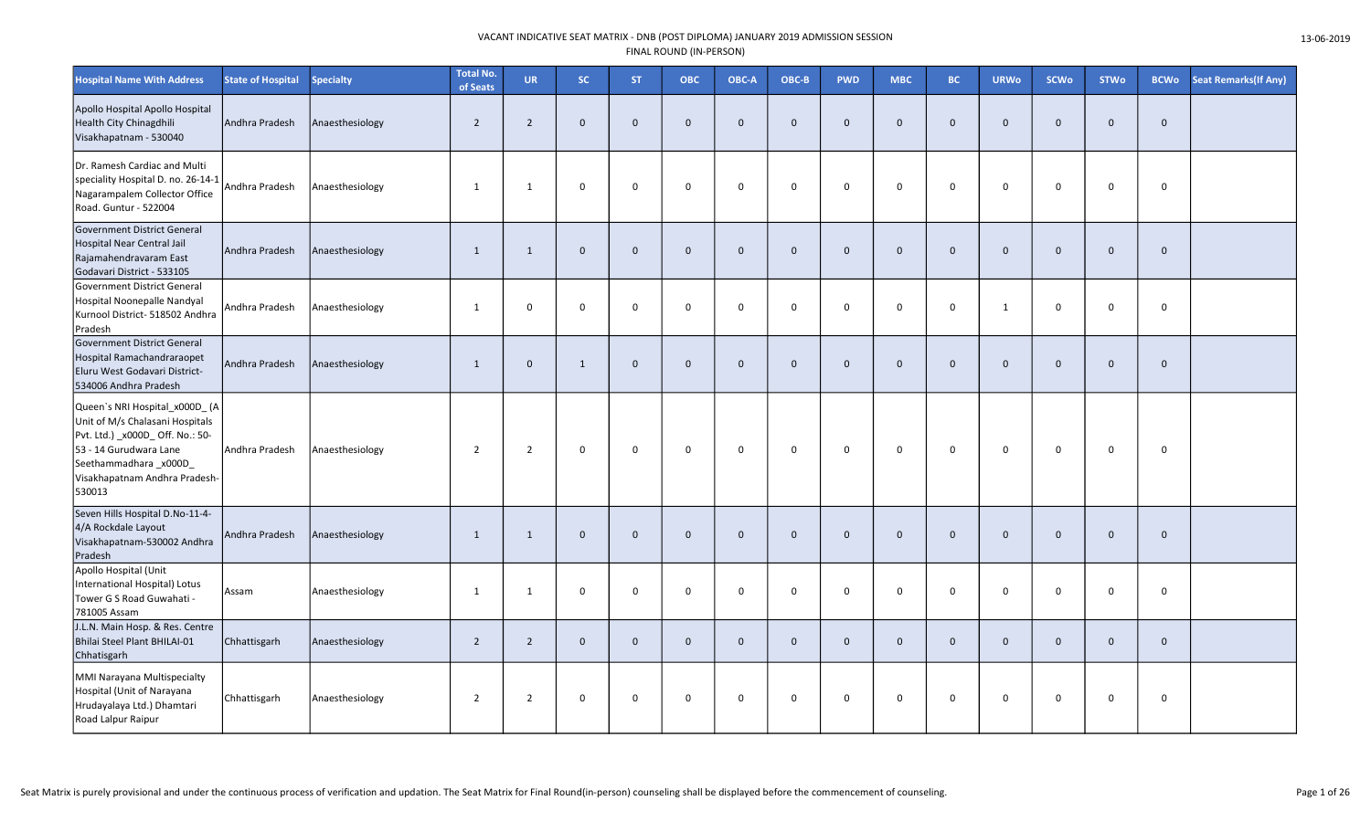| <b>Hospital Name With Address</b>                                                                                                                                                                  | <b>State of Hospital</b> | <b>Specialty</b> | <b>Total No.</b><br>of Seats | <b>UR</b>      | SC.            | <b>ST</b>   | <b>OBC</b>   | OBC-A        | OBC-B        | <b>PWD</b>   | <b>MBC</b>   | BC.            | <b>URWo</b>  | <b>SCWo</b>  | <b>STWo</b>  | <b>BCWo</b> | <b>Seat Remarks (If Any)</b> |
|----------------------------------------------------------------------------------------------------------------------------------------------------------------------------------------------------|--------------------------|------------------|------------------------------|----------------|----------------|-------------|--------------|--------------|--------------|--------------|--------------|----------------|--------------|--------------|--------------|-------------|------------------------------|
| Apollo Hospital Apollo Hospital<br>Health City Chinagdhili<br>Visakhapatnam - 530040                                                                                                               | Andhra Pradesh           | Anaesthesiology  | $\overline{2}$               | $\overline{2}$ | $\mathbf{0}$   | $\mathbf 0$ | $\mathbf{0}$ | $\Omega$     | $\mathbf 0$  | $\mathbf{0}$ | $\mathbf{0}$ | $\overline{0}$ | $\Omega$     | $\mathbf{0}$ | $\mathbf{0}$ | $\mathbf 0$ |                              |
| Dr. Ramesh Cardiac and Multi<br>speciality Hospital D. no. 26-14-1<br>Nagarampalem Collector Office<br>Road. Guntur - 522004                                                                       | Andhra Pradesh           | Anaesthesiology  | 1                            | 1              | $\mathbf 0$    | $\mathbf 0$ | $\Omega$     | $\Omega$     | $\mathbf 0$  | $\mathbf{0}$ | $\mathbf 0$  | $\mathbf 0$    | $\Omega$     | $\Omega$     | $\mathbf 0$  | $\mathsf 0$ |                              |
| Government District General<br><b>Hospital Near Central Jail</b><br>Rajamahendravaram East<br>Godavari District - 533105                                                                           | Andhra Pradesh           | Anaesthesiology  | $\overline{1}$               | $\mathbf{1}$   | $\overline{0}$ | $\mathbf 0$ | $\mathbf{0}$ | $\mathbf{0}$ | $\mathbf 0$  | $\Omega$     | $\mathbf{0}$ | $\overline{0}$ | $\Omega$     | $\mathbf{0}$ | $\mathbf{0}$ | $\mathbf 0$ |                              |
| Government District General<br>Hospital Noonepalle Nandyal<br>Kurnool District- 518502 Andhra<br>Pradesh                                                                                           | Andhra Pradesh           | Anaesthesiology  | $\mathbf{1}$                 | 0              | $\mathbf 0$    | $\mathbf 0$ | $\mathbf 0$  | $\mathbf 0$  | $\mathbf 0$  | 0            | $\mathbf 0$  | $\mathbf 0$    | 1            | $\mathbf 0$  | $\mathbf 0$  | $\mathsf 0$ |                              |
| Government District General<br>Hospital Ramachandraraopet<br>Eluru West Godavari District-<br>534006 Andhra Pradesh                                                                                | Andhra Pradesh           | Anaesthesiology  | $\mathbf{1}$                 | $\mathbf 0$    | $\mathbf{1}$   | $\mathbf 0$ | $\mathbf{0}$ | $\Omega$     | $\mathbf 0$  | $\mathbf{0}$ | $\mathbf{0}$ | $\overline{0}$ | $\mathbf{0}$ | $\mathbf{0}$ | $\mathbf 0$  | $\mathbf 0$ |                              |
| Queen's NRI Hospital x000D (A<br>Unit of M/s Chalasani Hospitals<br>Pvt. Ltd.) _x000D_ Off. No.: 50-<br>53 - 14 Gurudwara Lane<br>Seethammadhara_x000D_<br>Visakhapatnam Andhra Pradesh-<br>530013 | Andhra Pradesh           | Anaesthesiology  | $\overline{2}$               | $\overline{2}$ | $\mathbf 0$    | $\mathbf 0$ | $\mathbf 0$  | $\mathbf 0$  | $\mathbf 0$  | $\mathbf 0$  | 0            | $\mathbf 0$    | $\mathbf 0$  | $\mathbf 0$  | $\mathbf 0$  | $\mathbf 0$ |                              |
| Seven Hills Hospital D.No-11-4-<br>4/A Rockdale Layout<br>Visakhapatnam-530002 Andhra<br>Pradesh                                                                                                   | Andhra Pradesh           | Anaesthesiology  | $\overline{1}$               | $\mathbf{1}$   | $\overline{0}$ | $\mathbf 0$ | $\mathbf{0}$ | $\Omega$     | $\mathbf{0}$ | $\Omega$     | $\mathbf{0}$ | $\overline{0}$ | $\Omega$     | $\mathbf{0}$ | $\mathbf{0}$ | $\mathbf 0$ |                              |
| Apollo Hospital (Unit<br>International Hospital) Lotus<br>Tower G S Road Guwahati -<br>781005 Assam                                                                                                | Assam                    | Anaesthesiology  | -1                           | 1              | $\mathbf 0$    | $\mathbf 0$ | $\mathbf 0$  | $\Omega$     | 0            | $\mathbf 0$  | $\mathsf{O}$ | $\mathbf{0}$   | $\mathbf 0$  | $\mathbf 0$  | $\mathbf 0$  | $\mathsf 0$ |                              |
| J.L.N. Main Hosp. & Res. Centre<br>Bhilai Steel Plant BHILAI-01<br>Chhatisgarh                                                                                                                     | Chhattisgarh             | Anaesthesiology  | $\overline{2}$               | $2^{\circ}$    | $\mathbf{0}$   | $\mathbf 0$ | $\mathbf{0}$ | $\Omega$     | $\mathbf 0$  | $\mathbf{0}$ | $\mathbf 0$  | $\overline{0}$ | $\mathbf{0}$ | $\mathbf 0$  | $\mathbf 0$  | $\mathbf 0$ |                              |
| MMI Narayana Multispecialty<br>Hospital (Unit of Narayana<br>Hrudayalaya Ltd.) Dhamtari<br>Road Lalpur Raipur                                                                                      | Chhattisgarh             | Anaesthesiology  | $\overline{2}$               | $\overline{2}$ | $\mathbf 0$    | $\mathsf 0$ | $\mathbf 0$  | $\mathbf 0$  | $\mathsf{O}$ | $\mathbf 0$  | 0            | $\mathbf 0$    | $\mathbf 0$  | $\mathbf 0$  | $\mathbf 0$  | $\mathbf 0$ |                              |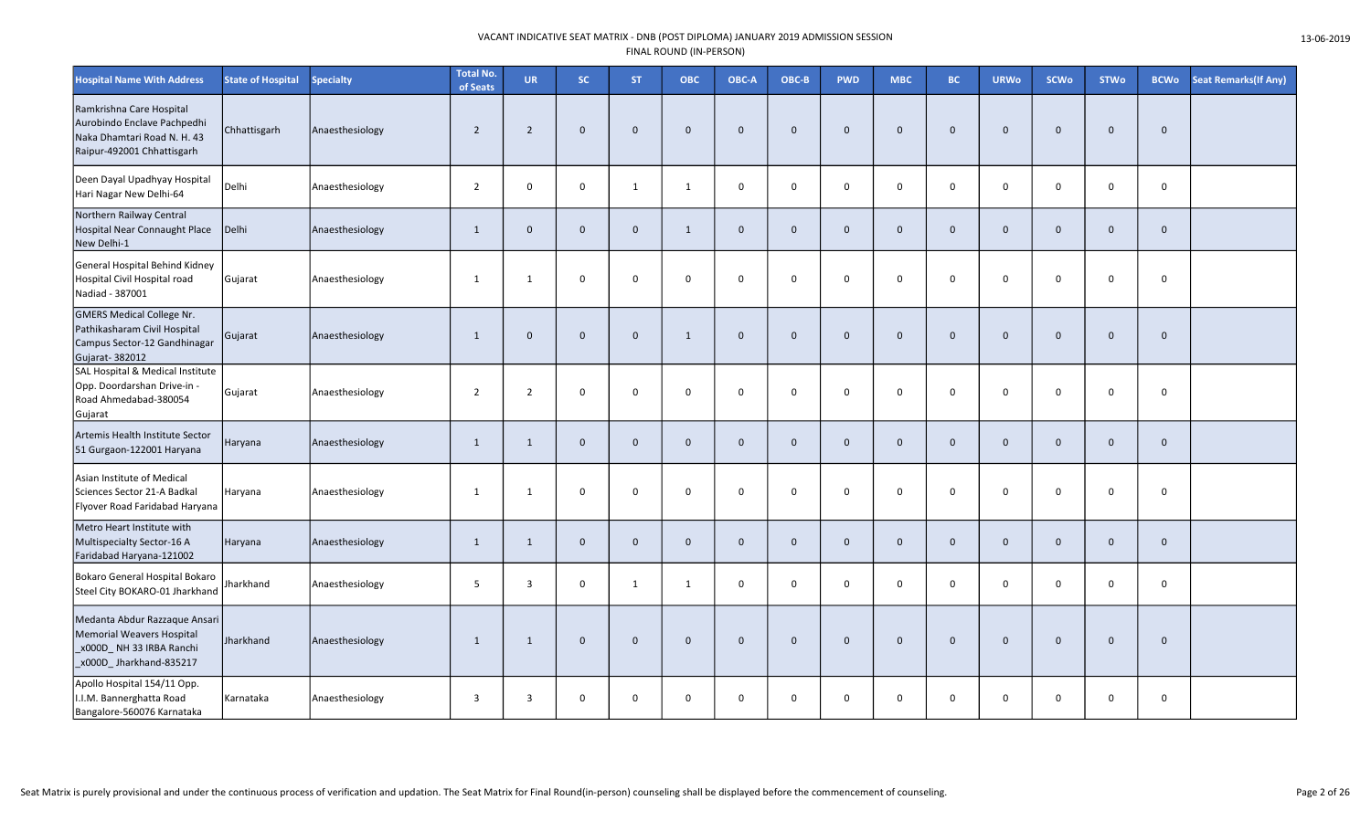| <b>Hospital Name With Address</b>                                                                                    | <b>State of Hospital</b> | <b>Specialty</b> | <b>Total No.</b><br>of Seats | <b>UR</b>      | SC.            | <b>ST</b>    | <b>OBC</b>   | OBC-A        | OBC-B        | <b>PWD</b>   | <b>MBC</b>   | BC.            | <b>URWo</b>    | <b>SCWo</b>  | <b>STWo</b>  | <b>BCWo</b>  | <b>Seat Remarks (If Any)</b> |
|----------------------------------------------------------------------------------------------------------------------|--------------------------|------------------|------------------------------|----------------|----------------|--------------|--------------|--------------|--------------|--------------|--------------|----------------|----------------|--------------|--------------|--------------|------------------------------|
| Ramkrishna Care Hospital<br>Aurobindo Enclave Pachpedhi<br>Naka Dhamtari Road N. H. 43<br>Raipur-492001 Chhattisgarh | Chhattisgarh             | Anaesthesiology  | $\overline{2}$               | $\overline{2}$ | $\mathbf{0}$   | $\mathbf 0$  | $\Omega$     | $\Omega$     | $\mathbf 0$  | $\mathbf 0$  | $\mathbf{0}$ | $\overline{0}$ | $\mathbf{0}$   | $\mathbf{0}$ | $\Omega$     | $\mathbf 0$  |                              |
| Deen Dayal Upadhyay Hospital<br>Hari Nagar New Delhi-64                                                              | Delhi                    | Anaesthesiology  | $\overline{2}$               | 0              | $\mathbf 0$    | 1            | 1            | $\mathbf 0$  | $\mathsf{O}$ | 0            | $\mathbf 0$  | $\mathbf 0$    | 0              | $\mathbf 0$  | $\mathbf 0$  | $\mathbf 0$  |                              |
| Northern Railway Central<br>Hospital Near Connaught Place<br>New Delhi-1                                             | Delhi                    | Anaesthesiology  | $\mathbf{1}$                 | $\mathbf 0$    | $\mathbf{0}$   | $\mathbf{0}$ | 1            | $\mathbf{0}$ | $\mathbf 0$  | $\mathbf{0}$ | $\mathbf{0}$ | $\overline{0}$ | $\overline{0}$ | $\mathbf 0$  | $\mathbf{0}$ | $\mathbf 0$  |                              |
| General Hospital Behind Kidney<br>Hospital Civil Hospital road<br>Nadiad - 387001                                    | Gujarat                  | Anaesthesiology  | 1                            | 1              | $\mathbf 0$    | $\mathbf 0$  | $\mathbf 0$  | $\mathbf 0$  | $\mathbf 0$  | 0            | $\mathbf 0$  | $\overline{0}$ | 0              | $\mathbf 0$  | $\mathbf 0$  | $\mathbf 0$  |                              |
| <b>GMERS Medical College Nr.</b><br>Pathikasharam Civil Hospital<br>Campus Sector-12 Gandhinagar<br>Gujarat-382012   | Gujarat                  | Anaesthesiology  | $\mathbf{1}$                 | $\mathbf 0$    | $\overline{0}$ | $\mathbf 0$  | 1            | $\mathbf{0}$ | $\mathbf 0$  | $\mathbf 0$  | $\mathbf{0}$ | $\overline{0}$ | $\mathbf{0}$   | $\mathbf{0}$ | $\mathbf{0}$ | $\mathbf 0$  |                              |
| SAL Hospital & Medical Institute<br>Opp. Doordarshan Drive-in -<br>Road Ahmedabad-380054<br>Gujarat                  | Gujarat                  | Anaesthesiology  | $\overline{2}$               | $\overline{2}$ | $\mathbf 0$    | $\mathbf 0$  | $\mathbf 0$  | $\Omega$     | $\mathbf 0$  | 0            | $\mathbf 0$  | $\overline{0}$ | 0              | $\mathbf 0$  | $\Omega$     | $\mathsf{O}$ |                              |
| Artemis Health Institute Sector<br>51 Gurgaon-122001 Haryana                                                         | Haryana                  | Anaesthesiology  | $\mathbf{1}$                 | $\mathbf{1}$   | $\mathbf 0$    | $\mathbf{0}$ | $\Omega$     | $\mathbf{0}$ | $\mathbf{0}$ | $\mathbf{0}$ | $\mathbf{0}$ | $\mathbf{0}$   | $\mathbf{0}$   | $\mathbf{0}$ | $\mathbf{0}$ | $\mathbf{0}$ |                              |
| Asian Institute of Medical<br>Sciences Sector 21-A Badkal<br>Flyover Road Faridabad Haryana                          | Haryana                  | Anaesthesiology  | $\mathbf{1}$                 | 1              | $\mathbf 0$    | $\mathbf 0$  | $\mathbf 0$  | $\mathbf 0$  | $\mathsf{O}$ | 0            | $\mathbf 0$  | $\overline{0}$ | $\Omega$       | $\mathbf 0$  | $\mathbf 0$  | $\mathsf{O}$ |                              |
| Metro Heart Institute with<br>Multispecialty Sector-16 A<br>Faridabad Haryana-121002                                 | Haryana                  | Anaesthesiology  | $\mathbf{1}$                 | $\mathbf{1}$   | $\mathbf{0}$   | $\mathbf 0$  | $\mathbf{0}$ | $\mathbf{0}$ | $\mathbf 0$  | $\mathbf 0$  | $\mathbf{0}$ | $\overline{0}$ | $\mathbf{0}$   | $\mathbf 0$  | $\mathbf 0$  | $\mathbf{0}$ |                              |
| Bokaro General Hospital Bokaro<br>Steel City BOKARO-01 Jharkhand                                                     | Jharkhand                | Anaesthesiology  | 5                            | $\overline{3}$ | $\mathbf 0$    | 1            | 1            | $\Omega$     | $\mathbf 0$  | $\Omega$     | $\mathbf 0$  | $\mathbf 0$    | $\Omega$       | $\Omega$     | $\Omega$     | $\mathbf 0$  |                              |
| Medanta Abdur Razzaque Ansari<br>Memorial Weavers Hospital<br>x000D_NH 33 IRBA Ranchi<br>x000D_Jharkhand-835217      | <b>Jharkhand</b>         | Anaesthesiology  | $\mathbf{1}$                 | $\mathbf{1}$   | $\overline{0}$ | $\mathbf 0$  | $\mathbf{0}$ | $\mathbf{0}$ | $\mathbf 0$  | $\mathbf 0$  | $\mathbf{0}$ | $\overline{0}$ | $\Omega$       | $\mathbf{0}$ | $\mathbf{0}$ | $\mathbf 0$  |                              |
| Apollo Hospital 154/11 Opp.<br>I.I.M. Bannerghatta Road<br>Bangalore-560076 Karnataka                                | Karnataka                | Anaesthesiology  | $\overline{3}$               | 3              | $\mathbf 0$    | $\mathbf 0$  | $\mathbf 0$  | $\mathbf 0$  | $\mathbf 0$  | $\mathbf 0$  | 0            | $\mathbf 0$    | $\mathbf 0$    | $\mathbf 0$  | $\mathbf 0$  | $\mathsf{o}$ |                              |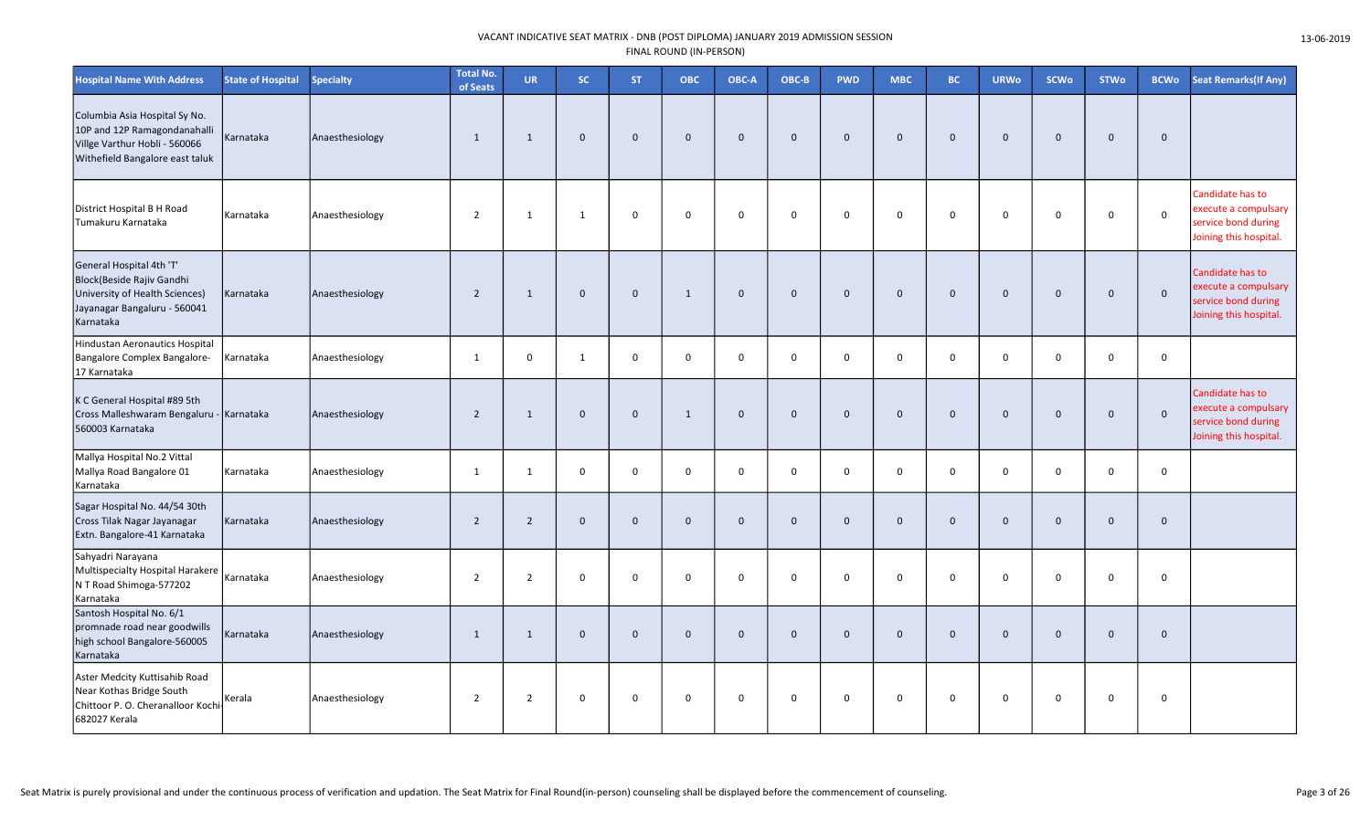| <b>Hospital Name With Address</b>                                                                                                    | <b>State of Hospital</b> | <b>Specialty</b> | <b>Total No.</b><br>of Seats | <b>UR</b>      | SC           | <b>ST</b>    | ОВС          | OBC-A        | OBC-B        | <b>PWD</b>     | <b>MBC</b>  | <b>BC</b>    | <b>URWo</b>  | SCWo         | <b>STWo</b>  | <b>BCWo</b>  | <b>Seat Remarks (If Any)</b>                                                              |
|--------------------------------------------------------------------------------------------------------------------------------------|--------------------------|------------------|------------------------------|----------------|--------------|--------------|--------------|--------------|--------------|----------------|-------------|--------------|--------------|--------------|--------------|--------------|-------------------------------------------------------------------------------------------|
| Columbia Asia Hospital Sy No.<br>10P and 12P Ramagondanahalli<br>Villge Varthur Hobli - 560066<br>Withefield Bangalore east taluk    | Karnataka                | Anaesthesiology  | 1                            | 1              | $\mathbf{0}$ | $\mathbf{0}$ | $\mathbf 0$  | $\mathbf{0}$ | $\mathbf{0}$ | $\overline{0}$ | $\mathbf 0$ | $\mathbf{0}$ | $\mathbf{0}$ | $\mathbf 0$  | $\mathbf 0$  | $\mathbf{0}$ |                                                                                           |
| District Hospital B H Road<br>Tumakuru Karnataka                                                                                     | Karnataka                | Anaesthesiology  | $\overline{2}$               | 1              | 1            | $\mathbf 0$  | $\mathbf 0$  | $\mathbf 0$  | 0            | $\mathbf 0$    | $\Omega$    | $\Omega$     | $\mathbf 0$  | $\mathbf 0$  | $\Omega$     | $\mathsf 0$  | Candidate has to<br>execute a compulsary<br>service bond during<br>Joining this hospital. |
| General Hospital 4th 'T'<br>Block(Beside Rajiv Gandhi<br>University of Health Sciences)<br>Jayanagar Bangaluru - 560041<br>Karnataka | Karnataka                | Anaesthesiology  | $\overline{2}$               | $\mathbf{1}$   | $\mathbf{0}$ | $\Omega$     | $\mathbf{1}$ | $\mathbf{0}$ | $\mathbf{0}$ | $\mathbf{0}$   | $\mathbf 0$ | $\Omega$     | $\Omega$     | $\mathbf{0}$ | $\mathbf 0$  | $\mathbf 0$  | Candidate has to<br>execute a compulsary<br>service bond during<br>Joining this hospital. |
| Hindustan Aeronautics Hospital<br>Bangalore Complex Bangalore-<br>17 Karnataka                                                       | Karnataka                | Anaesthesiology  | 1                            | $\mathbf 0$    | $\mathbf{1}$ | $\mathbf 0$  | $\mathsf 0$  | 0            | 0            | $\mathbf 0$    | $\mathsf 0$ | $\mathbf 0$  | $\Omega$     | $\mathbf 0$  | 0            | 0            |                                                                                           |
| K C General Hospital #89 5th<br>Cross Malleshwaram Bengaluru - Karnataka<br>560003 Karnataka                                         |                          | Anaesthesiology  | $\overline{2}$               | 1              | $\mathbf{0}$ | $\mathbf{0}$ | $\mathbf{1}$ | $\mathbf{0}$ | $\mathbf{0}$ | $\mathbf{0}$   | $\mathbf 0$ | $\mathbf{0}$ | $\mathbf{0}$ | $\mathbf{0}$ | $\Omega$     | $\mathbf 0$  | Candidate has to<br>execute a compulsary<br>service bond during<br>Joining this hospital. |
| Mallya Hospital No.2 Vittal<br>Mallya Road Bangalore 01<br>Karnataka                                                                 | Karnataka                | Anaesthesiology  | 1                            | 1              | $\mathbf 0$  | $\mathbf 0$  | $\mathbf 0$  | $\mathbf 0$  | 0            | $\mathbf 0$    | $\mathbf 0$ | $\Omega$     | $\Omega$     | $\mathbf 0$  | $\mathbf 0$  | $\mathbf 0$  |                                                                                           |
| Sagar Hospital No. 44/54 30th<br>Cross Tilak Nagar Jayanagar<br>Extn. Bangalore-41 Karnataka                                         | Karnataka                | Anaesthesiology  | $\overline{2}$               | $\overline{2}$ | $\mathbf{0}$ | $\mathbf{0}$ | $\mathbf{0}$ | $\Omega$     | $\mathbf{0}$ | $\overline{0}$ | $\mathbf 0$ | $\Omega$     | $\mathbf{0}$ | $\mathbf{0}$ | $\Omega$     | $\mathbf{0}$ |                                                                                           |
| Sahyadri Narayana<br>Multispecialty Hospital Harakere<br>N T Road Shimoga-577202<br>Karnataka                                        | Karnataka                | Anaesthesiology  | $\overline{2}$               | $\overline{2}$ | $\mathbf 0$  | $\mathbf 0$  | $\mathbf 0$  | $\mathbf 0$  | 0            | $\mathbf 0$    | $\Omega$    | $\mathbf 0$  | $\mathbf 0$  | $\mathsf{O}$ | $\mathbf 0$  | $\mathbf 0$  |                                                                                           |
| Santosh Hospital No. 6/1<br>promnade road near goodwills<br>high school Bangalore-560005<br>Karnataka                                | Karnataka                | Anaesthesiology  | $\mathbf{1}$                 | $\mathbf{1}$   | $\mathbf 0$  | $\mathbf 0$  | $\mathbf 0$  | $\mathbf{0}$ | $\mathbf{0}$ | $\mathbf{0}$   | $\mathbf 0$ | $\mathbf 0$  | $\mathbf 0$  | $\mathbf 0$  | $\mathbf{0}$ | $\mathbf 0$  |                                                                                           |
| Aster Medcity Kuttisahib Road<br>Near Kothas Bridge South<br>Chittoor P. O. Cheranalloor Kochi<br>682027 Kerala                      | Kerala                   | Anaesthesiology  | $\overline{2}$               | $\overline{2}$ | $\mathbf 0$  | $\mathbf 0$  | $\mathsf 0$  | $\mathbf 0$  | 0            | $\mathbf 0$    | $\mathbf 0$ | $\mathbf 0$  | $\mathbf 0$  | $\mathsf{O}$ | $\mathsf{o}$ | 0            |                                                                                           |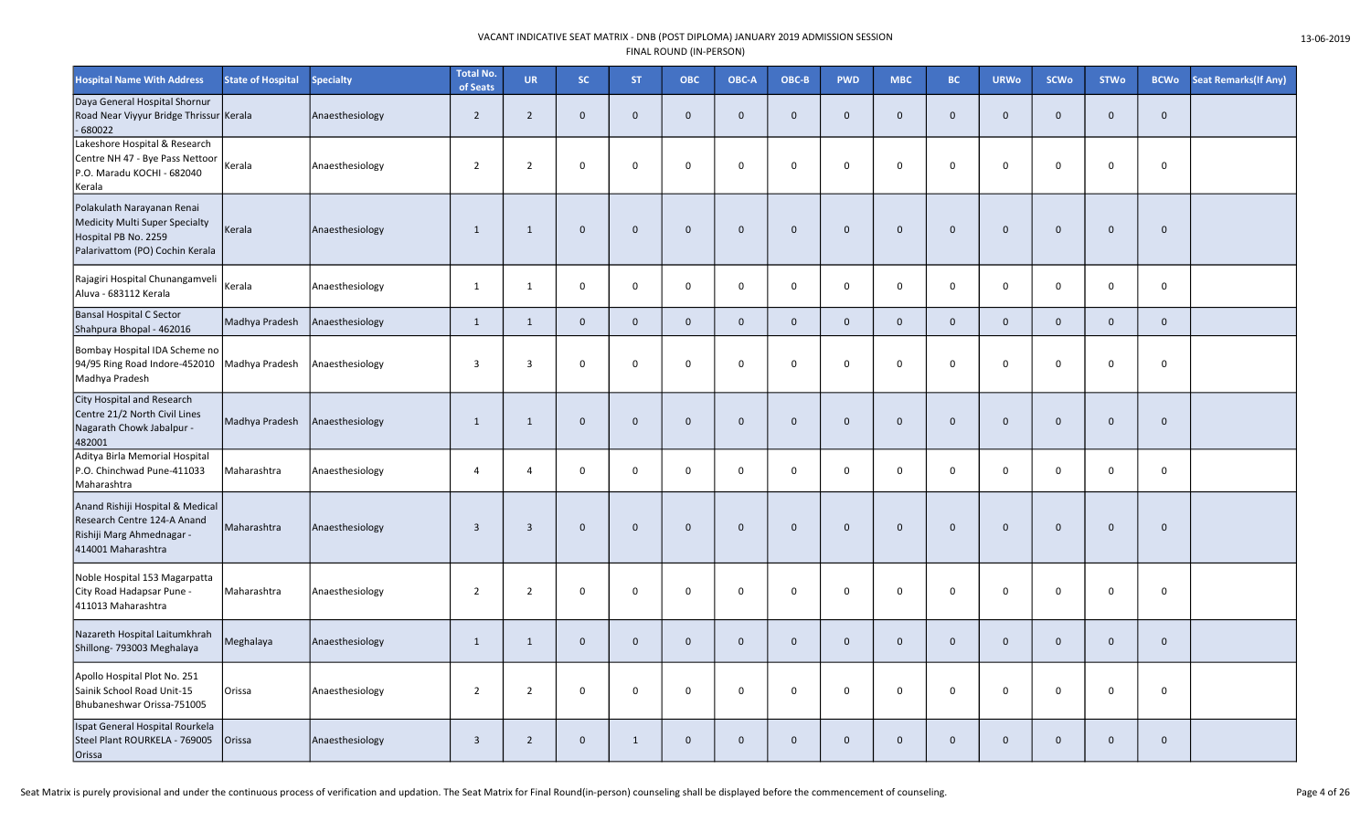| <b>Hospital Name With Address</b>                                                                                       | <b>State of Hospital</b> | <b>Specialty</b> | <b>Total No.</b><br>of Seats | <b>UR</b>      | SC.            | <b>ST</b>      | ОВС          | OBC-A        | OBC-B       | <b>PWD</b>   | <b>MBC</b>     | <b>BC</b>    | <b>URWo</b>  | <b>SCWo</b>    | <b>STWo</b>  | <b>BCWo</b> | <b>Seat Remarks (If Any)</b> |
|-------------------------------------------------------------------------------------------------------------------------|--------------------------|------------------|------------------------------|----------------|----------------|----------------|--------------|--------------|-------------|--------------|----------------|--------------|--------------|----------------|--------------|-------------|------------------------------|
| Daya General Hospital Shornur<br>Road Near Viyyur Bridge Thrissur Kerala<br>680022                                      |                          | Anaesthesiology  | $\overline{2}$               | $2^{\circ}$    | $\mathbf{0}$   | $\mathbf 0$    | $\mathbf{0}$ | $\mathbf{0}$ | $\mathbf 0$ | $\mathbf{0}$ | $\mathbf 0$    | $\Omega$     | $\mathbf 0$  | $\overline{0}$ | $\mathbf{0}$ | $\mathbf 0$ |                              |
| Lakeshore Hospital & Research<br>Centre NH 47 - Bye Pass Nettoor<br>P.O. Maradu KOCHI - 682040<br>Kerala                | Kerala                   | Anaesthesiology  | $\overline{2}$               | $\overline{2}$ | $\mathbf 0$    | $\mathbf 0$    | $\mathbf 0$  | $\mathbf 0$  | $\mathbf 0$ | $\mathbf 0$  | $\mathbf 0$    | 0            | 0            | $\mathbf 0$    | $\mathbf 0$  | $\mathbf 0$ |                              |
| Polakulath Narayanan Renai<br>Medicity Multi Super Specialty<br>Hospital PB No. 2259<br>Palarivattom (PO) Cochin Kerala | Kerala                   | Anaesthesiology  | $\mathbf{1}$                 | $\mathbf{1}$   | $\mathbf 0$    | $\mathbf 0$    | $\mathbf 0$  | $\Omega$     | $\mathbf 0$ | $\mathbf 0$  | $\mathbf 0$    | $\Omega$     | $\mathbf 0$  | $\mathbf 0$    | $\Omega$     | $\mathbf 0$ |                              |
| Rajagiri Hospital Chunangamveli<br>Aluva - 683112 Kerala                                                                | Kerala                   | Anaesthesiology  | $\mathbf{1}$                 | 1              | $\mathbf 0$    | $\mathsf{O}$   | $\mathbf 0$  | $\mathbf 0$  | $\mathsf 0$ | $\mathbf 0$  | $\mathbf 0$    | $\mathbf 0$  | $\mathbf 0$  | $\mathbf 0$    | $\mathsf{O}$ | $\mathbf 0$ |                              |
| Bansal Hospital C Sector<br>Shahpura Bhopal - 462016                                                                    | Madhya Pradesh           | Anaesthesiology  | $\mathbf{1}$                 | $\mathbf{1}$   | $\mathbf{0}$   | $\overline{0}$ | $\mathbf{0}$ | $\mathbf{0}$ | $\mathbf 0$ | $\mathbf 0$  | $\mathbf{0}$   | $\mathbf{0}$ | $\mathbf{0}$ | $\mathbf{0}$   | $\mathbf 0$  | $\mathbf 0$ |                              |
| Bombay Hospital IDA Scheme no<br>94/95 Ring Road Indore-452010<br>Madhya Pradesh                                        | Madhya Pradesh           | Anaesthesiology  | $\overline{3}$               | $\overline{3}$ | $\mathbf 0$    | $\mathbf 0$    | $\mathbf 0$  | $\mathbf 0$  | $\mathsf 0$ | $\mathbf 0$  | $\mathbf 0$    | $\mathbf 0$  | 0            | $\mathbf 0$    | $\mathbf 0$  | $\mathbf 0$ |                              |
| City Hospital and Research<br>Centre 21/2 North Civil Lines<br>Nagarath Chowk Jabalpur -<br>482001                      | Madhya Pradesh           | Anaesthesiology  | $\mathbf{1}$                 | 1              | $\Omega$       | $\mathbf 0$    | $\mathbf 0$  | $\Omega$     | $\mathbf 0$ | $\mathbf 0$  | $\mathbf 0$    | $\Omega$     | $\mathbf 0$  | $\overline{0}$ | $\mathbf 0$  | $\mathbf 0$ |                              |
| Aditya Birla Memorial Hospital<br>P.O. Chinchwad Pune-411033<br>Maharashtra                                             | Maharashtra              | Anaesthesiology  | $\overline{4}$               | $\overline{4}$ | $\mathbf 0$    | $\mathbf 0$    | $\mathbf 0$  | $\mathbf 0$  | $\mathsf 0$ | $\mathbf 0$  | $\mathbf 0$    | $\mathbf 0$  | $\mathbf 0$  | $\mathbf 0$    | $\mathbf 0$  | $\mathbf 0$ |                              |
| Anand Rishiji Hospital & Medical<br>Research Centre 124-A Anand<br>Rishiji Marg Ahmednagar -<br>414001 Maharashtra      | Maharashtra              | Anaesthesiology  | $\overline{\mathbf{3}}$      | $\overline{3}$ | $\mathbf 0$    | $\mathbf 0$    | $\mathbf 0$  | $\mathbf 0$  | $\mathbf 0$ | $\mathbf 0$  | $\mathbf 0$    | $\Omega$     | $\mathbf 0$  | $\overline{0}$ | $\mathbf 0$  | $\mathbf 0$ |                              |
| Noble Hospital 153 Magarpatta<br>City Road Hadapsar Pune -<br>411013 Maharashtra                                        | Maharashtra              | Anaesthesiology  | $\overline{2}$               | $\overline{2}$ | $\mathbf 0$    | $\mathbf 0$    | $\mathbf 0$  | $\mathbf 0$  | $\mathbf 0$ | $\mathbf 0$  | $\mathsf{o}\,$ | 0            | 0            | $\mathbf 0$    | $\mathbf 0$  | $\mathbf 0$ |                              |
| Nazareth Hospital Laitumkhrah<br>Shillong- 793003 Meghalaya                                                             | Meghalaya                | Anaesthesiology  | $\mathbf{1}$                 | $\mathbf{1}$   | $\mathbf 0$    | $\mathbf 0$    | $\mathbf 0$  | $\mathbf{0}$ | $\mathbf 0$ | $\mathbf 0$  | $\mathbf 0$    | $\mathbf{0}$ | $\mathbf 0$  | $\mathbf 0$    | $\mathbf 0$  | $\mathbf 0$ |                              |
| Apollo Hospital Plot No. 251<br>Sainik School Road Unit-15<br>Bhubaneshwar Orissa-751005                                | Orissa                   | Anaesthesiology  | $\overline{2}$               | $\overline{2}$ | $\mathbf 0$    | $\mathbf 0$    | $\mathbf 0$  | $\mathbf 0$  | $\mathsf 0$ | $\mathbf 0$  | $\mathbf 0$    | $\mathbf 0$  | 0            | $\mathbf 0$    | $\mathbf 0$  | $\mathbf 0$ |                              |
| Ispat General Hospital Rourkela<br>Steel Plant ROURKELA - 769005<br>Orissa                                              | Orissa                   | Anaesthesiology  | $\overline{\mathbf{3}}$      | $2^{\circ}$    | $\overline{0}$ | $\mathbf{1}$   | $\Omega$     | $\Omega$     | $\mathbf 0$ | $\mathbf 0$  | $\mathbf 0$    | $\Omega$     | $\mathbf 0$  | $\overline{0}$ | $\mathbf 0$  | $\mathbf 0$ |                              |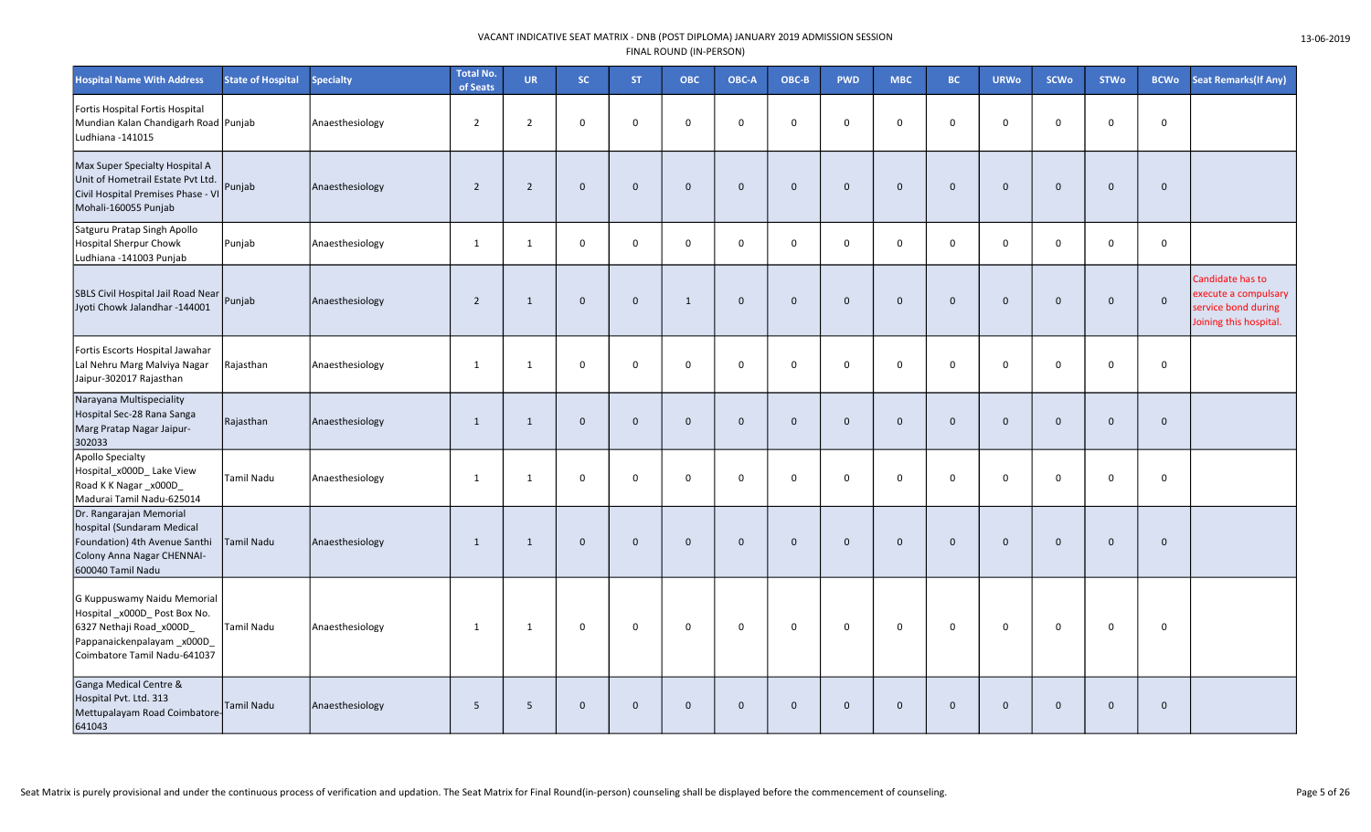| <b>Hospital Name With Address</b>                                                                                                                    | <b>State of Hospital</b> | <b>Specialty</b> | <b>Total No.</b><br>of Seats | <b>UR</b>      | SC.          | <b>ST</b>    | <b>OBC</b>   | OBC-A        | OBC-B        | <b>PWD</b>   | <b>MBC</b>          | BC.            | <b>URWo</b>  | <b>SCWo</b>  | <b>STWo</b>  | <b>BCWo</b>  | <b>Seat Remarks (If Any)</b>                                                              |
|------------------------------------------------------------------------------------------------------------------------------------------------------|--------------------------|------------------|------------------------------|----------------|--------------|--------------|--------------|--------------|--------------|--------------|---------------------|----------------|--------------|--------------|--------------|--------------|-------------------------------------------------------------------------------------------|
| Fortis Hospital Fortis Hospital<br>Mundian Kalan Chandigarh Road Punjab<br>Ludhiana - 141015                                                         |                          | Anaesthesiology  | $\overline{2}$               | $\overline{2}$ | $\mathbf 0$  | $\mathbf 0$  | $\mathbf 0$  | $\mathbf 0$  | 0            | 0            | $\mathbf 0$         | $\mathbf 0$    | $\mathbf 0$  | $\mathbf 0$  | 0            | 0            |                                                                                           |
| Max Super Specialty Hospital A<br>Unit of Hometrail Estate Pvt Ltd.<br>Civil Hospital Premises Phase - VI<br>Mohali-160055 Punjab                    | Punjab                   | Anaesthesiology  | $\overline{2}$               | $\overline{2}$ | $\mathbf 0$  | $\mathbf{0}$ | $\mathbf{0}$ | $\mathbf 0$  | $\Omega$     | $\mathbf{0}$ | $\mathbf 0$         | $\mathbf{0}$   | $\mathbf{0}$ | $\mathbf 0$  | $\mathbf{0}$ | $\mathbf 0$  |                                                                                           |
| Satguru Pratap Singh Apollo<br>Hospital Sherpur Chowk<br>Ludhiana -141003 Punjab                                                                     | Punjab                   | Anaesthesiology  | 1                            | $\mathbf{1}$   | $\mathsf 0$  | $\mathsf 0$  | $\mathbf 0$  | $\mathbf 0$  | 0            | $\mathbf 0$  | $\mathbf 0$         | $\mathsf 0$    | $\mathsf{O}$ | $\mathbf 0$  | $\mathsf{O}$ | $\mathsf{O}$ |                                                                                           |
| SBLS Civil Hospital Jail Road Near<br>Jyoti Chowk Jalandhar -144001                                                                                  | Punjab                   | Anaesthesiology  | $\overline{2}$               | $\mathbf{1}$   | $\mathbf 0$  | $\mathbf{0}$ | 1            | $\mathbf 0$  | $\mathbf{0}$ | $\mathbf{0}$ | $\mathbf 0$         | $\mathbf{0}$   | $\mathbf{0}$ | $\mathbf 0$  | $\mathbf{0}$ | $\mathbf 0$  | Candidate has to<br>execute a compulsary<br>service bond during<br>Joining this hospital. |
| Fortis Escorts Hospital Jawahar<br>Lal Nehru Marg Malviya Nagar<br>Jaipur-302017 Rajasthan                                                           | Rajasthan                | Anaesthesiology  | 1                            | $\mathbf{1}$   | $\mathbf 0$  | $\mathbf 0$  | $\mathbf 0$  | $\mathbf 0$  | 0            | $\mathbf 0$  | $\mathbf 0$         | $\mathbf 0$    | $\mathbf 0$  | $\mathbf 0$  | 0            | 0            |                                                                                           |
| Narayana Multispeciality<br>Hospital Sec-28 Rana Sanga<br>Marg Pratap Nagar Jaipur-<br>302033                                                        | Rajasthan                | Anaesthesiology  | 1                            | $\mathbf{1}$   | $\mathbf 0$  | $\mathbf{0}$ | $\mathbf 0$  | $\mathbf 0$  | $\mathbf 0$  | $\mathbf{0}$ | $\mathsf{O}\xspace$ | $\overline{0}$ | $\mathbf{0}$ | $\mathbf 0$  | $\mathbf 0$  | $\mathbf{0}$ |                                                                                           |
| Apollo Specialty<br>Hospital_x000D_ Lake View<br>Road K K Nagar _x000D<br>Madurai Tamil Nadu-625014                                                  | <b>Tamil Nadu</b>        | Anaesthesiology  | 1                            | $\mathbf{1}$   | $\mathbf 0$  | $\Omega$     | $\mathbf 0$  | $\mathbf 0$  | $\mathbf 0$  | $\mathbf 0$  | $\mathbf 0$         | $\mathbf 0$    | $\mathbf 0$  | $\mathbf 0$  | $\mathbf 0$  | $\mathbf 0$  |                                                                                           |
| Dr. Rangarajan Memorial<br>hospital (Sundaram Medical<br>Foundation) 4th Avenue Santhi<br>Colony Anna Nagar CHENNAI-<br>600040 Tamil Nadu            | <b>Tamil Nadu</b>        | Anaesthesiology  | $\mathbf{1}$                 | $\mathbf{1}$   | $\mathbf{0}$ | $\Omega$     | $\Omega$     | $\mathbf{0}$ | $\mathbf{0}$ | $\mathbf{0}$ | $\mathbf{0}$        | $\overline{0}$ | $\Omega$     | $\mathbf{0}$ | $\mathbf{0}$ | $\mathbf{0}$ |                                                                                           |
| G Kuppuswamy Naidu Memorial<br>Hospital_x000D_Post Box No.<br>6327 Nethaji Road x000D<br>Pappanaickenpalayam _x000D_<br>Coimbatore Tamil Nadu-641037 | <b>Tamil Nadu</b>        | Anaesthesiology  | 1                            | $\mathbf{1}$   | $\mathbf 0$  | $\mathbf 0$  | $\mathbf 0$  | $\mathbf 0$  | 0            | $\mathbf 0$  | $\mathsf 0$         | $\overline{0}$ | $\mathbf 0$  | $\mathbf 0$  | $\mathbf 0$  | 0            |                                                                                           |
| Ganga Medical Centre &<br>Hospital Pvt. Ltd. 313<br>Mettupalayam Road Coimbatore<br>641043                                                           | <b>Tamil Nadu</b>        | Anaesthesiology  | 5                            | 5              | $\mathbf 0$  | $\mathbf 0$  | $\mathbf 0$  | $\mathbf 0$  | $\mathbf 0$  | $\mathbf 0$  | $\mathbf 0$         | $\mathbf 0$    | $\mathbf{0}$ | $\mathbf 0$  | $\mathbf{0}$ | $\mathbf 0$  |                                                                                           |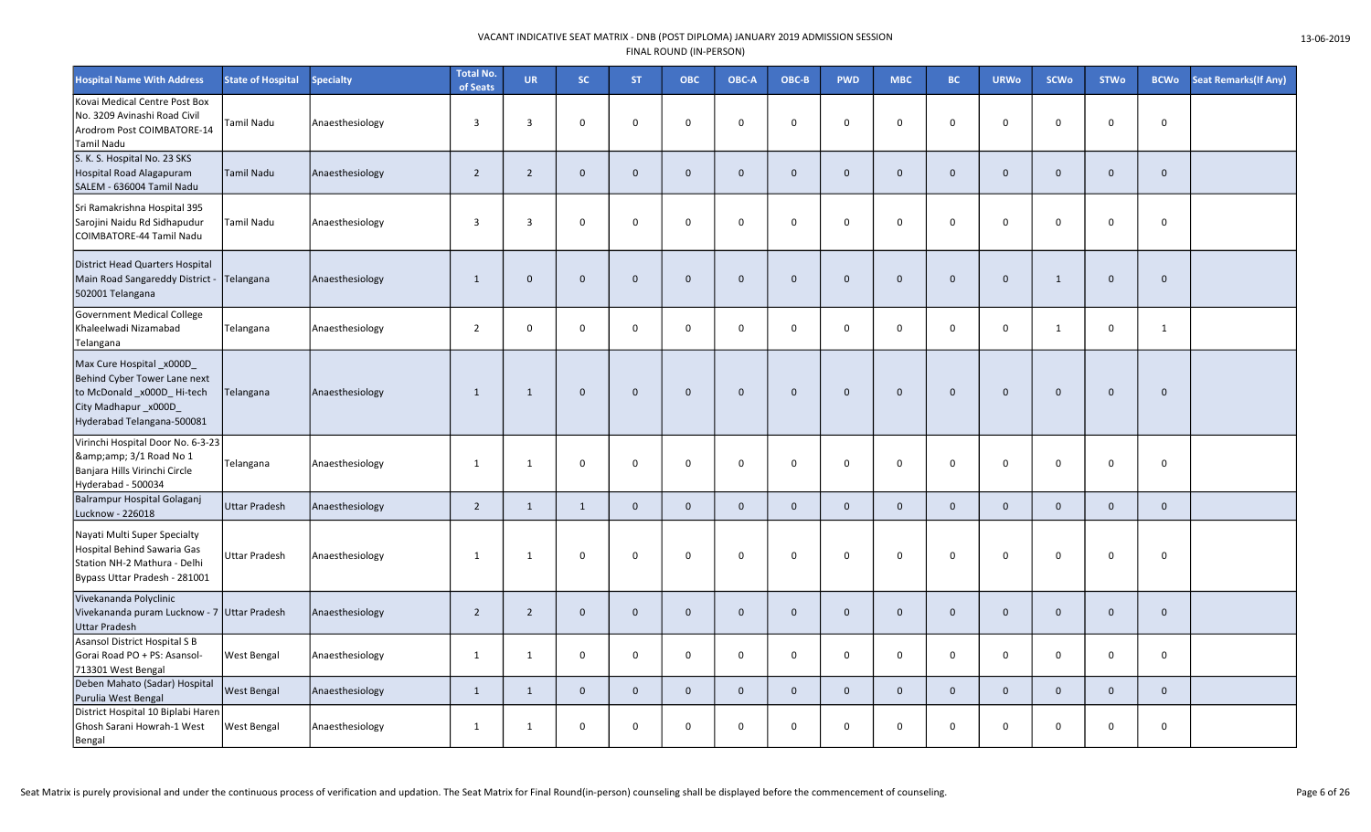| <b>Hospital Name With Address</b>                                                                                                              | <b>State of Hospital</b> | <b>Specialty</b> | <b>Total No.</b><br>of Seats | <b>UR</b>      | SC.          | <b>ST</b>    | <b>OBC</b>     | OBC-A        | OBC-B        | <b>PWD</b>   | <b>MBC</b>   | BC.            | <b>URWo</b>  | <b>SCWo</b>  | <b>STWo</b>  | <b>BCWo</b>  | <b>Seat Remarks (If Any)</b> |
|------------------------------------------------------------------------------------------------------------------------------------------------|--------------------------|------------------|------------------------------|----------------|--------------|--------------|----------------|--------------|--------------|--------------|--------------|----------------|--------------|--------------|--------------|--------------|------------------------------|
| Kovai Medical Centre Post Box<br>No. 3209 Avinashi Road Civil<br>Arodrom Post COIMBATORE-14<br>Tamil Nadu                                      | Tamil Nadu               | Anaesthesiology  | $\overline{3}$               | 3              | $\mathsf 0$  | $\Omega$     | $\Omega$       | $\mathbf 0$  | $\mathbf 0$  | 0            | 0            | $\mathbf 0$    | $\Omega$     | $\mathbf 0$  | $\Omega$     | $\mathsf 0$  |                              |
| S. K. S. Hospital No. 23 SKS<br>Hospital Road Alagapuram<br>SALEM - 636004 Tamil Nadu                                                          | <b>Tamil Nadu</b>        | Anaesthesiology  | $\overline{2}$               | $\overline{2}$ | $\mathbf 0$  | $\mathbf{0}$ | $\mathbf{0}$   | $\mathbf{0}$ | $\mathbf{0}$ | $\mathbf{0}$ | $\mathbf{0}$ | $\mathbf 0$    | $\mathbf{0}$ | $\mathbf 0$  | $\mathbf{0}$ | $\mathbf{0}$ |                              |
| Sri Ramakrishna Hospital 395<br>Sarojini Naidu Rd Sidhapudur<br>COIMBATORE-44 Tamil Nadu                                                       | Tamil Nadu               | Anaesthesiology  | $\overline{3}$               | 3              | $\mathbf 0$  | $\mathbf 0$  | $\mathbf 0$    | $\mathbf 0$  | $\mathbf 0$  | 0            | $\mathbf 0$  | $\mathbf{0}$   | $\Omega$     | $\mathbf 0$  | $\mathbf 0$  | $\mathbf 0$  |                              |
| District Head Quarters Hospital<br>Main Road Sangareddy District -<br>502001 Telangana                                                         | Telangana                | Anaesthesiology  | $\mathbf{1}$                 | $\mathbf{0}$   | $\mathbf 0$  | $\Omega$     | $\overline{0}$ | $\Omega$     | $\mathbf 0$  | $\mathbf 0$  | $\mathbf{0}$ | $\overline{0}$ | $\Omega$     | 1            | $\mathbf{0}$ | $\mathbf 0$  |                              |
| Government Medical College<br>Khaleelwadi Nizamabad<br>Telangana                                                                               | Telangana                | Anaesthesiology  | $\overline{2}$               | 0              | $\mathbf 0$  | $\mathbf 0$  | $\mathbf 0$    | $\mathbf 0$  | $\mathsf{O}$ | 0            | $\mathbf 0$  | $\mathbf 0$    | $\mathsf{O}$ | 1            | $\mathbf 0$  | $\mathbf{1}$ |                              |
| Max Cure Hospital _x000D_<br>Behind Cyber Tower Lane next<br>to McDonald _x000D _Hi-tech<br>City Madhapur_x000D_<br>Hyderabad Telangana-500081 | Telangana                | Anaesthesiology  | $\overline{1}$               | $\mathbf{1}$   | $\mathbf 0$  | $\mathbf{0}$ | $\mathbf{0}$   | $\mathbf{0}$ | $\mathbf 0$  | $\mathbf 0$  | $\mathbf 0$  | $\mathbf 0$    | $\mathbf{0}$ | $\mathbf{0}$ | $\mathbf{0}$ | $\mathbf 0$  |                              |
| Virinchi Hospital Door No. 6-3-23<br>& 3/1 Road No 1<br>Banjara Hills Virinchi Circle<br>Hyderabad - 500034                                    | Telangana                | Anaesthesiology  | 1                            | 1              | $\mathbf 0$  | $\mathbf 0$  | $\Omega$       | $\mathbf 0$  | $\mathbf 0$  | $\Omega$     | $\mathsf 0$  | $\mathbf 0$    | $\Omega$     | $\Omega$     | 0            | $\mathsf 0$  |                              |
| Balrampur Hospital Golaganj<br>Lucknow - 226018                                                                                                | <b>Uttar Pradesh</b>     | Anaesthesiology  | $\overline{2}$               | $\mathbf{1}$   | $\mathbf{1}$ | $\mathbf 0$  | $\mathbf 0$    | $\mathbf 0$  | $\mathbf 0$  | $\mathbf 0$  | $\mathbf{0}$ | $\mathbf 0$    | $\mathbf{0}$ | $\mathbf 0$  | $\mathbf 0$  | $\mathbf 0$  |                              |
| Nayati Multi Super Specialty<br>Hospital Behind Sawaria Gas<br>Station NH-2 Mathura - Delhi<br>Bypass Uttar Pradesh - 281001                   | <b>Uttar Pradesh</b>     | Anaesthesiology  | -1                           | 1              | $\mathbf 0$  | $\mathbf 0$  | $\Omega$       | $\mathbf 0$  | 0            | $\mathbf 0$  | $\mathbf 0$  | $\overline{0}$ | $\Omega$     | $\mathbf 0$  | $\mathbf 0$  | 0            |                              |
| Vivekananda Polyclinic<br>Vivekananda puram Lucknow - 7 Uttar Pradesh<br>Uttar Pradesh                                                         |                          | Anaesthesiology  | $\overline{2}$               | $\overline{2}$ | $\mathbf 0$  | $\mathbf 0$  | $\mathbf 0$    | $\mathbf 0$  | $\mathbf 0$  | $\mathbf 0$  | $\mathbf 0$  | $\mathbf 0$    | $\mathbf{0}$ | $\mathbf 0$  | $\mathbf 0$  | $\mathbf 0$  |                              |
| Asansol District Hospital S B<br>Gorai Road PO + PS: Asansol-<br>713301 West Bengal                                                            | West Bengal              | Anaesthesiology  | $\mathbf{1}$                 | $\mathbf{1}$   | $\mathbf 0$  | $\mathbf 0$  | $\mathbf 0$    | $\mathbf 0$  | $\mathsf{O}$ | 0            | 0            | $\mathbf 0$    | 0            | $\mathbf 0$  | $\mathbf 0$  | 0            |                              |
| Deben Mahato (Sadar) Hospital<br>Purulia West Bengal                                                                                           | West Bengal              | Anaesthesiology  | 1                            | $\mathbf{1}$   | $\mathbf 0$  | $\mathbf 0$  | $\mathbf{0}$   | $\mathbf{0}$ | $\mathbf{0}$ | $\mathbf 0$  | $\mathbf{0}$ | $\overline{0}$ | $\mathbf{0}$ | $\mathbf{0}$ | $\mathbf{0}$ | $\mathbf 0$  |                              |
| District Hospital 10 Biplabi Haren<br>Ghosh Sarani Howrah-1 West<br>Bengal                                                                     | West Bengal              | Anaesthesiology  | -1                           | $\mathbf{1}$   | $\mathsf 0$  | $\mathbf 0$  | $\mathbf 0$    | $\mathbf 0$  | $\mathsf{O}$ | 0            | 0            | $\mathbf 0$    | 0            | $\mathbf 0$  | $\mathbf 0$  | 0            |                              |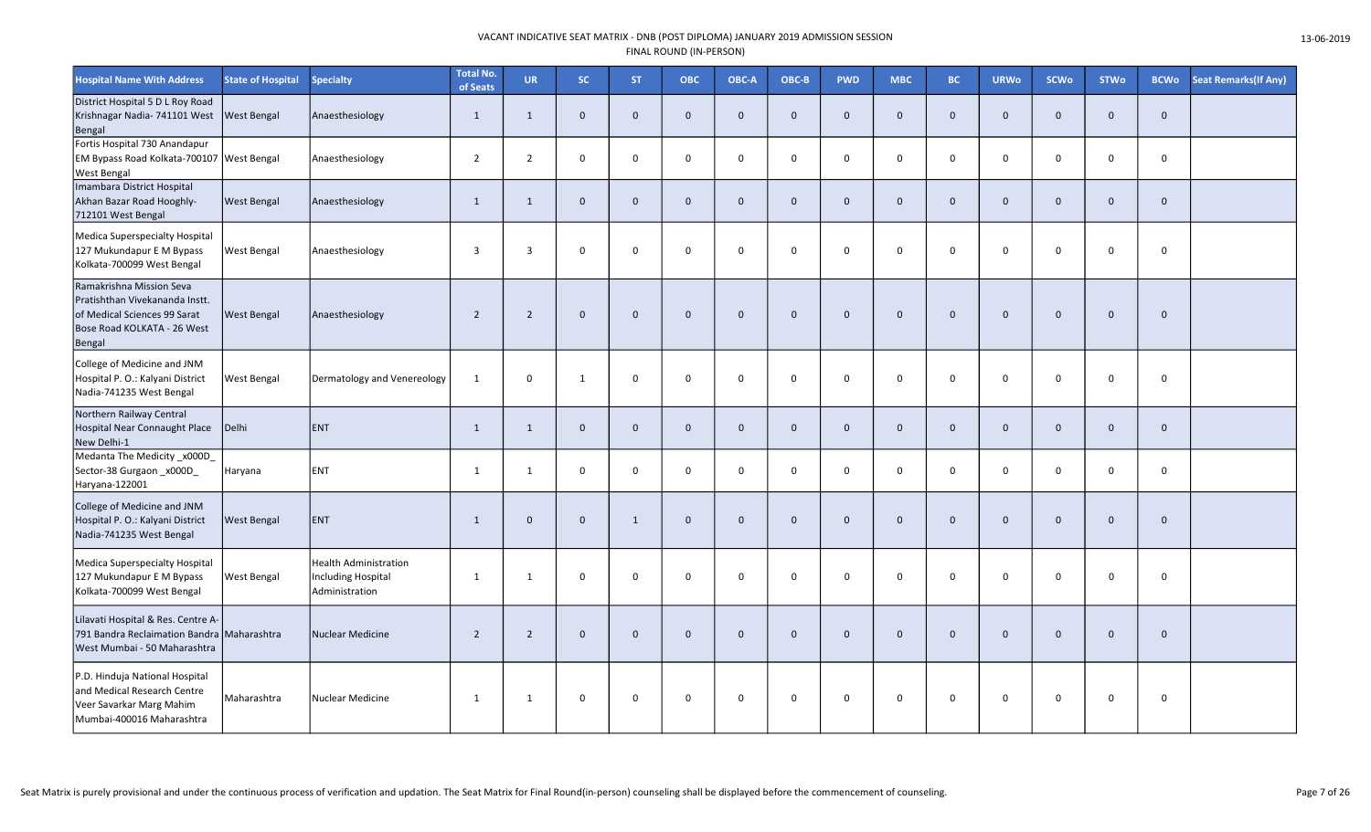| <b>Hospital Name With Address</b>                                                                                                   | <b>State of Hospital</b> | <b>Specialty</b>                                                            | <b>Total No.</b><br>of Seats | <b>UR</b>      | SC             | <b>ST</b>    | ОВС          | OBC-A        | OBC-B       | <b>PWD</b>   | <b>MBC</b>          | <b>BC</b>   | <b>URWo</b>  | <b>SCWo</b>    | <b>STWo</b>  | <b>BCWo</b>  | <b>Seat Remarks (If Any)</b> |
|-------------------------------------------------------------------------------------------------------------------------------------|--------------------------|-----------------------------------------------------------------------------|------------------------------|----------------|----------------|--------------|--------------|--------------|-------------|--------------|---------------------|-------------|--------------|----------------|--------------|--------------|------------------------------|
| District Hospital 5 D L Roy Road<br>Krishnagar Nadia- 741101 West<br>Bengal                                                         | West Bengal              | Anaesthesiology                                                             | $\mathbf{1}$                 | $\mathbf{1}$   | $\mathbf 0$    | $\mathbf 0$  | $\mathbf 0$  | $\Omega$     | $\mathbf 0$ | $\mathbf 0$  | $\mathbf 0$         | $\Omega$    | $\mathbf 0$  | $\mathbf 0$    | $\mathbf 0$  | $\mathbf 0$  |                              |
| Fortis Hospital 730 Anandapur<br>EM Bypass Road Kolkata-700107<br><b>West Bengal</b>                                                | <b>West Bengal</b>       | Anaesthesiology                                                             | $\overline{2}$               | $\overline{2}$ | $\mathbf 0$    | $\mathbf 0$  | $\mathbf 0$  | $\mathbf 0$  | $\mathsf 0$ | $\mathbf 0$  | $\mathsf{O}\xspace$ | $\mathbf 0$ | 0            | $\mathbf 0$    | $\mathbf 0$  | $\mathbf 0$  |                              |
| Imambara District Hospital<br>Akhan Bazar Road Hooghly-<br>712101 West Bengal                                                       | West Bengal              | Anaesthesiology                                                             | 1                            | 1              | $\mathbf 0$    | $\mathbf 0$  | $\mathbf{0}$ | $\mathbf{0}$ | $\mathbf 0$ | $\mathbf{0}$ | $\mathbf 0$         | $\Omega$    | $\mathbf 0$  | $\mathbf 0$    | $\mathbf 0$  | $\mathbf{0}$ |                              |
| Medica Superspecialty Hospital<br>127 Mukundapur E M Bypass<br>Kolkata-700099 West Bengal                                           | West Bengal              | Anaesthesiology                                                             | $\overline{3}$               | $\overline{3}$ | $\mathbf 0$    | $\Omega$     | $\Omega$     | $\Omega$     | $\mathbf 0$ | $\mathbf 0$  | $\mathbf 0$         | $\Omega$    | $\mathbf 0$  | $\mathbf 0$    | $\Omega$     | $\mathbf 0$  |                              |
| Ramakrishna Mission Seva<br>Pratishthan Vivekananda Instt.<br>of Medical Sciences 99 Sarat<br>Bose Road KOLKATA - 26 West<br>Bengal | <b>West Bengal</b>       | Anaesthesiology                                                             | $\overline{2}$               | $\overline{2}$ | $\mathbf{0}$   | $\mathbf 0$  | $\Omega$     | $\mathbf{0}$ | $\mathbf 0$ | $\mathbf 0$  | $\mathbf 0$         | $\Omega$    | $\mathbf 0$  | $\overline{0}$ | $\mathbf{0}$ | $\mathbf 0$  |                              |
| College of Medicine and JNM<br>Hospital P. O.: Kalyani District<br>Nadia-741235 West Bengal                                         | West Bengal              | Dermatology and Venereology                                                 | $\mathbf{1}$                 | $\mathbf 0$    | $\mathbf{1}$   | $\mathbf 0$  | $\mathbf 0$  | $\mathbf 0$  | $\mathbf 0$ | $\mathbf 0$  | $\mathbf 0$         | $\mathbf 0$ | $\mathbf 0$  | $\mathbf 0$    | $\Omega$     | $\mathbf 0$  |                              |
| Northern Railway Central<br>Hospital Near Connaught Place<br>New Delhi-1                                                            | Delhi                    | ENT                                                                         | $\mathbf{1}$                 | 1              | $\mathbf 0$    | $\mathbf 0$  | $\mathbf{0}$ | $\Omega$     | $\mathbf 0$ | $\mathbf{0}$ | $\mathbf 0$         | $\Omega$    | $\mathbf{0}$ | $\mathbf 0$    | $\mathbf 0$  | $\mathbf 0$  |                              |
| Medanta The Medicity x000D<br>Sector-38 Gurgaon _x000D<br>Haryana-122001                                                            | Haryana                  | <b>ENT</b>                                                                  | $\mathbf{1}$                 | 1              | $\mathbf 0$    | $\mathbf 0$  | $\Omega$     | $\Omega$     | $\mathbf 0$ | $\Omega$     | $\mathbf 0$         | $\Omega$    | $\mathbf 0$  | $\mathbf 0$    | $\mathbf 0$  | $\Omega$     |                              |
| College of Medicine and JNM<br>Hospital P. O.: Kalyani District<br>Nadia-741235 West Bengal                                         | West Bengal              | ENT                                                                         | $\mathbf{1}$                 | $\mathbf 0$    | $\overline{0}$ | $\mathbf{1}$ | $\mathbf{0}$ | $\Omega$     | $\mathbf 0$ | $\mathbf 0$  | $\mathbf 0$         | $\Omega$    | $\mathbf 0$  | $\mathbf 0$    | $\mathbf 0$  | $\mathbf 0$  |                              |
| Medica Superspecialty Hospital<br>127 Mukundapur E M Bypass<br>Kolkata-700099 West Bengal                                           | West Bengal              | <b>Health Administration</b><br><b>Including Hospital</b><br>Administration | $\mathbf{1}$                 | 1              | $\mathbf 0$    | $\mathbf 0$  | $\Omega$     | $\Omega$     | $\mathbf 0$ | $\Omega$     | $\mathbf 0$         | $\Omega$    | 0            | $\mathbf 0$    | $\Omega$     | $\Omega$     |                              |
| Lilavati Hospital & Res. Centre A-<br>791 Bandra Reclaimation Bandra Maharashtra<br>West Mumbai - 50 Maharashtra                    |                          | Nuclear Medicine                                                            | $\overline{2}$               | $\overline{2}$ | $\mathbf{0}$   | $\mathbf 0$  | $\mathbf{0}$ | $\mathbf{0}$ | $\mathbf 0$ | $\mathbf{0}$ | $\mathbf 0$         | $\Omega$    | $\mathbf 0$  | $\mathbf 0$    | $\mathbf 0$  | $\mathbf 0$  |                              |
| P.D. Hinduja National Hospital<br>and Medical Research Centre<br>Veer Savarkar Marg Mahim<br>Mumbai-400016 Maharashtra              | Maharashtra              | Nuclear Medicine                                                            | 1                            | 1              | $\mathbf 0$    | $\mathbf 0$  | $\mathbf 0$  | $\mathbf 0$  | $\mathsf 0$ | $\mathbf 0$  | $\mathbf 0$         | $\mathbf 0$ | 0            | $\mathbf 0$    | $\mathbf 0$  | $\mathbf 0$  |                              |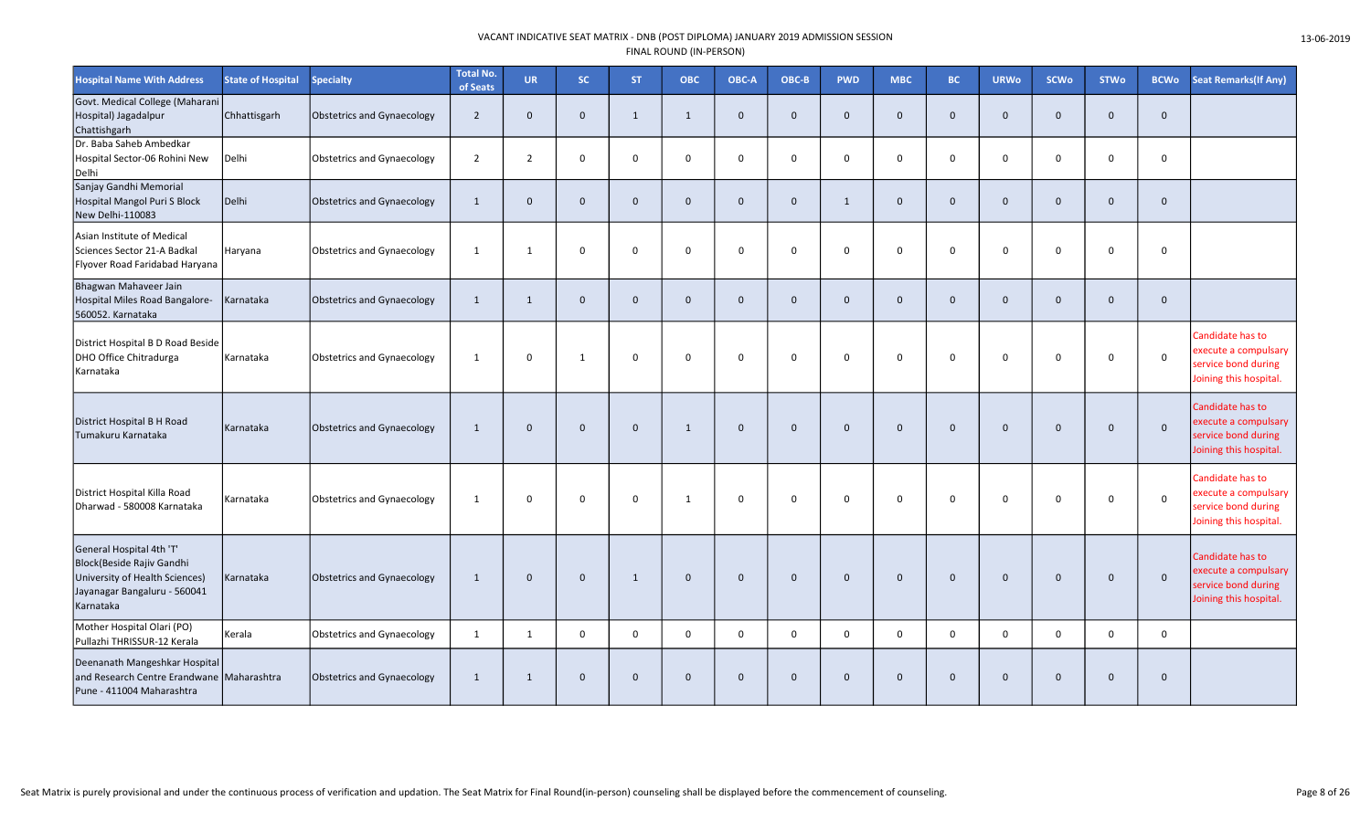| <b>Hospital Name With Address</b>                                                                                                    | <b>State of Hospital</b> | <b>Specialty</b>                  | <b>Total No.</b><br>of Seats | <b>UR</b>      | <b>SC</b>      | <b>ST</b>   | <b>OBC</b>   | OBC-A        | OBC-B        | <b>PWD</b>   | <b>MBC</b>   | <b>BC</b>      | <b>URWo</b>  | <b>SCWo</b>  | <b>STWo</b>  | <b>BCWo</b>  | <b>Seat Remarks (If Any)</b>                                                              |
|--------------------------------------------------------------------------------------------------------------------------------------|--------------------------|-----------------------------------|------------------------------|----------------|----------------|-------------|--------------|--------------|--------------|--------------|--------------|----------------|--------------|--------------|--------------|--------------|-------------------------------------------------------------------------------------------|
| Govt. Medical College (Maharani<br>Hospital) Jagadalpur<br>Chattishgarh                                                              | Chhattisgarh             | Obstetrics and Gynaecology        | $\overline{2}$               | $\mathbf 0$    | $\mathbf 0$    | 1           | 1            | $\mathbf{0}$ | $\mathbf{0}$ | $\mathbf 0$  | $\mathbf 0$  | $\overline{0}$ | 0            | $\mathbf 0$  | $\mathbf 0$  | $\mathbf 0$  |                                                                                           |
| Dr. Baba Saheb Ambedkar<br>Hospital Sector-06 Rohini New<br>Delhi                                                                    | Delhi                    | <b>Obstetrics and Gynaecology</b> | $\overline{2}$               | $\overline{2}$ | $\mathbf 0$    | 0           | $\Omega$     | $\Omega$     | $\mathsf{O}$ | 0            | $\mathbf 0$  | $\overline{0}$ | 0            | $\mathbf 0$  | $\mathbf 0$  | $\mathbf 0$  |                                                                                           |
| Sanjay Gandhi Memorial<br>Hospital Mangol Puri S Block<br>New Delhi-110083                                                           | Delhi                    | <b>Obstetrics and Gynaecology</b> | $\mathbf{1}$                 | $\mathbf 0$    | $\mathbf 0$    | $\mathbf 0$ | $\mathbf 0$  | $\mathbf{0}$ | $\mathbf 0$  | $\mathbf{1}$ | $\mathbf 0$  | $\mathbf 0$    | $\mathbf{0}$ | $\mathbf 0$  | $\mathbf 0$  | $\mathbf 0$  |                                                                                           |
| Asian Institute of Medical<br>Sciences Sector 21-A Badkal<br>Flyover Road Faridabad Haryana                                          | Haryana                  | Obstetrics and Gynaecology        | $\mathbf{1}$                 | 1              | $\mathbf 0$    | $\Omega$    | $\mathbf 0$  | $\Omega$     | $\mathbf 0$  | $\mathbf 0$  | $\mathbf 0$  | $\mathbf 0$    | 0            | $\mathbf 0$  | $\Omega$     | $\mathbf 0$  |                                                                                           |
| Bhagwan Mahaveer Jain<br>Hospital Miles Road Bangalore-<br>560052. Karnataka                                                         | Karnataka                | <b>Obstetrics and Gynaecology</b> | 1                            | $\mathbf{1}$   | $\mathbf{0}$   | $\mathbf 0$ | $\mathbf{0}$ | $\Omega$     | $\mathbf{0}$ | $\mathbf{0}$ | $\Omega$     | $\Omega$       | $\Omega$     | $\mathbf{0}$ | $\mathbf{0}$ | $\mathbf{0}$ |                                                                                           |
| District Hospital B D Road Beside<br>DHO Office Chitradurga<br>Karnataka                                                             | Karnataka                | <b>Obstetrics and Gynaecology</b> | 1                            | $\mathbf 0$    | 1              | $\Omega$    | $\Omega$     | $\mathbf 0$  | $\mathbf 0$  | $\mathbf 0$  | $\Omega$     | $\Omega$       | 0            | $\mathbf 0$  | $\Omega$     | $\mathbf 0$  | Candidate has to<br>execute a compulsary<br>service bond during<br>Joining this hospital. |
| District Hospital B H Road<br>Tumakuru Karnataka                                                                                     | Karnataka                | <b>Obstetrics and Gynaecology</b> | 1                            | $\Omega$       | $\Omega$       | $\Omega$    | 1            | $\Omega$     | $\mathbf{0}$ | $\mathbf{0}$ | $\Omega$     | $\Omega$       | $\Omega$     | $\mathbf{0}$ | $\Omega$     | $\mathbf{0}$ | Candidate has to<br>execute a compulsary<br>service bond during<br>Joining this hospital. |
| District Hospital Killa Road<br>Dharwad - 580008 Karnataka                                                                           | Karnataka                | Obstetrics and Gynaecology        | 1                            | 0              | $\mathbf 0$    | $\mathbf 0$ | 1            | $\mathbf 0$  | $\mathsf{O}$ | $\mathbf 0$  | 0            | $\overline{0}$ | $\Omega$     | $\mathbf 0$  | $\mathbf 0$  | $\mathsf 0$  | Candidate has to<br>execute a compulsary<br>service bond during<br>Joining this hospital. |
| General Hospital 4th 'T'<br>Block(Beside Rajiv Gandhi<br>University of Health Sciences)<br>Jayanagar Bangaluru - 560041<br>Karnataka | Karnataka                | Obstetrics and Gynaecology        | 1                            | $\Omega$       | $\mathbf 0$    | 1           | $\mathbf 0$  | $\mathbf 0$  | $\mathbf 0$  | $\mathbf 0$  | $\Omega$     | $\Omega$       | $\Omega$     | $\mathbf 0$  | $\mathbf 0$  | $\mathbf 0$  | Candidate has to<br>execute a compulsary<br>service bond during<br>Joining this hospital. |
| Mother Hospital Olari (PO)<br>Pullazhi THRISSUR-12 Kerala                                                                            | Kerala                   | Obstetrics and Gynaecology        | $\mathbf{1}$                 | $\mathbf{1}$   | $\mathbf 0$    | 0           | $\Omega$     | $\Omega$     | $\mathsf{O}$ | $\mathsf{O}$ | 0            | $\mathbf 0$    | $\Omega$     | $\mathbf 0$  | $\mathbf 0$  | $\mathsf{O}$ |                                                                                           |
| Deenanath Mangeshkar Hospital<br>and Research Centre Erandwane Maharashtra<br>Pune - 411004 Maharashtra                              |                          | <b>Obstetrics and Gynaecology</b> | 1                            | $\mathbf{1}$   | $\overline{0}$ | $\mathbf 0$ | $\Omega$     | $\mathbf{0}$ | $\mathbf{0}$ | $\mathbf{0}$ | $\mathbf{0}$ | $\overline{0}$ | $\Omega$     | $\mathbf 0$  | $\mathbf{0}$ | $\mathbf 0$  |                                                                                           |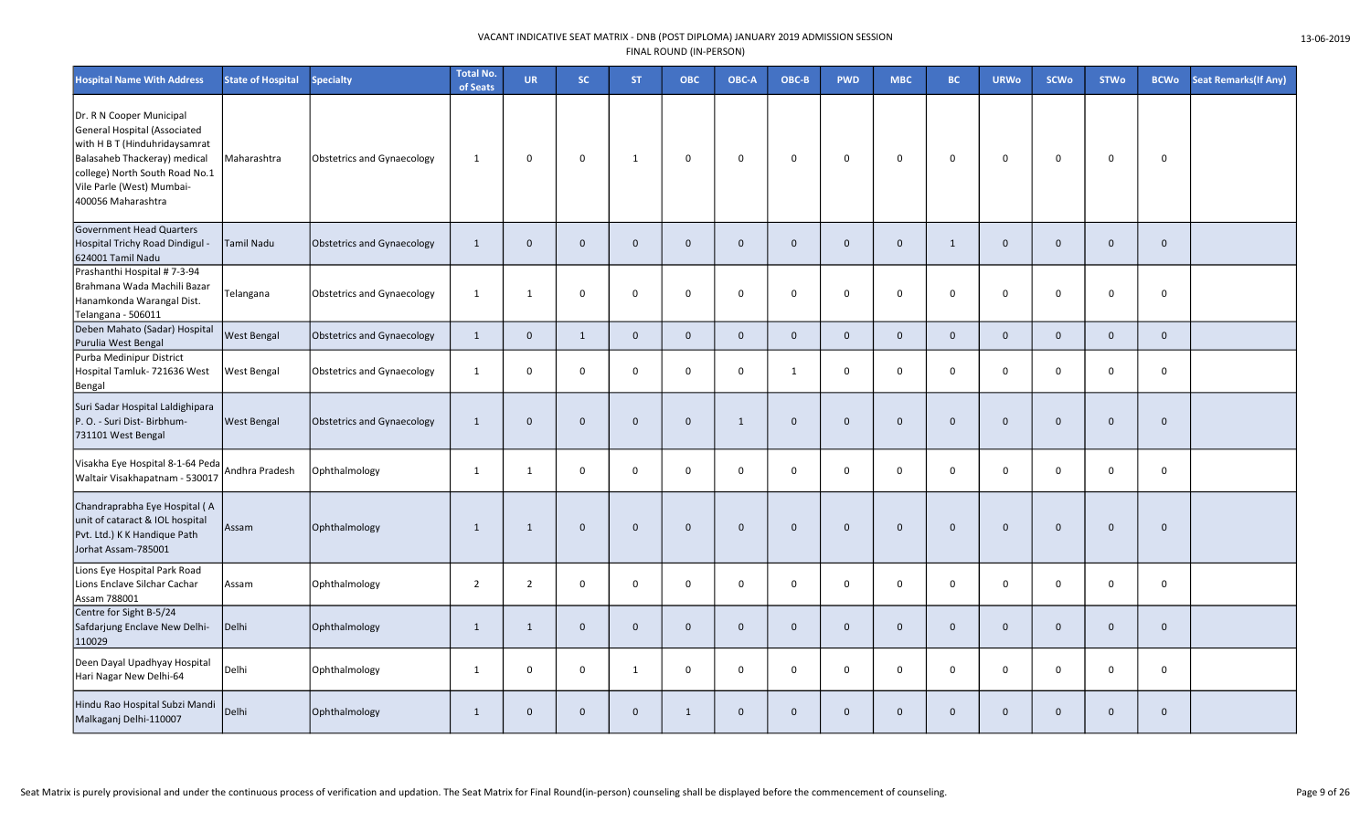| <b>Hospital Name With Address</b>                                                                                                                                                                              | <b>State of Hospital</b> | <b>Specialty</b>                  | <b>Total No.</b><br>of Seats | <b>UR</b>      | <b>SC</b>    | ST.          | ОВС                 | OBC-A        | OBC-B        | <b>PWD</b>     | <b>MBC</b>          | <b>BC</b>    | <b>URWo</b>  | SCWo        | <b>STWo</b>  | <b>BCWo</b>         | <b>Seat Remarks (If Any)</b> |
|----------------------------------------------------------------------------------------------------------------------------------------------------------------------------------------------------------------|--------------------------|-----------------------------------|------------------------------|----------------|--------------|--------------|---------------------|--------------|--------------|----------------|---------------------|--------------|--------------|-------------|--------------|---------------------|------------------------------|
| Dr. R N Cooper Municipal<br>General Hospital (Associated<br>with H B T (Hinduhridaysamrat<br>Balasaheb Thackeray) medical<br>college) North South Road No.1<br>Vile Parle (West) Mumbai-<br>400056 Maharashtra | Maharashtra              | <b>Obstetrics and Gynaecology</b> | $\mathbf{1}$                 | $\mathbf 0$    | $\mathbf 0$  | 1            | $\mathsf 0$         | $\mathbf 0$  | 0            | $\mathbf 0$    | $\mathbf 0$         | $\mathbf 0$  | 0            | $\mathbf 0$ | $\mathbf 0$  | 0                   |                              |
| Government Head Quarters<br>Hospital Trichy Road Dindigul -<br>624001 Tamil Nadu                                                                                                                               | Tamil Nadu               | Obstetrics and Gynaecology        | $\mathbf{1}$                 | $\mathbf{0}$   | $\mathbf 0$  | $\mathbf{0}$ | $\mathsf{O}\xspace$ | $\mathbf 0$  | $\mathbf{0}$ | $\mathbf 0$    | $\mathsf{O}\xspace$ | 1            | $\mathbf{0}$ | $\mathbf 0$ | $\mathbf 0$  | $\mathsf{O}\xspace$ |                              |
| Prashanthi Hospital # 7-3-94<br>Brahmana Wada Machili Bazar<br>Hanamkonda Warangal Dist.<br>Telangana - 506011                                                                                                 | Telangana                | Obstetrics and Gynaecology        | 1                            | 1              | $\mathbf 0$  | $\mathbf 0$  | 0                   | 0            | 0            | $\mathbf 0$    | $\mathbf 0$         | $\mathbf 0$  | $\Omega$     | 0           | 0            | 0                   |                              |
| Deben Mahato (Sadar) Hospital<br>Purulia West Bengal                                                                                                                                                           | <b>West Bengal</b>       | Obstetrics and Gynaecology        | $\mathbf{1}$                 | $\mathbf 0$    | 1            | $\mathbf 0$  | $\mathbf 0$         | $\mathbf 0$  | $\mathbf{0}$ | $\mathbf{0}$   | $\mathbf{0}$        | $\mathbf 0$  | $\mathbf 0$  | $\mathbf 0$ | $\mathbf{0}$ | $\mathbf{0}$        |                              |
| Purba Medinipur District<br>Hospital Tamluk- 721636 West<br>Bengal                                                                                                                                             | West Bengal              | Obstetrics and Gynaecology        | 1                            | $\mathbf 0$    | $\mathbf 0$  | $\mathbf 0$  | $\mathbf 0$         | 0            | 1            | $\mathbf 0$    | $\mathbf 0$         | $\Omega$     | $\mathbf 0$  | $\mathbf 0$ | 0            | 0                   |                              |
| Suri Sadar Hospital Laldighipara<br>P.O. - Suri Dist-Birbhum-<br>731101 West Bengal                                                                                                                            | West Bengal              | Obstetrics and Gynaecology        | $\mathbf{1}$                 | $\mathbf 0$    | $\mathbf 0$  | $\mathbf 0$  | $\mathbf 0$         | $\mathbf{1}$ | $\mathbf{0}$ | $\overline{0}$ | $\mathbf 0$         | $\mathbf 0$  | $\mathbf 0$  | $\mathbf 0$ | $\mathbf 0$  | $\mathbf{0}$        |                              |
| Visakha Eye Hospital 8-1-64 Peda<br>Waltair Visakhapatnam - 530017                                                                                                                                             | Andhra Pradesh           | Ophthalmology                     | 1                            | 1              | $\mathbf 0$  | $\mathbf 0$  | $\mathbf 0$         | $\mathbf 0$  | 0            | $\mathbf 0$    | $\mathbf 0$         | $\Omega$     | $\Omega$     | $\mathbf 0$ | $\mathbf 0$  | $\mathbf 0$         |                              |
| Chandraprabha Eye Hospital (A<br>unit of cataract & IOL hospital<br>Pvt. Ltd.) K K Handique Path<br>Jorhat Assam-785001                                                                                        | Assam                    | Ophthalmology                     | 1                            | 1              | $\mathbf{0}$ | $\mathbf{0}$ | $\mathbf 0$         | $\mathbf 0$  | $\mathbf{0}$ | $\mathbf{0}$   | $\mathbf 0$         | $\Omega$     | $\mathbf{0}$ | $\mathbf 0$ | $\mathbf{0}$ | $\mathbf{0}$        |                              |
| Lions Eye Hospital Park Road<br>Lions Enclave Silchar Cachar<br>Assam 788001                                                                                                                                   | Assam                    | Ophthalmology                     | $\overline{2}$               | $\overline{2}$ | $\mathsf 0$  | 0            | $\mathbf 0$         | 0            | 0            | $\mathbf 0$    | $\mathbf 0$         | $\mathbf 0$  | 0            | $\mathbf 0$ | 0            | $\mathsf{O}$        |                              |
| Centre for Sight B-5/24<br>Safdarjung Enclave New Delhi-<br>110029                                                                                                                                             | Delhi                    | Ophthalmology                     | $\mathbf{1}$                 | $\mathbf{1}$   | $\mathbf{0}$ | $\mathbf 0$  | $\mathbf 0$         | $\mathbf{0}$ | $\mathbf{0}$ | $\mathbf 0$    | $\mathbf{0}$        | $\mathbf{0}$ | $\mathbf{0}$ | $\mathbf 0$ | $\mathbf 0$  | $\mathbf 0$         |                              |
| Deen Dayal Upadhyay Hospital<br>Hari Nagar New Delhi-64                                                                                                                                                        | Delhi                    | Ophthalmology                     | $\mathbf{1}$                 | $\mathbf 0$    | $\mathbf 0$  | $\mathbf{1}$ | $\mathbf 0$         | $\mathbf 0$  | $\mathbf 0$  | $\mathsf{o}$   | $\mathsf 0$         | $\Omega$     | $\mathbf 0$  | 0           | $\mathbf 0$  | 0                   |                              |
| Hindu Rao Hospital Subzi Mandi<br>Malkaganj Delhi-110007                                                                                                                                                       | Delhi                    | Ophthalmology                     | $\mathbf{1}$                 | $\mathbf 0$    | $\mathbf{0}$ | $\mathbf 0$  | $\mathbf{1}$        | $\mathbf 0$  | $\mathbf{0}$ | $\mathbf 0$    | $\mathbf{0}$        | $\mathbf 0$  | $\mathbf{0}$ | $\mathbf 0$ | $\mathbf 0$  | $\mathbf 0$         |                              |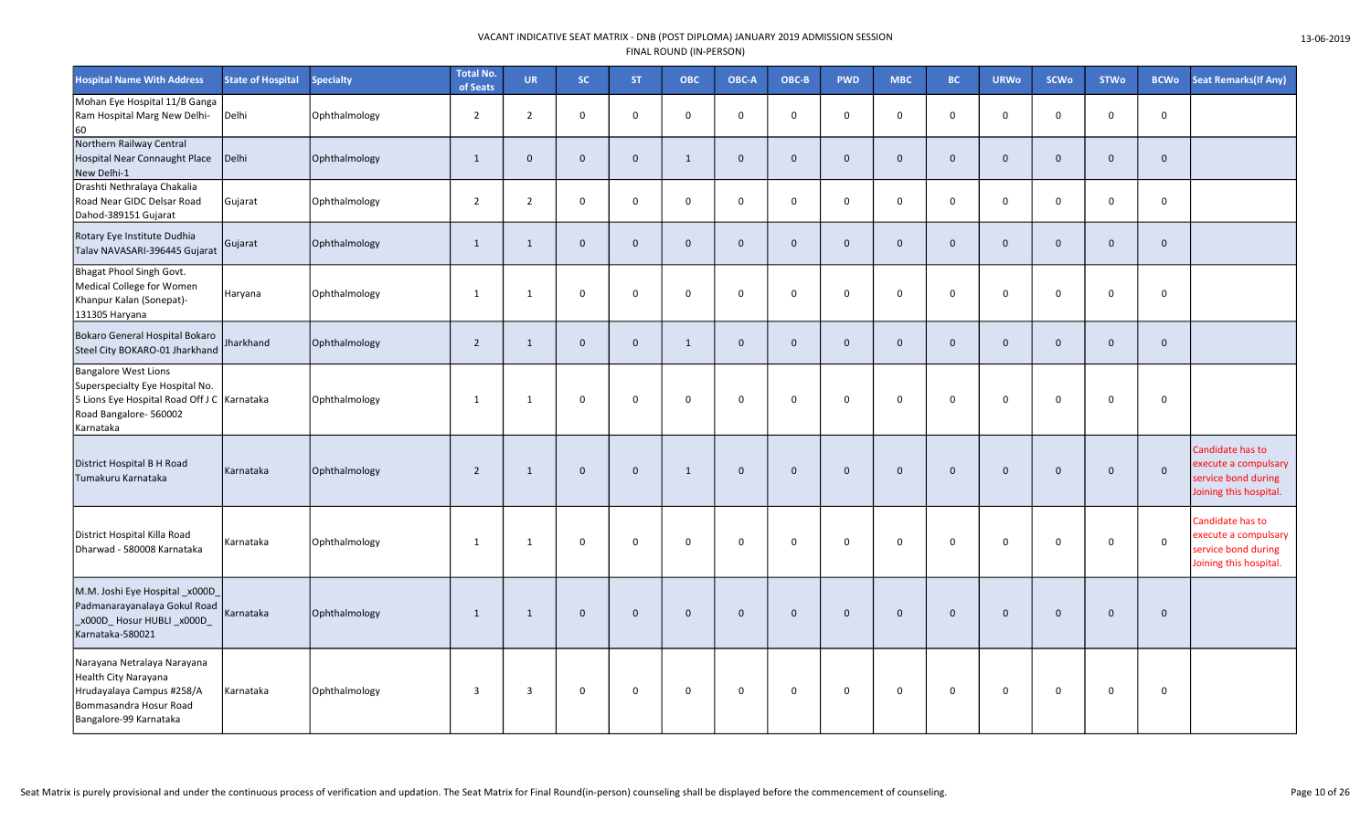| <b>Hospital Name With Address</b>                                                                                                                      | <b>State of Hospital</b> | <b>Specialty</b> | <b>Total No.</b><br>of Seats | <b>UR</b>      | SC.            | <b>ST</b>    | <b>OBC</b>   | OBC-A        | OBC-B        | <b>PWD</b>   | <b>MBC</b>   | BC.            | <b>URWo</b>  | <b>SCWo</b>  | <b>STWo</b>  | <b>BCWo</b>  | <b>Seat Remarks (If Any)</b>                                                              |
|--------------------------------------------------------------------------------------------------------------------------------------------------------|--------------------------|------------------|------------------------------|----------------|----------------|--------------|--------------|--------------|--------------|--------------|--------------|----------------|--------------|--------------|--------------|--------------|-------------------------------------------------------------------------------------------|
| Mohan Eye Hospital 11/B Ganga<br>Ram Hospital Marg New Delhi-<br>60                                                                                    | Delhi                    | Ophthalmology    | $\overline{2}$               | $\overline{2}$ | $\mathbf 0$    | $\mathsf{O}$ | $\mathbf 0$  | $\mathbf 0$  | $\mathbf 0$  | $\mathbf 0$  | $\mathbf 0$  | $\mathbf 0$    | $\mathbf 0$  | $\mathbf 0$  | $\mathbf 0$  | $\mathbf 0$  |                                                                                           |
| Northern Railway Central<br>Hospital Near Connaught Place<br>New Delhi-1                                                                               | Delhi                    | Ophthalmology    | 1                            | $\mathbf{0}$   | $\mathbf 0$    | $\mathbf 0$  | 1            | $\mathbf{0}$ | $\mathbf{0}$ | $\mathbf{0}$ | $\mathbf{0}$ | $\overline{0}$ | $\mathbf{0}$ | $\mathbf{0}$ | $\mathbf{0}$ | $\mathbf{0}$ |                                                                                           |
| Drashti Nethralaya Chakalia<br>Road Near GIDC Delsar Road<br>Dahod-389151 Gujarat                                                                      | Gujarat                  | Ophthalmology    | $\overline{2}$               | $\overline{2}$ | $\mathbf 0$    | $\mathsf 0$  | $\mathbf 0$  | $\mathbf 0$  | $\mathbf 0$  | $\mathbf 0$  | $\mathbf 0$  | $\overline{0}$ | $\mathbf 0$  | $\mathsf 0$  | $\mathbf 0$  | $\mathbf 0$  |                                                                                           |
| Rotary Eye Institute Dudhia<br>Talav NAVASARI-396445 Gujarat                                                                                           | Gujarat                  | Ophthalmology    | $\mathbf{1}$                 | 1              | $\mathbf{0}$   | $\mathbf{0}$ | $\mathbf{0}$ | $\mathbf{0}$ | $\mathbf{0}$ | $\mathbf{0}$ | $\mathbf{0}$ | $\overline{0}$ | $\mathbf{0}$ | $\mathbf 0$  | $\mathbf 0$  | $\mathbf{0}$ |                                                                                           |
| Bhagat Phool Singh Govt.<br>Medical College for Women<br>Khanpur Kalan (Sonepat)-<br>131305 Haryana                                                    | Haryana                  | Ophthalmology    | $\mathbf{1}$                 | 1              | $\mathbf 0$    | $\mathsf 0$  | $\mathbf 0$  | $\mathbf 0$  | $\mathbf 0$  | $\mathsf{o}$ | $\mathbf 0$  | $\overline{0}$ | $\mathbf 0$  | $\mathbf 0$  | $\mathbf 0$  | $\mathbf 0$  |                                                                                           |
| Bokaro General Hospital Bokaro<br>Steel City BOKARO-01 Jharkhand                                                                                       | Jharkhand                | Ophthalmology    | $\overline{2}$               | $\mathbf{1}$   | $\mathbf 0$    | $\mathbf 0$  | 1            | $\mathbf 0$  | $\mathbf 0$  | $\mathbf 0$  | $\mathbf{0}$ | $\mathbf 0$    | $\mathbf{0}$ | $\mathbf 0$  | $\Omega$     | $\mathbf 0$  |                                                                                           |
| <b>Bangalore West Lions</b><br>Superspecialty Eye Hospital No.<br>5 Lions Eye Hospital Road Off J C   Karnataka<br>Road Bangalore- 560002<br>Karnataka |                          | Ophthalmology    | $\mathbf{1}$                 | 1              | $\mathbf{0}$   | $\mathbf 0$  | $\Omega$     | $\Omega$     | $\mathbf 0$  | $\mathbf 0$  | $\Omega$     | $\overline{0}$ | $\Omega$     | $\Omega$     | $\Omega$     | $\mathbf 0$  |                                                                                           |
| District Hospital B H Road<br>Tumakuru Karnataka                                                                                                       | Karnataka                | Ophthalmology    | $\overline{2}$               | 1              | $\overline{0}$ | $\mathbf 0$  | 1            | $\Omega$     | $\mathbf 0$  | $\Omega$     | $\mathbf{0}$ | $\overline{0}$ | $\mathbf{0}$ | $\mathbf{0}$ | $\Omega$     | $\mathsf 0$  | Candidate has to<br>execute a compulsary<br>service bond during<br>Joining this hospital. |
| District Hospital Killa Road<br>Dharwad - 580008 Karnataka                                                                                             | Karnataka                | Ophthalmology    | $\mathbf{1}$                 | 1              | $\mathbf 0$    | $\mathbf 0$  | $\Omega$     | $\Omega$     | $\mathbf 0$  | $\mathbf 0$  | $\mathbf 0$  | $\overline{0}$ | $\Omega$     | $\Omega$     | $\Omega$     | $\mathbf 0$  | Candidate has to<br>execute a compulsary<br>service bond during<br>Joining this hospital. |
| M.M. Joshi Eye Hospital _x000D_<br>Padmanarayanalaya Gokul Road<br>_x000D_Hosur HUBLI _x000D_<br>Karnataka-580021                                      | Karnataka                | Ophthalmology    | $\overline{1}$               | $\mathbf{1}$   | $\overline{0}$ | $\mathbf 0$  | $\mathbf{0}$ | $\mathbf{0}$ | $\mathbf 0$  | $\mathbf{0}$ | $\mathbf{0}$ | $\overline{0}$ | $\mathbf 0$  | $\mathbf{0}$ | $\mathbf{0}$ | $\mathbf 0$  |                                                                                           |
| Narayana Netralaya Narayana<br>Health City Narayana<br>Hrudayalaya Campus #258/A<br>Bommasandra Hosur Road<br>Bangalore-99 Karnataka                   | Karnataka                | Ophthalmology    | $\overline{3}$               | $\overline{3}$ | $\mathbf 0$    | $\mathbf 0$  | $\mathbf 0$  | $\mathbf 0$  | $\mathsf{O}$ | 0            | 0            | $\mathbf 0$    | 0            | $\mathbf 0$  | $\mathbf 0$  | $\mathsf{O}$ |                                                                                           |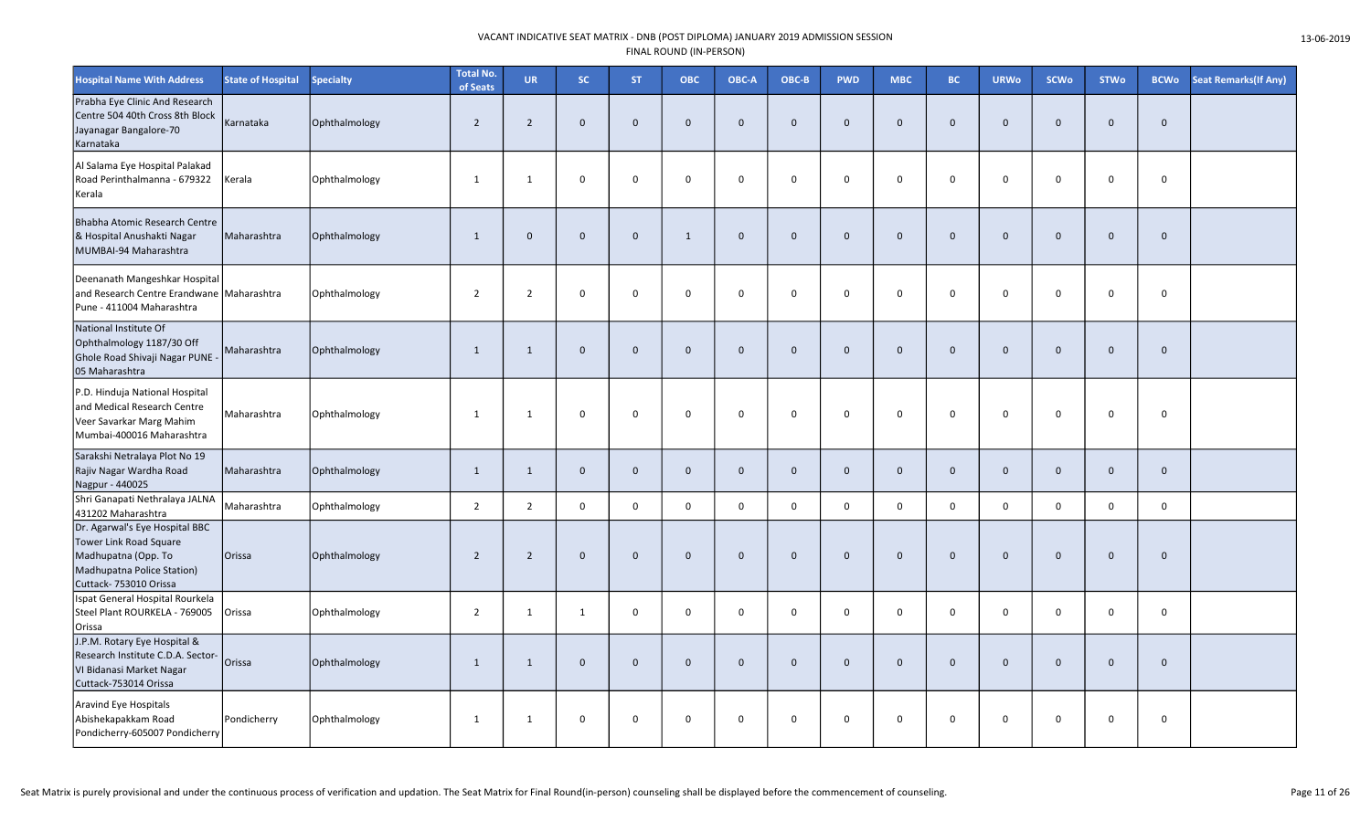| <b>Hospital Name With Address</b>                                                                                                       | <b>State of Hospital</b> | <b>Specialty</b> | <b>Total No.</b><br>of Seats | <b>UR</b>      | SC.         | <b>ST</b>   | <b>OBC</b>     | OBC-A        | OBC-B        | <b>PWD</b>   | <b>MBC</b>   | BC.            | <b>URWo</b>  | <b>SCWo</b>  | <b>STWo</b>  | <b>BCWo</b> | <b>Seat Remarks (If Any)</b> |
|-----------------------------------------------------------------------------------------------------------------------------------------|--------------------------|------------------|------------------------------|----------------|-------------|-------------|----------------|--------------|--------------|--------------|--------------|----------------|--------------|--------------|--------------|-------------|------------------------------|
| Prabha Eye Clinic And Research<br>Centre 504 40th Cross 8th Block<br>Jayanagar Bangalore-70<br>Karnataka                                | Karnataka                | Ophthalmology    | $\overline{2}$               | $2^{\circ}$    | $\mathbf 0$ | $\mathbf 0$ | $\overline{0}$ | $\Omega$     | $\mathbf 0$  | $\mathbf{0}$ | $\mathbf 0$  | $\overline{0}$ | $\mathbf{0}$ | $\mathbf{0}$ | $\mathbf{0}$ | $\mathbf 0$ |                              |
| Al Salama Eye Hospital Palakad<br>Road Perinthalmanna - 679322<br>Kerala                                                                | Kerala                   | Ophthalmology    | 1                            | $\mathbf{1}$   | $\mathbf 0$ | $\mathbf 0$ | $\mathbf 0$    | 0            | $\mathbf 0$  | $\mathbf{0}$ | 0            | $\mathbf 0$    | $\Omega$     | $\mathbf 0$  | $\mathbf 0$  | $\mathbf 0$ |                              |
| Bhabha Atomic Research Centre<br>& Hospital Anushakti Nagar<br>MUMBAI-94 Maharashtra                                                    | Maharashtra              | Ophthalmology    | $\mathbf{1}$                 | $\mathbf{0}$   | $\mathbf 0$ | $\mathbf 0$ | 1              | $\mathbf{0}$ | $\mathbf{0}$ | $\Omega$     | $\mathbf 0$  | $\overline{0}$ | $\mathbf{0}$ | $\mathbf{0}$ | $\mathbf{0}$ | $\mathbf 0$ |                              |
| Deenanath Mangeshkar Hospital<br>and Research Centre Erandwane Maharashtra<br>Pune - 411004 Maharashtra                                 |                          | Ophthalmology    | $\overline{2}$               | $\overline{2}$ | $\mathbf 0$ | $\mathbf 0$ | $\mathbf 0$    | $\mathbf 0$  | $\mathbf 0$  | 0            | $\mathbf 0$  | $\mathbf 0$    | $\Omega$     | $\mathbf 0$  | $\mathbf 0$  | $\mathsf 0$ |                              |
| National Institute Of<br>Ophthalmology 1187/30 Off<br>Ghole Road Shivaji Nagar PUNE -<br>05 Maharashtra                                 | Maharashtra              | Ophthalmology    | $\mathbf{1}$                 | 1              | $\mathbf 0$ | $\mathbf 0$ | $\mathbf{0}$   | $\mathbf{0}$ | $\mathbf 0$  | $\mathbf{0}$ | $\mathbf 0$  | $\overline{0}$ | $\mathbf 0$  | $\mathbf 0$  | $\mathbf{0}$ | $\mathbf 0$ |                              |
| P.D. Hinduja National Hospital<br>and Medical Research Centre<br>Veer Savarkar Marg Mahim<br>Mumbai-400016 Maharashtra                  | Maharashtra              | Ophthalmology    | -1                           | 1              | $\mathsf 0$ | $\mathbf 0$ | $\mathbf 0$    | $\mathbf 0$  | $\mathbf 0$  | $\mathbf{0}$ | $\mathbf 0$  | $\mathbf 0$    | 0            | $\mathbf 0$  | $\Omega$     | $\mathsf 0$ |                              |
| Sarakshi Netralaya Plot No 19<br>Rajiv Nagar Wardha Road<br>Nagpur - 440025                                                             | Maharashtra              | Ophthalmology    | 1                            | $\mathbf{1}$   | $\mathbf 0$ | $\mathbf 0$ | $\mathbf{0}$   | $\mathbf{0}$ | $\mathbf 0$  | $\mathbf 0$  | $\mathbf 0$  | $\mathbf 0$    | $\mathbf 0$  | $\mathbf 0$  | $\mathbf 0$  | $\mathbf 0$ |                              |
| Shri Ganapati Nethralaya JALNA<br>431202 Maharashtra                                                                                    | Maharashtra              | Ophthalmology    | $\overline{2}$               | $\overline{2}$ | $\mathbf 0$ | $\mathbf 0$ | $\mathbf 0$    | $\mathbf 0$  | $\mathsf{O}$ | 0            | 0            | $\mathbf 0$    | $\mathsf{O}$ | $\mathbf 0$  | $\mathbf 0$  | 0           |                              |
| Dr. Agarwal's Eye Hospital BBC<br>Tower Link Road Square<br>Madhupatna (Opp. To<br>Madhupatna Police Station)<br>Cuttack- 753010 Orissa | Orissa                   | Ophthalmology    | $\overline{2}$               | $2^{\circ}$    | $\mathbf 0$ | $\mathbf 0$ | $\mathbf 0$    | $\mathbf 0$  | $\mathbf 0$  | $\mathbf{0}$ | $\mathbf{0}$ | $\overline{0}$ | $\mathbf 0$  | $\mathbf 0$  | $\mathbf 0$  | $\mathbf 0$ |                              |
| Ispat General Hospital Rourkela<br>Steel Plant ROURKELA - 769005<br>Orissa                                                              | Orissa                   | Ophthalmology    | $\overline{2}$               | 1              | 1           | $\mathbf 0$ | $\mathbf 0$    | 0            | $\mathbf 0$  | 0            | 0            | $\mathbf 0$    | $\mathbf 0$  | $\mathbf 0$  | $\mathbf 0$  | 0           |                              |
| J.P.M. Rotary Eye Hospital &<br>Research Institute C.D.A. Sector-<br>VI Bidanasi Market Nagar<br>Cuttack-753014 Orissa                  | Orissa                   | Ophthalmology    | $\mathbf{1}$                 | $\mathbf{1}$   | $\mathbf 0$ | $\mathbf 0$ | $\mathbf 0$    | $\mathbf 0$  | $\mathbf 0$  | $\mathbf 0$  | $\mathbf 0$  | $\overline{0}$ | $\mathbf{0}$ | $\mathbf 0$  | $\mathbf 0$  | $\mathbf 0$ |                              |
| Aravind Eye Hospitals<br>Abishekapakkam Road<br>Pondicherry-605007 Pondicherry                                                          | Pondicherry              | Ophthalmology    | 1                            | 1              | $\mathbf 0$ | $\mathbf 0$ | $\Omega$       | 0            | 0            | 0            | 0            | $\mathbf 0$    | 0            | $\mathbf 0$  | $\mathbf 0$  | 0           |                              |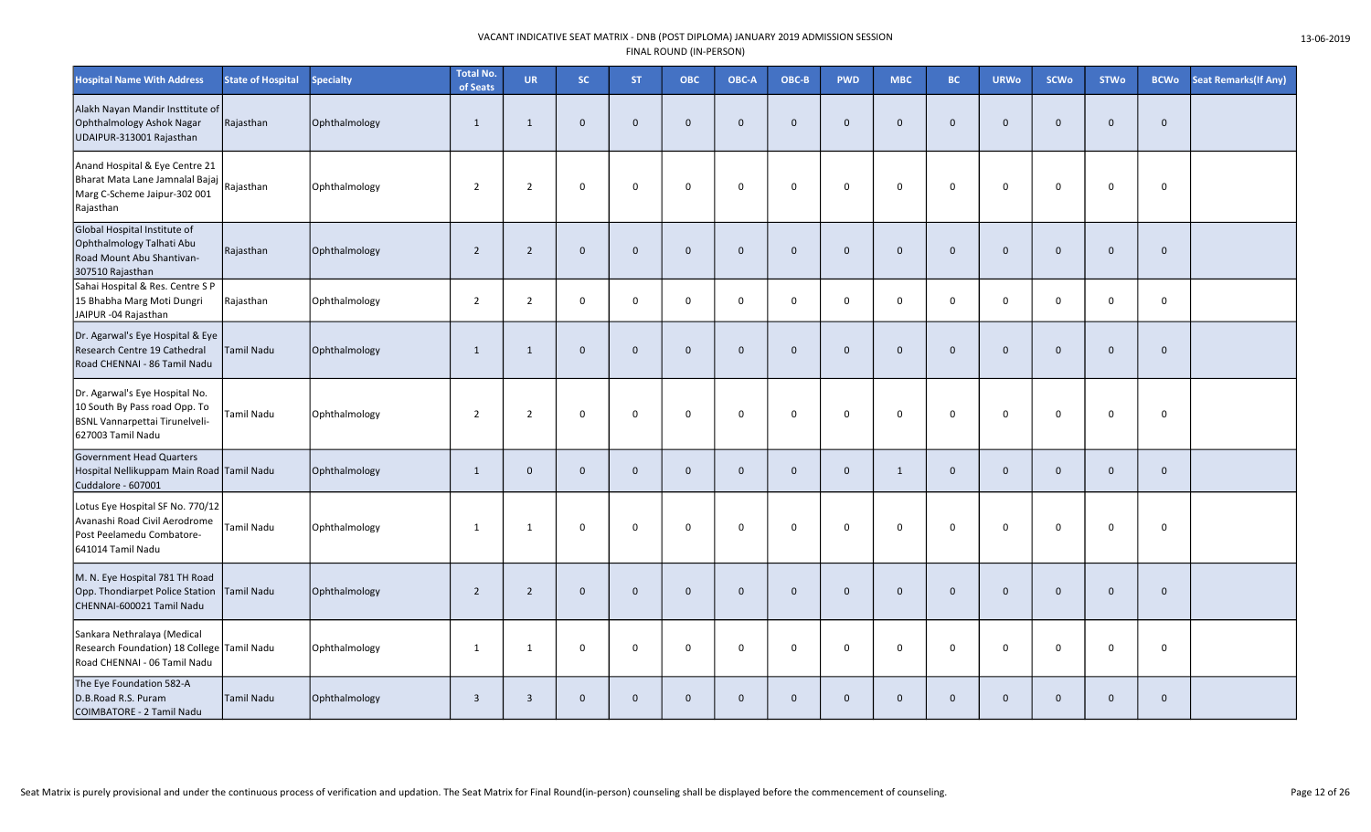| <b>Hospital Name With Address</b>                                                                                      | <b>State of Hospital</b> | <b>Specialty</b> | <b>Total No.</b><br>of Seats | <b>UR</b>      | SC.            | <b>ST</b>    | <b>OBC</b>   | OBC-A        | OBC-B        | <b>PWD</b>   | <b>MBC</b>   | BC.            | <b>URWo</b>  | <b>SCWo</b>  | <b>STWo</b>  | <b>BCWo</b>  | <b>Seat Remarks (If Any)</b> |
|------------------------------------------------------------------------------------------------------------------------|--------------------------|------------------|------------------------------|----------------|----------------|--------------|--------------|--------------|--------------|--------------|--------------|----------------|--------------|--------------|--------------|--------------|------------------------------|
| Alakh Nayan Mandir Insttitute of<br>Ophthalmology Ashok Nagar<br>UDAIPUR-313001 Rajasthan                              | Rajasthan                | Ophthalmology    | $\overline{1}$               | $\mathbf{1}$   | $\mathbf 0$    | $\mathbf 0$  | $\Omega$     | $\mathbf{0}$ | $\mathbf 0$  | $\mathbf{0}$ | $\mathbf 0$  | $\mathbf 0$    | $\mathbf{0}$ | $\mathbf 0$  | $\mathbf 0$  | $\mathbf 0$  |                              |
| Anand Hospital & Eye Centre 21<br>Bharat Mata Lane Jamnalal Bajaj<br>Marg C-Scheme Jaipur-302 001<br>Rajasthan         | Rajasthan                | Ophthalmology    | $\overline{2}$               | $\overline{2}$ | $\mathbf 0$    | $\mathsf 0$  | $\mathbf 0$  | $\mathbf 0$  | $\mathsf{O}$ | $\mathbf 0$  | $\mathbf 0$  | $\mathbf 0$    | 0            | $\mathbf 0$  | $\mathbf 0$  | $\mathsf 0$  |                              |
| Global Hospital Institute of<br>Ophthalmology Talhati Abu<br>Road Mount Abu Shantivan-<br>307510 Rajasthan             | Rajasthan                | Ophthalmology    | $\overline{2}$               | $2^{\circ}$    | $\mathbf{0}$   | $\mathbf 0$  | $\mathbf{0}$ | $\mathbf{0}$ | $\mathbf 0$  | $\mathbf{0}$ | $\mathbf{0}$ | $\overline{0}$ | $\mathbf{0}$ | $\mathbf 0$  | $\mathbf{0}$ | $\mathbf 0$  |                              |
| Sahai Hospital & Res. Centre S P<br>15 Bhabha Marg Moti Dungri<br>JAIPUR -04 Rajasthan                                 | Rajasthan                | Ophthalmology    | $\overline{2}$               | $\overline{2}$ | $\mathsf 0$    | $\mathsf 0$  | $\Omega$     | $\mathbf 0$  | $\mathbf 0$  | $\mathbf 0$  | $\mathsf 0$  | $\mathbf 0$    | $\mathbf 0$  | $\mathbf 0$  | $\mathbf 0$  | $\mathsf 0$  |                              |
| Dr. Agarwal's Eye Hospital & Eye<br>Research Centre 19 Cathedral<br>Road CHENNAI - 86 Tamil Nadu                       | <b>Tamil Nadu</b>        | Ophthalmology    | $\mathbf{1}$                 | $\mathbf{1}$   | $\overline{0}$ | $\mathbf 0$  | $\mathbf{0}$ | $\mathbf{0}$ | $\mathbf{0}$ | $\Omega$     | $\mathbf 0$  | $\overline{0}$ | $\mathbf{0}$ | $\mathbf{0}$ | $\mathbf{0}$ | $\mathbf 0$  |                              |
| Dr. Agarwal's Eye Hospital No.<br>10 South By Pass road Opp. To<br>BSNL Vannarpettai Tirunelveli-<br>627003 Tamil Nadu | Tamil Nadu               | Ophthalmology    | $\overline{2}$               | $\overline{2}$ | $\mathbf 0$    | $\mathbf 0$  | $\mathbf 0$  | 0            | 0            | 0            | $\mathbf 0$  | $\mathbf 0$    | $\mathbf 0$  | $\mathbf 0$  | $\mathbf 0$  | $\pmb{0}$    |                              |
| <b>Government Head Quarters</b><br>Hospital Nellikuppam Main Road Tamil Nadu<br>Cuddalore - 607001                     |                          | Ophthalmology    | 1                            | $\mathbf{0}$   | $\mathbf 0$    | $\mathbf 0$  | $\mathbf{0}$ | $\Omega$     | $\mathbf 0$  | $\mathbf{0}$ | 1            | $\overline{0}$ | $\mathbf{0}$ | $\mathbf{0}$ | $\mathbf{0}$ | $\mathbf 0$  |                              |
| Lotus Eye Hospital SF No. 770/12<br>Avanashi Road Civil Aerodrome<br>Post Peelamedu Combatore-<br>641014 Tamil Nadu    | Tamil Nadu               | Ophthalmology    | $\mathbf{1}$                 | 1              | $\mathbf 0$    | $\mathsf 0$  | $\mathbf 0$  | $\mathbf 0$  | 0            | $\mathbf 0$  | $\mathbf 0$  | $\mathbf 0$    | $\mathbf 0$  | $\mathbf 0$  | $\mathbf 0$  | $\mathsf 0$  |                              |
| M. N. Eye Hospital 781 TH Road<br>Opp. Thondiarpet Police Station<br>CHENNAI-600021 Tamil Nadu                         | Tamil Nadu               | Ophthalmology    | $\overline{2}$               | $\overline{2}$ | $\mathbf{0}$   | $\mathbf 0$  | $\Omega$     | $\mathbf{0}$ | $\mathbf{0}$ | $\mathbf{0}$ | $\mathbf{0}$ | $\overline{0}$ | $\mathbf{0}$ | $\mathbf{0}$ | $\mathbf{0}$ | $\mathbf{0}$ |                              |
| Sankara Nethralaya (Medical<br>Research Foundation) 18 College Tamil Nadu<br>Road CHENNAI - 06 Tamil Nadu              |                          | Ophthalmology    | $\mathbf{1}$                 | $\mathbf{1}$   | $\mathbf 0$    | $\mathbf 0$  | $\Omega$     | $\Omega$     | $\mathbf 0$  | 0            | $\mathbf 0$  | $\mathbf{0}$   | $\mathbf 0$  | $\mathbf 0$  | $\mathbf 0$  | $\mathsf 0$  |                              |
| The Eye Foundation 582-A<br>D.B.Road R.S. Puram<br>COIMBATORE - 2 Tamil Nadu                                           | Tamil Nadu               | Ophthalmology    | $\overline{3}$               | $\overline{3}$ | $\overline{0}$ | $\mathbf{0}$ | $\mathbf{0}$ | $\mathbf{0}$ | $\mathbf 0$  | $\mathbf{0}$ | $\mathbf 0$  | $\overline{0}$ | $\mathbf{0}$ | $\mathbf 0$  | $\mathbf{0}$ | $\mathbf 0$  |                              |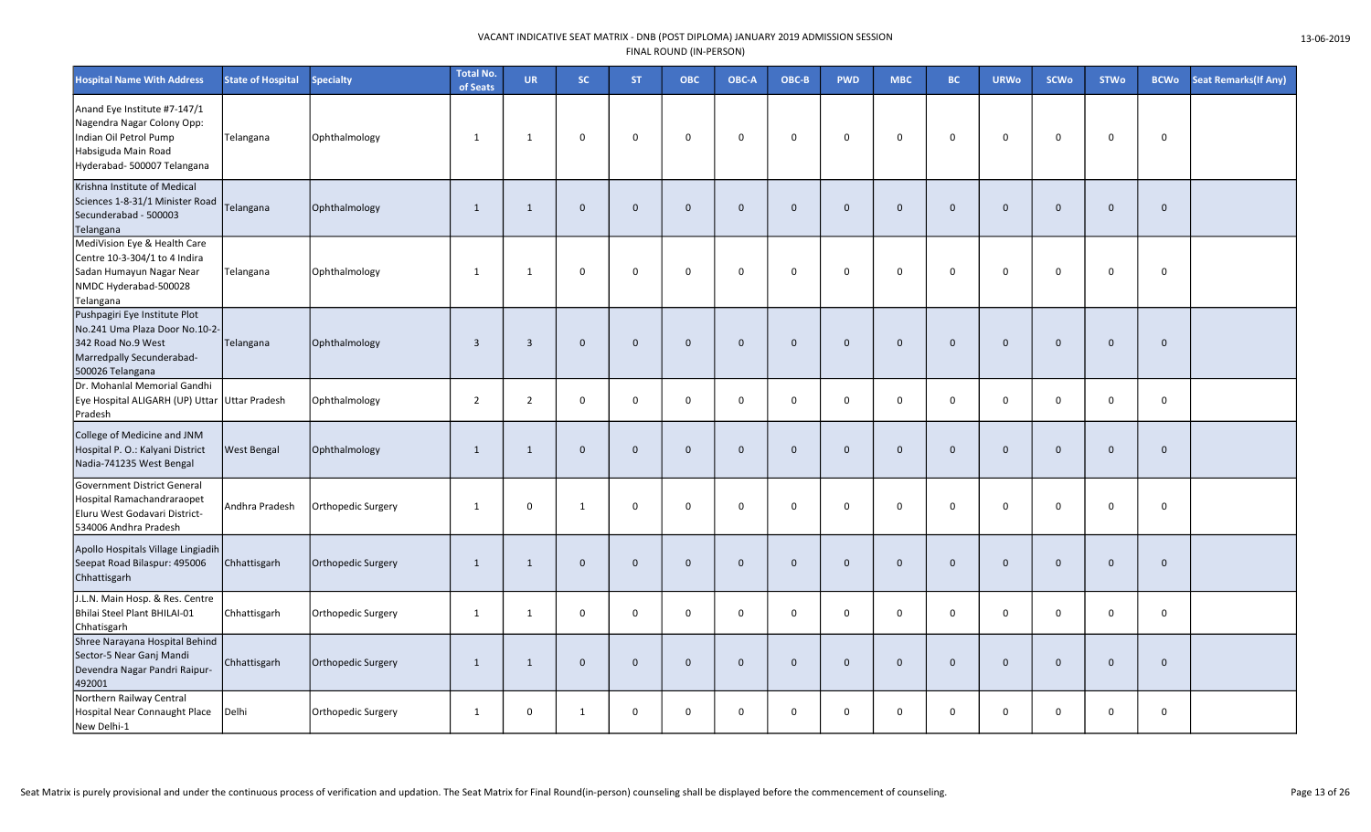| <b>Hospital Name With Address</b>                                                                                                          | <b>State of Hospital</b> | <b>Specialty</b>          | <b>Total No.</b><br>of Seats | <b>UR</b>      | SC.            | <b>ST</b>   | <b>OBC</b>   | OBC-A        | OBC-B        | <b>PWD</b>   | <b>MBC</b>   | BC.            | <b>URWo</b>  | <b>SCWo</b>  | <b>STWo</b>  | <b>BCWo</b>  | <b>Seat Remarks (If Any)</b> |
|--------------------------------------------------------------------------------------------------------------------------------------------|--------------------------|---------------------------|------------------------------|----------------|----------------|-------------|--------------|--------------|--------------|--------------|--------------|----------------|--------------|--------------|--------------|--------------|------------------------------|
| Anand Eye Institute #7-147/1<br>Nagendra Nagar Colony Opp:<br>Indian Oil Petrol Pump<br>Habsiguda Main Road<br>Hyderabad- 500007 Telangana | Telangana                | Ophthalmology             | $\mathbf{1}$                 | $\mathbf{1}$   | $\mathbf 0$    | $\mathbf 0$ | $\Omega$     | $\mathbf 0$  | 0            | 0            | 0            | $\Omega$       | $\Omega$     | $\mathbf 0$  | $\Omega$     | $\mathbf 0$  |                              |
| Krishna Institute of Medical<br>Sciences 1-8-31/1 Minister Road<br>Secunderabad - 500003<br>Telangana                                      | Telangana                | Ophthalmology             | $\mathbf{1}$                 | $\mathbf{1}$   | $\overline{0}$ | $\mathbf 0$ | $\mathbf{0}$ | $\mathbf{0}$ | $\mathbf 0$  | $\mathbf 0$  | $\mathbf{0}$ | $\overline{0}$ | $\mathbf{0}$ | $\mathbf{0}$ | $\mathbf{0}$ | $\mathbf 0$  |                              |
| MediVision Eye & Health Care<br>Centre 10-3-304/1 to 4 Indira<br>Sadan Humayun Nagar Near<br>NMDC Hyderabad-500028<br>Telangana            | Telangana                | Ophthalmology             | $\mathbf{1}$                 | 1              | $\mathbf 0$    | $\mathbf 0$ | $\Omega$     | $\mathbf 0$  | $\mathbf 0$  | $\mathbf 0$  | $\Omega$     | $\mathbf 0$    | $\Omega$     | $\Omega$     | $\Omega$     | $\mathbf 0$  |                              |
| Pushpagiri Eye Institute Plot<br>No.241 Uma Plaza Door No.10-2-<br>342 Road No.9 West<br>Marredpally Secunderabad-<br>500026 Telangana     | Telangana                | Ophthalmology             | $\overline{3}$               | $\overline{3}$ | $\mathbf{0}$   | $\mathbf 0$ | $\Omega$     | $\mathbf 0$  | $\mathbf 0$  | $\Omega$     | $\Omega$     | $\Omega$       | $\Omega$     | $\mathbf 0$  | $\Omega$     | $\mathbf 0$  |                              |
| Dr. Mohanlal Memorial Gandhi<br>Eye Hospital ALIGARH (UP) Uttar<br>Pradesh                                                                 | Uttar Pradesh            | Ophthalmology             | $\overline{2}$               | $\overline{2}$ | $\mathbf 0$    | $\mathbf 0$ | $\Omega$     | $\Omega$     | $\mathbf 0$  | $\mathbf 0$  | $\mathbf 0$  | $\overline{0}$ | $\mathbf 0$  | $\mathbf 0$  | $\mathbf 0$  | $\mathbf 0$  |                              |
| College of Medicine and JNM<br>Hospital P. O.: Kalyani District<br>Nadia-741235 West Bengal                                                | <b>West Bengal</b>       | Ophthalmology             | $\mathbf{1}$                 | $\mathbf{1}$   | $\overline{0}$ | $\mathbf 0$ | $\mathbf{0}$ | $\mathbf{0}$ | $\mathbf 0$  | $\mathbf 0$  | $\mathbf{0}$ | $\overline{0}$ | $\mathbf{0}$ | $\mathbf{0}$ | $\mathbf{0}$ | $\mathbf 0$  |                              |
| <b>Government District General</b><br>Hospital Ramachandraraopet<br>Eluru West Godavari District-<br>534006 Andhra Pradesh                 | Andhra Pradesh           | Orthopedic Surgery        | -1                           | 0              | 1              | $\mathsf 0$ | $\mathbf 0$  | $\mathbf 0$  | $\mathbf 0$  | $\mathbf 0$  | $\mathbf 0$  | $\mathbf{0}$   | $\mathbf 0$  | $\mathbf 0$  | $\mathbf 0$  | $\mathbf 0$  |                              |
| Apollo Hospitals Village Lingiadih<br>Seepat Road Bilaspur: 495006<br>Chhattisgarh                                                         | Chhattisgarh             | Orthopedic Surgery        | $\mathbf{1}$                 | $\mathbf{1}$   | $\mathbf{0}$   | $\mathbf 0$ | $\mathbf 0$  | $\mathbf 0$  | $\mathbf 0$  | $\mathbf 0$  | $\mathbf{0}$ | $\overline{0}$ | $\mathbf{0}$ | $\mathbf 0$  | $\mathbf 0$  | $\mathbf 0$  |                              |
| J.L.N. Main Hosp. & Res. Centre<br>Bhilai Steel Plant BHILAI-01<br>Chhatisgarh                                                             | Chhattisgarh             | Orthopedic Surgery        | $\mathbf{1}$                 | 1              | $\mathbf 0$    | $\mathbf 0$ | $\Omega$     | $\Omega$     | $\mathsf{O}$ | 0            | 0            | $\mathbf 0$    | 0            | $\mathbf 0$  | 0            | $\mathsf{o}$ |                              |
| Shree Narayana Hospital Behind<br>Sector-5 Near Ganj Mandi<br>Devendra Nagar Pandri Raipur-<br>492001                                      | Chhattisgarh             | <b>Orthopedic Surgery</b> | $\mathbf{1}$                 | 1              | $\overline{0}$ | $\mathbf 0$ | $\mathbf{0}$ | $\mathbf{0}$ | $\mathbf 0$  | $\mathbf{0}$ | $\mathbf{0}$ | $\overline{0}$ | $\mathbf{0}$ | $\mathbf{0}$ | $\mathbf{0}$ | $\mathbf 0$  |                              |
| Northern Railway Central<br><b>Hospital Near Connaught Place</b><br>New Delhi-1                                                            | Delhi                    | Orthopedic Surgery        | $\mathbf{1}$                 | 0              | 1              | $\mathsf 0$ | $\mathbf 0$  | $\mathbf 0$  | $\mathsf{O}$ | $\mathbf 0$  | $\mathbf 0$  | $\mathbf 0$    | $\Omega$     | $\mathsf 0$  | $\mathbf 0$  | $\mathbf 0$  |                              |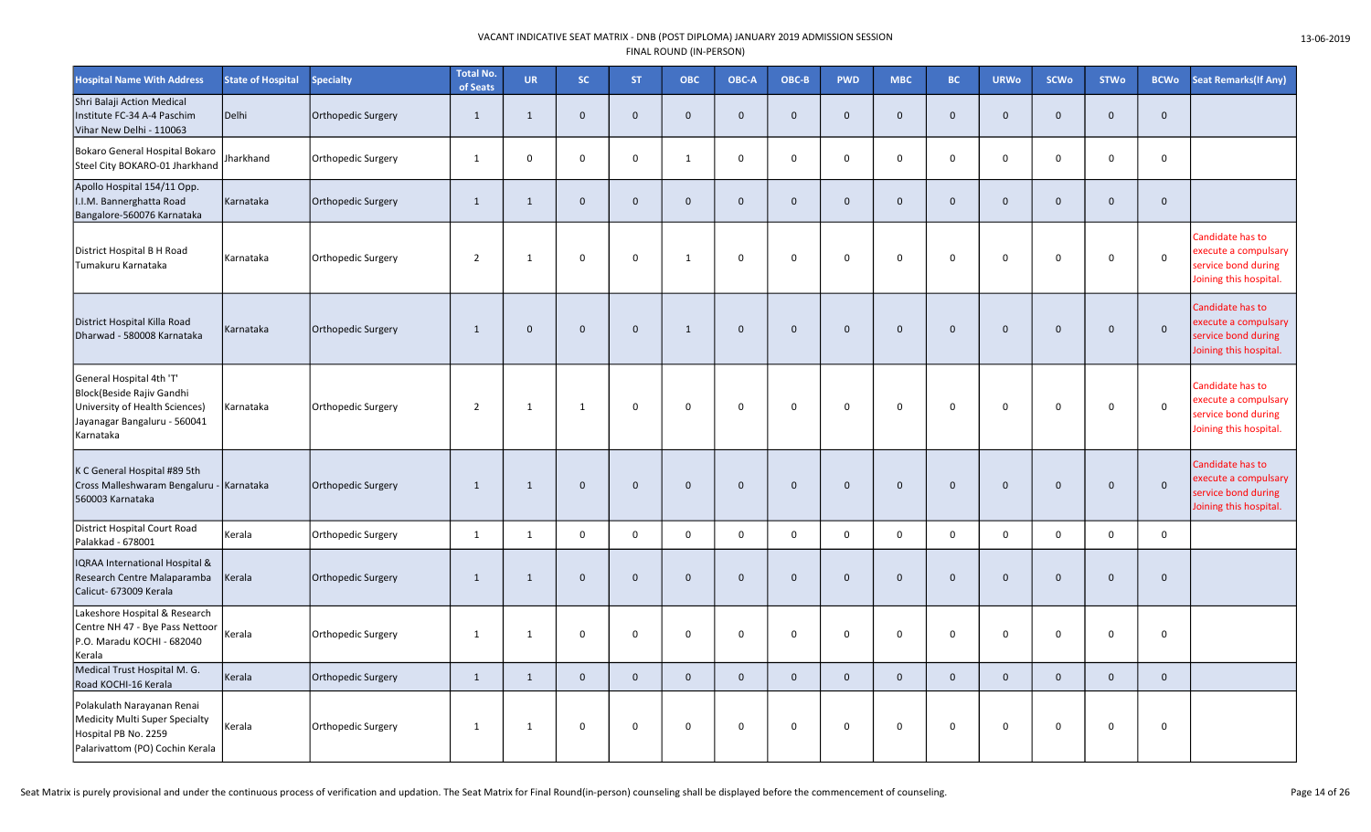| <b>Hospital Name With Address</b>                                                                                                    | <b>State of Hospital</b> | <b>Specialty</b>   | <b>Total No.</b><br>of Seats | <b>UR</b>    | SC.          | <b>ST</b>           | <b>OBC</b>   | OBC-A        | OBC-B        | <b>PWD</b>   | <b>MBC</b>          | <b>BC</b>      | <b>URWo</b>    | <b>SCWo</b>  | <b>STWo</b>  | <b>BCWo</b>  | <b>Seat Remarks (If Any)</b>                                                              |
|--------------------------------------------------------------------------------------------------------------------------------------|--------------------------|--------------------|------------------------------|--------------|--------------|---------------------|--------------|--------------|--------------|--------------|---------------------|----------------|----------------|--------------|--------------|--------------|-------------------------------------------------------------------------------------------|
| Shri Balaji Action Medical<br>Institute FC-34 A-4 Paschim<br>Vihar New Delhi - 110063                                                | Delhi                    | Orthopedic Surgery | $\mathbf{1}$                 | $\mathbf{1}$ | $\Omega$     | $\mathbf{0}$        | $\mathbf{0}$ | $\mathbf{0}$ | $\mathbf{0}$ | $\mathbf{0}$ | $\mathbf{0}$        | $\Omega$       | $\overline{0}$ | $\mathbf{0}$ | $\mathbf{0}$ | $\mathbf{0}$ |                                                                                           |
| Bokaro General Hospital Bokaro<br>Steel City BOKARO-01 Jharkhand                                                                     | Iharkhand                | Orthopedic Surgery | $\mathbf{1}$                 | $\mathbf 0$  | $\mathbf 0$  | $\mathbf 0$         | 1            | $\mathbf 0$  | $\mathbf 0$  | $\mathbf 0$  | $\mathbf 0$         | $\mathbf 0$    | $\mathbf 0$    | $\mathbf 0$  | $\mathbf 0$  | $\mathbf 0$  |                                                                                           |
| Apollo Hospital 154/11 Opp.<br>I.I.M. Bannerghatta Road<br>Bangalore-560076 Karnataka                                                | Karnataka                | Orthopedic Surgery | $\mathbf{1}$                 | $\mathbf{1}$ | $\mathbf 0$  | $\mathsf{O}\xspace$ | $\mathbf 0$  | $\Omega$     | $\mathbf 0$  | $\mathbf 0$  | $\mathsf{O}\xspace$ | $\Omega$       | $\mathbf{0}$   | $\mathbf 0$  | $\mathbf 0$  | $\mathbf 0$  |                                                                                           |
| District Hospital B H Road<br>Tumakuru Karnataka                                                                                     | Karnataka                | Orthopedic Surgery | $\overline{2}$               | $\mathbf{1}$ | $\mathsf{O}$ | $\mathsf 0$         | 1            | $\mathbf 0$  | $\mathbf 0$  | $\mathbf 0$  | $\mathbf 0$         | $\mathbf 0$    | $\mathbf 0$    | $\mathbf 0$  | $\mathbf 0$  | $\mathsf 0$  | Candidate has to<br>execute a compulsary<br>service bond during<br>Joining this hospital. |
| District Hospital Killa Road<br>Dharwad - 580008 Karnataka                                                                           | Karnataka                | Orthopedic Surgery | $\mathbf{1}$                 | $\mathbf 0$  | $\mathbf{0}$ | $\mathbf{0}$        | $\mathbf{1}$ | $\mathbf{0}$ | $\mathbf 0$  | $\mathbf{0}$ | $\mathbf 0$         | $\overline{0}$ | $\mathbf{0}$   | $\mathbf 0$  | $\Omega$     | $\mathbf 0$  | Candidate has to<br>execute a compulsary<br>service bond during<br>Joining this hospital. |
| General Hospital 4th 'T'<br>Block(Beside Rajiv Gandhi<br>University of Health Sciences)<br>Jayanagar Bangaluru - 560041<br>Karnataka | Karnataka                | Orthopedic Surgery | $\overline{2}$               | 1            | $\mathbf{1}$ | $\mathsf 0$         | $\mathbf 0$  | $\mathbf 0$  | $\mathsf 0$  | $\mathbf 0$  | $\mathbf 0$         | $\mathsf 0$    | $\mathbf 0$    | $\mathbf 0$  | $\Omega$     | $\mathsf 0$  | Candidate has to<br>execute a compulsary<br>service bond during<br>Joining this hospital. |
| K C General Hospital #89 5th<br>Cross Malleshwaram Bengaluru - Karnataka<br>560003 Karnataka                                         |                          | Orthopedic Surgery | $\mathbf{1}$                 | $\mathbf{1}$ | $\Omega$     | $\mathbf 0$         | $\mathbf{0}$ | $\mathbf{0}$ | $\mathbf 0$  | $\mathbf{0}$ | $\mathbf 0$         | $\mathbf{0}$   | $\mathbf 0$    | $\mathbf 0$  | $\mathbf{0}$ | $\mathbf{0}$ | Candidate has to<br>execute a compulsary<br>service bond during<br>Joining this hospital. |
| District Hospital Court Road<br>Palakkad - 678001                                                                                    | Kerala                   | Orthopedic Surgery | $\mathbf{1}$                 | $\mathbf{1}$ | 0            | $\mathbf 0$         | $\mathbf 0$  | $\mathbf 0$  | $\mathsf 0$  | 0            | 0                   | $\mathbf 0$    | $\mathbf 0$    | $\mathbf 0$  | $\mathbf 0$  | $\mathbf 0$  |                                                                                           |
| <b>IQRAA International Hospital &amp;</b><br>Research Centre Malaparamba<br>Calicut- 673009 Kerala                                   | Kerala                   | Orthopedic Surgery | $\mathbf{1}$                 | $\mathbf{1}$ | $\mathbf 0$  | $\mathbf 0$         | $\mathbf{0}$ | $\mathbf{0}$ | $\mathbf 0$  | $\mathbf{0}$ | $\mathbf 0$         | $\mathbf 0$    | $\mathbf 0$    | $\mathbf 0$  | $\mathbf 0$  | $\mathbf 0$  |                                                                                           |
| Lakeshore Hospital & Research<br>Centre NH 47 - Bye Pass Nettoor<br>P.O. Maradu KOCHI - 682040<br>Kerala                             | Kerala                   | Orthopedic Surgery | $\mathbf{1}$                 | $\mathbf{1}$ | $\mathbf 0$  | $\mathbf 0$         | $\mathbf 0$  | $\Omega$     | $\mathsf 0$  | $\mathbf 0$  | 0                   | $\mathbf 0$    | 0              | $\mathbf 0$  | $\mathbf 0$  | $\mathbf 0$  |                                                                                           |
| Medical Trust Hospital M. G.<br>Road KOCHI-16 Kerala                                                                                 | Kerala                   | Orthopedic Surgery | $\mathbf{1}$                 | $\mathbf{1}$ | $\mathbf{0}$ | $\mathbf{0}$        | $\mathbf{0}$ | $\mathbf{0}$ | $\mathbf 0$  | $\mathbf 0$  | $\mathbf 0$         | $\mathbf{0}$   | $\overline{0}$ | $\mathbf{0}$ | $\mathbf 0$  | $\mathbf 0$  |                                                                                           |
| Polakulath Narayanan Renai<br><b>Medicity Multi Super Specialty</b><br>Hospital PB No. 2259<br>Palarivattom (PO) Cochin Kerala       | Kerala                   | Orthopedic Surgery | $\mathbf{1}$                 | $\mathbf{1}$ | $\Omega$     | $\mathbf 0$         | $\mathbf 0$  | $\mathbf 0$  | $\mathbf 0$  | $\mathbf 0$  | $\mathbf 0$         | $\Omega$       | $\Omega$       | $\mathbf 0$  | $\mathbf 0$  | $\mathbf 0$  |                                                                                           |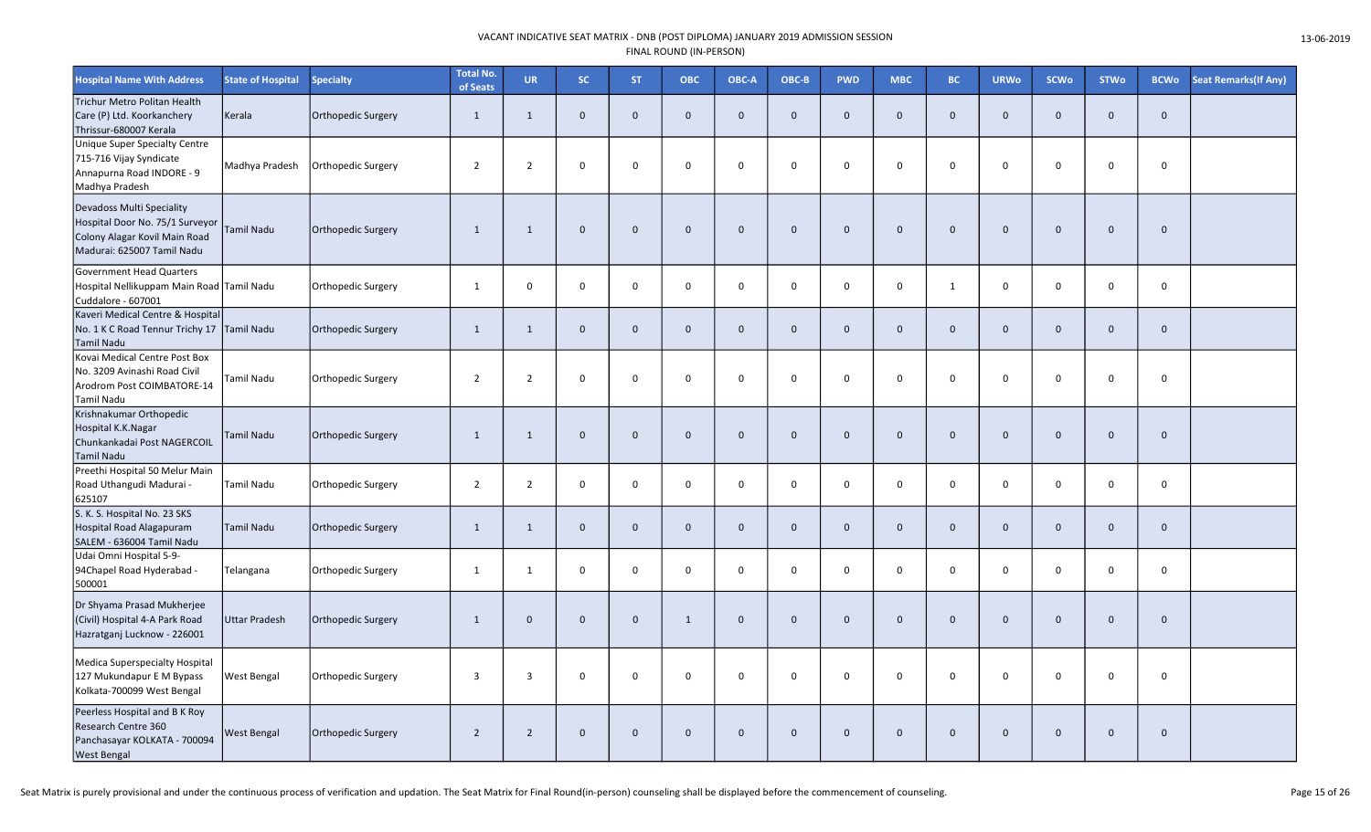| <b>Hospital Name With Address</b>                                                                                                  | <b>State of Hospital</b> | <b>Specialty</b>          | <b>Total No.</b><br>of Seats | <b>UR</b>      | SC.          | <b>ST</b>    | <b>OBC</b>   | OBC-A        | OBC-B        | <b>PWD</b>   | <b>MBC</b>   | BC.            | <b>URWo</b>  | <b>SCWo</b>  | <b>STWo</b>  | <b>BCWo</b>  | <b>Seat Remarks (If Any)</b> |
|------------------------------------------------------------------------------------------------------------------------------------|--------------------------|---------------------------|------------------------------|----------------|--------------|--------------|--------------|--------------|--------------|--------------|--------------|----------------|--------------|--------------|--------------|--------------|------------------------------|
| Trichur Metro Politan Health<br>Care (P) Ltd. Koorkanchery<br>Thrissur-680007 Kerala                                               | Kerala                   | Orthopedic Surgery        | 1                            | $\mathbf{1}$   | $\mathbf{0}$ | $\mathbf{0}$ | $\mathbf{0}$ | $\mathbf{0}$ | $\mathbf{0}$ | $\mathbf{0}$ | $\mathbf{0}$ | $\Omega$       | $\mathbf{0}$ | $\mathbf{0}$ | $\mathbf{0}$ | $\mathbf{0}$ |                              |
| Unique Super Specialty Centre<br>715-716 Vijay Syndicate<br>Annapurna Road INDORE - 9<br>Madhya Pradesh                            | Madhya Pradesh           | Orthopedic Surgery        | $\overline{2}$               | $\overline{2}$ | $\mathbf 0$  | $\mathbf 0$  | $\Omega$     | $\Omega$     | $\mathsf{o}$ | $\mathbf 0$  | 0            | $\Omega$       | $\mathbf 0$  | $\mathbf 0$  | $\Omega$     | $\mathbf 0$  |                              |
| <b>Devadoss Multi Speciality</b><br>Hospital Door No. 75/1 Surveyor<br>Colony Alagar Kovil Main Road<br>Madurai: 625007 Tamil Nadu | Tamil Nadu               | <b>Orthopedic Surgery</b> | $\mathbf{1}$                 | $\mathbf{1}$   | $\mathbf{0}$ | $\mathbf{0}$ | $\mathbf 0$  | $\mathbf{0}$ | $\mathbf 0$  | $\mathbf 0$  | $\mathbf 0$  | $\Omega$       | $\mathbf{0}$ | $\mathbf 0$  | $\mathbf{0}$ | $\mathbf 0$  |                              |
| <b>Government Head Quarters</b><br>Hospital Nellikuppam Main Road Tamil Nadu<br>Cuddalore - 607001                                 |                          | Orthopedic Surgery        | $\mathbf{1}$                 | 0              | $\mathbf 0$  | $\mathbf 0$  | $\mathbf 0$  | $\mathbf 0$  | $\mathsf{o}$ | 0            | $\mathsf{O}$ | $\mathbf{1}$   | $\mathbf 0$  | $\mathbf 0$  | 0            | $\mathbf 0$  |                              |
| Kaveri Medical Centre & Hospital<br>No. 1 K C Road Tennur Trichy 17<br><b>Tamil Nadu</b>                                           | Tamil Nadu               | <b>Orthopedic Surgery</b> | $\mathbf{1}$                 | $\mathbf{1}$   | $\mathbf 0$  | $\mathbf 0$  | $\mathbf{0}$ | $\mathbf{0}$ | $\mathbf{0}$ | $\mathbf{0}$ | $\mathbf 0$  | $\Omega$       | $\mathbf{0}$ | $\mathbf 0$  | $\mathbf{0}$ | $\mathbf{0}$ |                              |
| Kovai Medical Centre Post Box<br>No. 3209 Avinashi Road Civil<br>Arodrom Post COIMBATORE-14<br>Tamil Nadu                          | Tamil Nadu               | Orthopedic Surgery        | $\overline{2}$               | $\overline{2}$ | $\mathbf 0$  | $\mathsf 0$  | $\mathbf 0$  | $\mathbf 0$  | $\mathsf{o}$ | $\mathbf 0$  | 0            | $\mathbf 0$    | 0            | $\mathbf 0$  | $\mathbf 0$  | $\mathbf 0$  |                              |
| Krishnakumar Orthopedic<br>Hospital K.K.Nagar<br>Chunkankadai Post NAGERCOIL<br><b>Tamil Nadu</b>                                  | <b>Tamil Nadu</b>        | <b>Orthopedic Surgery</b> | $\mathbf{1}$                 | $\mathbf{1}$   | $\mathbf 0$  | $\mathbf 0$  | $\mathbf{0}$ | $\mathbf{0}$ | $\mathbf 0$  | $\mathbf 0$  | $\mathbf 0$  | $\overline{0}$ | $\mathbf 0$  | $\mathbf 0$  | $\mathbf{0}$ | $\mathbf{0}$ |                              |
| Preethi Hospital 50 Melur Main<br>Road Uthangudi Madurai -<br>625107                                                               | Tamil Nadu               | Orthopedic Surgery        | $\overline{2}$               | $\overline{2}$ | $\mathbf 0$  | 0            | $\Omega$     | $\mathbf 0$  | $\mathbf 0$  | $\mathbf 0$  | 0            | $\Omega$       | $\mathbf{0}$ | $\mathbf 0$  | $\mathbf 0$  | $\mathbf 0$  |                              |
| S. K. S. Hospital No. 23 SKS<br><b>Hospital Road Alagapuram</b><br>SALEM - 636004 Tamil Nadu                                       | Tamil Nadu               | <b>Orthopedic Surgery</b> | 1                            | $\mathbf{1}$   | $\mathbf 0$  | $\mathbf{0}$ | $\mathbf 0$  | $\mathbf 0$  | $\mathbf 0$  | $\mathbf 0$  | $\mathbf 0$  | $\mathbf{0}$   | $\mathbf{0}$ | $\mathbf 0$  | $\mathbf 0$  | $\mathbf 0$  |                              |
| Udai Omni Hospital 5-9-<br>94Chapel Road Hyderabad -<br>500001                                                                     | Telangana                | Orthopedic Surgery        | $\mathbf{1}$                 | $\mathbf{1}$   | $\mathbf 0$  | $\mathsf 0$  | $\mathbf 0$  | $\mathbf 0$  | $\mathbf 0$  | $\mathbf 0$  | 0            | $\mathbf 0$    | $\mathbf{0}$ | $\mathbf 0$  | $\mathbf 0$  | $\mathbf 0$  |                              |
| Dr Shyama Prasad Mukherjee<br>(Civil) Hospital 4-A Park Road<br>Hazratganj Lucknow - 226001                                        | <b>Uttar Pradesh</b>     | <b>Orthopedic Surgery</b> | $\mathbf{1}$                 | $\mathbf 0$    | $\mathbf 0$  | $\mathbf{0}$ | 1            | $\mathbf{0}$ | $\mathbf 0$  | $\mathbf 0$  | $\mathbf 0$  | $\mathbf 0$    | $\mathbf{0}$ | $\mathbf 0$  | $\mathbf{0}$ | $\mathbf 0$  |                              |
| Medica Superspecialty Hospital<br>127 Mukundapur E M Bypass<br>Kolkata-700099 West Bengal                                          | <b>West Bengal</b>       | Orthopedic Surgery        | 3                            | 3              | $\mathbf 0$  | 0            | $\mathbf 0$  | $\mathbf 0$  | $\mathsf{o}$ | $\mathbf 0$  | 0            | $\mathbf 0$    | 0            | $\mathbf 0$  | $\mathbf 0$  | $\mathbf 0$  |                              |
| Peerless Hospital and B K Roy<br>Research Centre 360<br>Panchasayar KOLKATA - 700094<br><b>West Bengal</b>                         | West Bengal              | <b>Orthopedic Surgery</b> | $\overline{2}$               | $\overline{2}$ | $\mathbf 0$  | $\mathbf{0}$ | $\mathbf{0}$ | $\mathbf{0}$ | $\mathbf 0$  | $\mathbf{0}$ | $\mathbf 0$  | $\Omega$       | $\Omega$     | $\mathbf 0$  | $\Omega$     | $\mathbf 0$  |                              |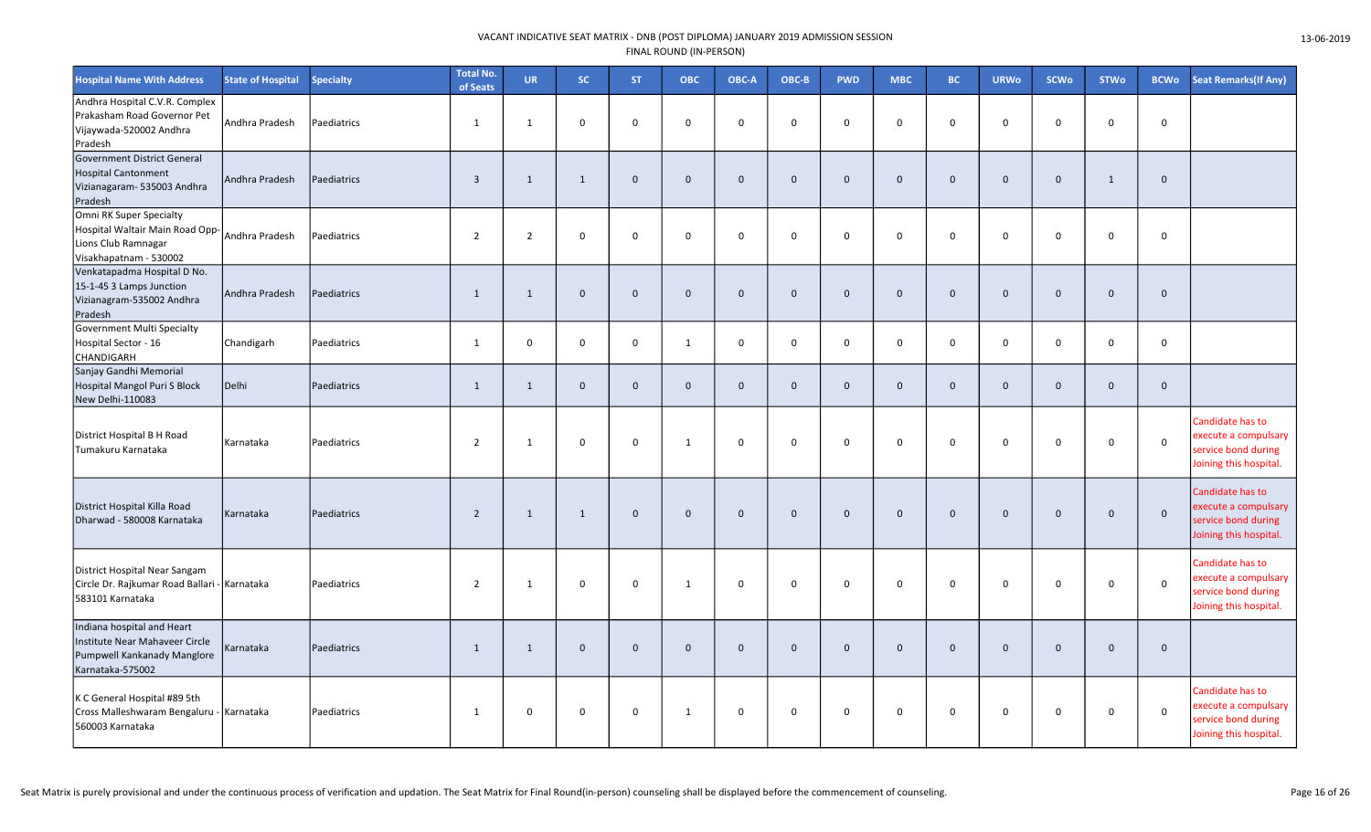| <b>Hospital Name With Address</b>                                                                               | <b>State of Hospital</b> | <b>Specialty</b> | <b>Total No.</b><br>of Seats | <b>UR</b>      | SC.          | <b>ST</b>    | <b>OBC</b>     | OBC-A        | OBC-B        | <b>PWD</b>   | <b>MBC</b>   | BC.          | <b>URWo</b>  | <b>SCWo</b> | <b>STWo</b>  | <b>BCWo</b>  | <b>Seat Remarks (If Any)</b>                                                              |
|-----------------------------------------------------------------------------------------------------------------|--------------------------|------------------|------------------------------|----------------|--------------|--------------|----------------|--------------|--------------|--------------|--------------|--------------|--------------|-------------|--------------|--------------|-------------------------------------------------------------------------------------------|
| Andhra Hospital C.V.R. Complex<br>Prakasham Road Governor Pet<br>Vijaywada-520002 Andhra<br>Pradesh             | Andhra Pradesh           | Paediatrics      | 1                            | $\mathbf{1}$   | $\mathbf 0$  | $\mathsf{O}$ | $\mathbf 0$    | $\mathbf 0$  | $\mathbf 0$  | $\Omega$     | $\mathbf 0$  | $\Omega$     | $\mathbf 0$  | $\mathbf 0$ | $\mathbf 0$  | $\mathbf 0$  |                                                                                           |
| Government District General<br><b>Hospital Cantonment</b><br>Vizianagaram- 535003 Andhra<br>Pradesh             | Andhra Pradesh           | Paediatrics      | $\overline{3}$               | $\mathbf{1}$   | $\mathbf{1}$ | $\mathbf{0}$ | $\overline{0}$ | $\Omega$     | $\mathbf 0$  | $\mathbf{0}$ | $\mathbf 0$  | $\mathbf{0}$ | $\mathbf{0}$ | $\mathbf 0$ | $\mathbf{1}$ | $\mathbf 0$  |                                                                                           |
| Omni RK Super Specialty<br>Hospital Waltair Main Road Opp-<br>Lions Club Ramnagar<br>Visakhapatnam - 530002     | Andhra Pradesh           | Paediatrics      | $\overline{2}$               | $\overline{2}$ | $\mathbf 0$  | $\mathbf 0$  | $\mathbf 0$    | $\Omega$     | $\mathbf 0$  | $\mathbf 0$  | $\mathsf 0$  | $\mathbf 0$  | $\mathbf 0$  | $\mathbf 0$ | $\mathbf 0$  | $\mathsf 0$  |                                                                                           |
| Venkatapadma Hospital D No.<br>15-1-45 3 Lamps Junction<br>Vizianagram-535002 Andhra<br>Pradesh                 | Andhra Pradesh           | Paediatrics      | $\mathbf{1}$                 | $\mathbf{1}$   | $\mathbf 0$  | $\mathbf 0$  | $\mathbf 0$    | $\mathbf 0$  | $\mathbf 0$  | $\mathbf 0$  | $\mathbf 0$  | $\mathbf 0$  | $\mathbf 0$  | $\mathbf 0$ | $\mathbf 0$  | $\mathbf 0$  |                                                                                           |
| Government Multi Specialty<br>Hospital Sector - 16<br>CHANDIGARH                                                | Chandigarh               | Paediatrics      | $\mathbf{1}$                 | $\mathbf 0$    | 0            | $\mathsf{O}$ | 1              | 0            | $\mathbf 0$  | $\mathsf 0$  | $\mathbf 0$  | $\mathbf 0$  | $\mathsf{O}$ | $\mathbf 0$ | 0            | $\mathsf 0$  |                                                                                           |
| Sanjay Gandhi Memorial<br>Hospital Mangol Puri S Block<br>New Delhi-110083                                      | Delhi                    | Paediatrics      | 1                            | $\mathbf{1}$   | $\mathbf 0$  | $\mathbf 0$  | $\mathbf{0}$   | $\mathbf{0}$ | $\mathbf 0$  | $\mathbf{0}$ | $\mathbf{0}$ | $\mathbf{0}$ | $\mathbf{0}$ | $\mathbf 0$ | $\mathbf 0$  | $\mathbf{0}$ |                                                                                           |
| District Hospital B H Road<br>Tumakuru Karnataka                                                                | Karnataka                | Paediatrics      | $\overline{2}$               | $\mathbf{1}$   | $\Omega$     | 0            | 1              | $\Omega$     | $\Omega$     | $\Omega$     | $\mathbf 0$  | $\Omega$     | $\Omega$     | $\mathbf 0$ | $\Omega$     | $\Omega$     | Candidate has to<br>execute a compulsary<br>service bond during<br>Joining this hospital. |
| District Hospital Killa Road<br>Dharwad - 580008 Karnataka                                                      | Karnataka                | Paediatrics      | $\overline{2}$               | $\mathbf{1}$   | $\mathbf{1}$ | $\Omega$     | $\Omega$       | $\Omega$     | $\mathbf{0}$ | $\Omega$     | $\mathbf{0}$ | $\mathbf{0}$ | $\Omega$     | $\Omega$    | $\Omega$     | $\mathbf 0$  | Candidate has to<br>execute a compulsary<br>service bond during<br>Joining this hospital. |
| District Hospital Near Sangam<br>Circle Dr. Rajkumar Road Ballari - Karnataka<br>583101 Karnataka               |                          | Paediatrics      | $\overline{2}$               | $\mathbf{1}$   | 0            | $\mathbf 0$  | $\mathbf{1}$   | $\mathbf 0$  | $\mathbf 0$  | $\mathbf 0$  | $\mathbf 0$  | $\mathbf 0$  | $\mathbf 0$  | $\mathsf 0$ | $\mathbf 0$  | $\mathbf 0$  | Candidate has to<br>execute a compulsary<br>service bond during<br>Joining this hospital. |
| Indiana hospital and Heart<br>Institute Near Mahaveer Circle<br>Pumpwell Kankanady Manglore<br>Karnataka-575002 | Karnataka                | Paediatrics      | 1                            | $\mathbf{1}$   | $\mathbf 0$  | $\mathbf{0}$ | $\overline{0}$ | $\mathbf{0}$ | $\mathbf{0}$ | $\mathbf{0}$ | $\mathbf{0}$ | $\mathbf{0}$ | $\mathbf{0}$ | $\mathbf 0$ | $\mathbf 0$  | $\mathbf 0$  |                                                                                           |
| K C General Hospital #89 5th<br>Cross Malleshwaram Bengaluru - Karnataka<br>560003 Karnataka                    |                          | Paediatrics      | 1                            | $\mathbf 0$    | 0            | 0            | 1              | $\mathbf 0$  | $\mathbf 0$  | $\mathbf 0$  | $\mathbf 0$  | 0            | 0            | $\mathbf 0$ | $\mathbf 0$  | $\mathsf 0$  | Candidate has to<br>execute a compulsary<br>service bond during<br>Joining this hospital. |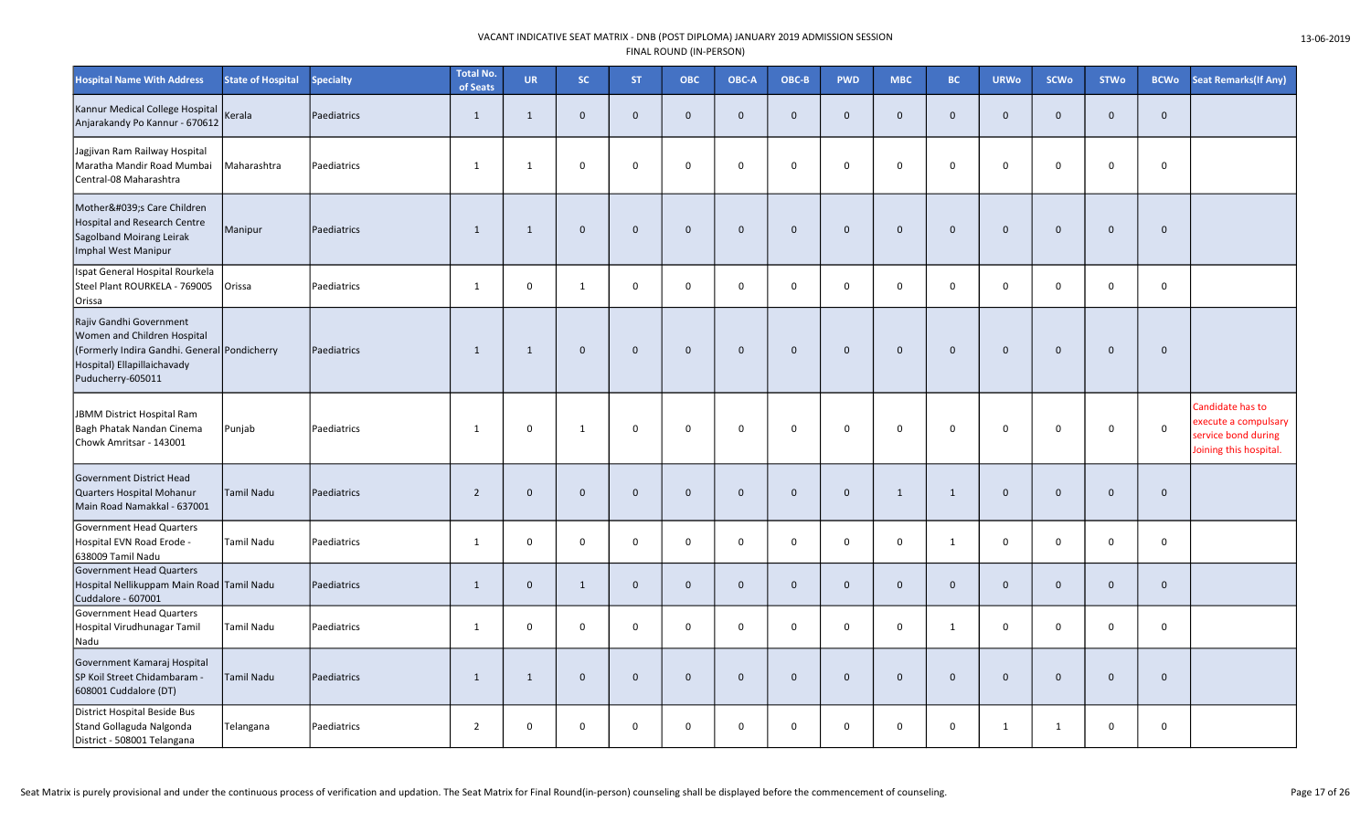| <b>Hospital Name With Address</b>                                                                                                                          | <b>State of Hospital</b> | <b>Specialty</b> | <b>Total No.</b><br>of Seats | <b>UR</b>    | SC.          | <b>ST</b>    | <b>OBC</b>   | OBC-A        | OBC-B        | <b>PWD</b>   | <b>MBC</b>   | BC.            | <b>URWo</b>  | <b>SCWo</b>  | <b>STWo</b>  | <b>BCWo</b>  | <b>Seat Remarks (If Any)</b>                                                              |
|------------------------------------------------------------------------------------------------------------------------------------------------------------|--------------------------|------------------|------------------------------|--------------|--------------|--------------|--------------|--------------|--------------|--------------|--------------|----------------|--------------|--------------|--------------|--------------|-------------------------------------------------------------------------------------------|
| Kannur Medical College Hospital<br>Anjarakandy Po Kannur - 670612                                                                                          | Kerala                   | Paediatrics      | $\mathbf{1}$                 | $\mathbf{1}$ | $\mathbf 0$  | $\mathbf 0$  | $\mathbf 0$  | $\Omega$     | $\mathbf 0$  | $\mathbf 0$  | $\mathbf 0$  | $\overline{0}$ | $\mathbf{0}$ | $\mathbf 0$  | $\mathbf 0$  | $\mathbf 0$  |                                                                                           |
| Jagjivan Ram Railway Hospital<br>Maratha Mandir Road Mumbai<br>Central-08 Maharashtra                                                                      | Maharashtra              | Paediatrics      | $\mathbf{1}$                 | $\mathbf{1}$ | 0            | $\mathbf 0$  | $\mathbf 0$  | $\Omega$     | $\mathbf 0$  | $\mathbf 0$  | 0            | $\Omega$       | 0            | $\mathsf 0$  | $\Omega$     | $\mathsf 0$  |                                                                                           |
| Mother's Care Children<br><b>Hospital and Research Centre</b><br>Sagolband Moirang Leirak<br>Imphal West Manipur                                           | Manipur                  | Paediatrics      | $\mathbf{1}$                 | $\mathbf{1}$ | $\Omega$     | $\mathbf 0$  | $\mathbf 0$  | $\mathbf 0$  | $\mathbf 0$  | $\mathbf 0$  | $\mathbf 0$  | $\Omega$       | $\mathbf 0$  | $\mathbf 0$  | $\Omega$     | $\mathbf 0$  |                                                                                           |
| Ispat General Hospital Rourkela<br>Steel Plant ROURKELA - 769005<br>Orissa                                                                                 | Orissa                   | Paediatrics      | 1                            | $\mathsf{O}$ | 1            | $\mathbf 0$  | $\mathbf 0$  | $\mathbf 0$  | $\mathsf 0$  | $\mathbf 0$  | $\mathbf 0$  | $\mathbf 0$    | $\mathbf 0$  | $\mathbf{0}$ | $\mathbf 0$  | $\mathsf 0$  |                                                                                           |
| Rajiv Gandhi Government<br>Women and Children Hospital<br>(Formerly Indira Gandhi. General Pondicherry<br>Hospital) Ellapillaichavady<br>Puducherry-605011 |                          | Paediatrics      | 1                            | 1            | $\mathbf{0}$ | $\mathbf{0}$ | $\mathbf{0}$ | $\mathbf{0}$ | $\mathbf{0}$ | $\mathbf{0}$ | $\mathbf{0}$ | $\mathbf{0}$   | $\mathbf{0}$ | $\mathbf{0}$ | $\Omega$     | $\mathbf{0}$ |                                                                                           |
| JBMM District Hospital Ram<br>Bagh Phatak Nandan Cinema<br>Chowk Amritsar - 143001                                                                         | Punjab                   | Paediatrics      | 1                            | 0            | $\mathbf{1}$ | $\mathbf 0$  | $\mathbf 0$  | $\mathbf 0$  | $\mathbf 0$  | 0            | 0            | $\mathbf 0$    | $\mathbf 0$  | $\mathbf 0$  | $\Omega$     | $\mathsf 0$  | Candidate has to<br>execute a compulsary<br>service bond during<br>Joining this hospital. |
| Government District Head<br>Quarters Hospital Mohanur<br>Main Road Namakkal - 637001                                                                       | <b>Tamil Nadu</b>        | Paediatrics      | $\overline{2}$               | $\mathbf 0$  | $\mathbf 0$  | $\mathbf 0$  | $\mathbf{0}$ | $\mathbf{0}$ | $\mathbf 0$  | $\mathbf 0$  | $\mathbf{1}$ | 1              | $\mathbf 0$  | $\mathbf 0$  | $\mathbf{0}$ | $\mathbf 0$  |                                                                                           |
| <b>Government Head Quarters</b><br>Hospital EVN Road Erode -<br>638009 Tamil Nadu                                                                          | Tamil Nadu               | Paediatrics      | 1                            | 0            | 0            | $\mathbf 0$  | $\mathbf 0$  | $\mathbf 0$  | $\mathbf 0$  | $\mathbf 0$  | 0            | 1              | $\mathbf 0$  | $\mathbf 0$  | $\mathbf 0$  | 0            |                                                                                           |
| Government Head Quarters<br>Hospital Nellikuppam Main Road Tamil Nadu<br>Cuddalore - 607001                                                                |                          | Paediatrics      | $\mathbf{1}$                 | $\mathbf 0$  | 1            | $\mathbf{0}$ | $\mathbf{0}$ | $\mathbf{0}$ | $\mathbf 0$  | $\mathbf{0}$ | $\mathbf{0}$ | $\mathbf 0$    | $\mathbf{0}$ | $\mathbf 0$  | $\mathbf{0}$ | $\mathbf{0}$ |                                                                                           |
| <b>Government Head Quarters</b><br>Hospital Virudhunagar Tamil<br>Nadu                                                                                     | Tamil Nadu               | Paediatrics      | $\mathbf{1}$                 | 0            | $\mathbf 0$  | $\mathbf 0$  | $\mathbf 0$  | $\mathbf{0}$ | $\pmb{0}$    | 0            | 0            | $\mathbf{1}$   | $\mathbf 0$  | $\mathsf 0$  | $\mathsf 0$  | $\mathsf 0$  |                                                                                           |
| Government Kamaraj Hospital<br>SP Koil Street Chidambaram -<br>608001 Cuddalore (DT)                                                                       | Tamil Nadu               | Paediatrics      | $\mathbf{1}$                 | $\mathbf{1}$ | $\mathbf 0$  | $\mathbf 0$  | $\mathbf 0$  | $\mathbf{0}$ | $\mathbf 0$  | $\mathbf 0$  | $\mathbf 0$  | $\mathbf{0}$   | $\mathbf 0$  | $\mathbf 0$  | $\mathbf 0$  | $\mathbf 0$  |                                                                                           |
| District Hospital Beside Bus<br>Stand Gollaguda Nalgonda<br>District - 508001 Telangana                                                                    | Telangana                | Paediatrics      | $\overline{2}$               | 0            | $\mathbf 0$  | $\mathsf{O}$ | $\mathbf 0$  | $\Omega$     | $\mathbf 0$  | $\mathbf 0$  | 0            | $\Omega$       | $\mathbf{1}$ | 1            | $\mathbf 0$  | $\mathbf 0$  |                                                                                           |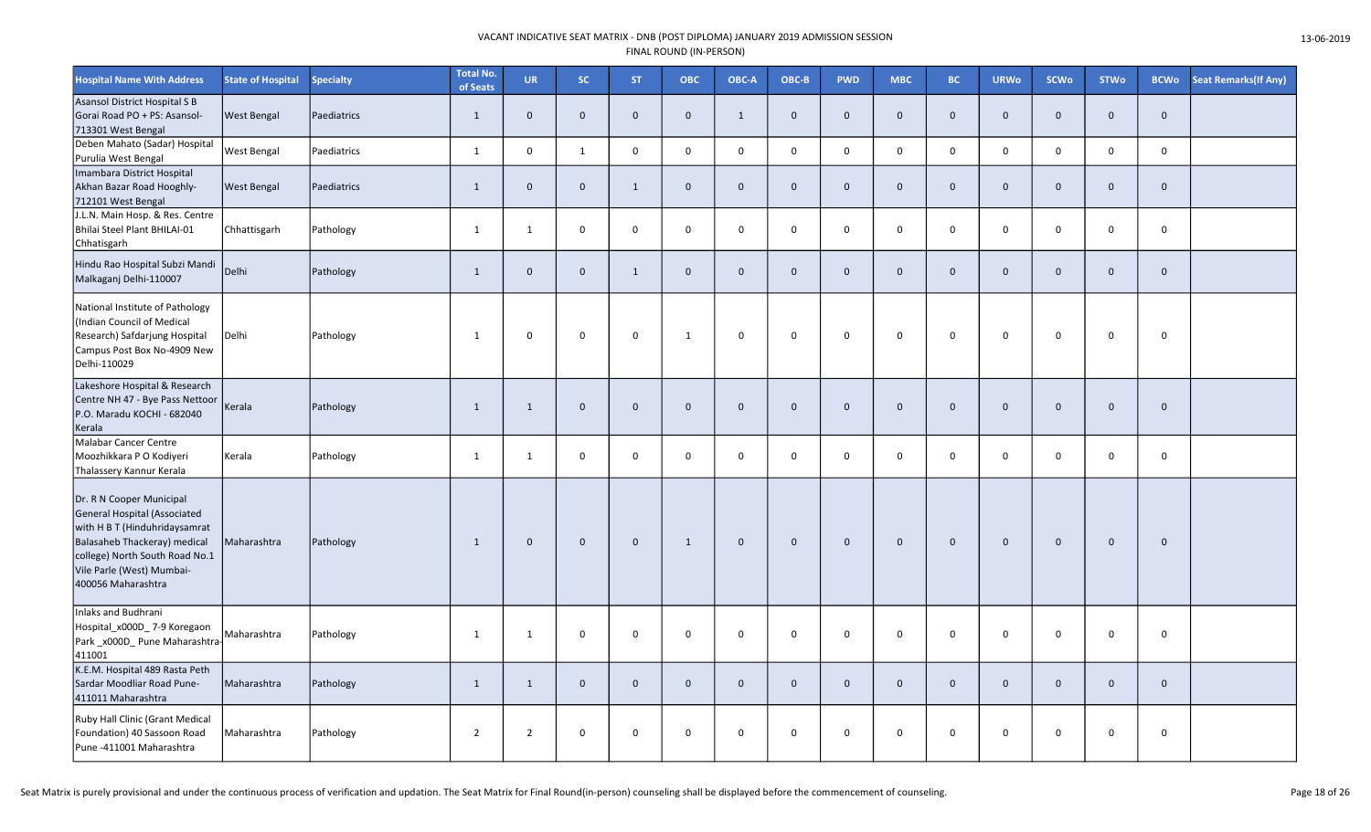| <b>Hospital Name With Address</b>                                                                                                                                                                              | <b>State of Hospital</b> | <b>Specialty</b> | <b>Total No.</b><br>of Seats | <b>UR</b>      | SC.          | <b>ST</b>    | <b>OBC</b>     | OBC-A        | OBC-B        | <b>PWD</b>   | <b>MBC</b>   | BC.          | <b>URWo</b>    | <b>SCWo</b> | <b>STWo</b>  | <b>BCWo</b>  | <b>Seat Remarks (If Any)</b> |
|----------------------------------------------------------------------------------------------------------------------------------------------------------------------------------------------------------------|--------------------------|------------------|------------------------------|----------------|--------------|--------------|----------------|--------------|--------------|--------------|--------------|--------------|----------------|-------------|--------------|--------------|------------------------------|
| Asansol District Hospital S B<br>Gorai Road PO + PS: Asansol-<br>713301 West Bengal                                                                                                                            | <b>West Bengal</b>       | Paediatrics      | $\mathbf{1}$                 | $\mathbf{0}$   | $\mathbf{0}$ | $\mathbf{0}$ | $\overline{0}$ | $\mathbf{1}$ | $\mathbf{0}$ | $\mathbf{0}$ | $\mathbf{0}$ | $\mathbf{0}$ | $\mathbf{0}$   | $\mathbf 0$ | $\mathbf 0$  | $\mathbf{0}$ |                              |
| Deben Mahato (Sadar) Hospital<br>Purulia West Bengal                                                                                                                                                           | <b>West Bengal</b>       | Paediatrics      | 1                            | 0              | 1            | $\mathbf{0}$ | $\mathbf 0$    | $\mathbf{0}$ | $\mathbf 0$  | $\mathbf 0$  | $\mathbf 0$  | $\mathbf 0$  | $\mathbf{0}$   | $\mathsf 0$ | $\mathbf 0$  | $\mathsf 0$  |                              |
| Imambara District Hospital<br>Akhan Bazar Road Hooghly-<br>712101 West Bengal                                                                                                                                  | <b>West Bengal</b>       | Paediatrics      | $\mathbf{1}$                 | $\mathbf 0$    | $\mathbf 0$  | $\mathbf{1}$ | $\mathbf{0}$   | $\mathbf{0}$ | $\mathbf 0$  | $\mathbf{0}$ | $\mathbf 0$  | $\Omega$     | $\mathbf{0}$   | $\mathbf 0$ | $\mathbf 0$  | $\mathbf 0$  |                              |
| J.L.N. Main Hosp. & Res. Centre<br>Bhilai Steel Plant BHILAI-01<br>Chhatisgarh                                                                                                                                 | Chhattisgarh             | Pathology        | $\mathbf{1}$                 | $\mathbf{1}$   | $\mathbf 0$  | $\mathbf 0$  | $\mathbf 0$    | $\mathbf 0$  | $\mathsf 0$  | $\mathbf 0$  | $\mathbf 0$  | $\mathbf{0}$ | $\mathbf 0$    | $\mathsf 0$ | $\mathbf 0$  | $\mathbf 0$  |                              |
| Hindu Rao Hospital Subzi Mandi<br>Malkaganj Delhi-110007                                                                                                                                                       | Delhi                    | Pathology        | 1                            | $\mathbf 0$    | $\mathbf 0$  | $\mathbf{1}$ | $\mathbf 0$    | $\mathbf{0}$ | $\mathbf 0$  | $\mathbf{0}$ | $\mathbf 0$  | $\mathbf{0}$ | $\mathbf{0}$   | $\mathbf 0$ | $\mathbf{0}$ | $\mathbf 0$  |                              |
| National Institute of Pathology<br>(Indian Council of Medical<br>Research) Safdarjung Hospital<br>Campus Post Box No-4909 New<br>Delhi-110029                                                                  | Delhi                    | Pathology        | 1                            | 0              | $\mathbf 0$  | $\mathbf 0$  | 1              | $\mathbf 0$  | $\mathsf 0$  | $\mathbf 0$  | $\mathsf{o}$ | $\mathbf 0$  | $\mathbf 0$    | $\mathbf 0$ | $\mathbf 0$  | $\mathbf 0$  |                              |
| Lakeshore Hospital & Research<br>Centre NH 47 - Bye Pass Nettoor<br>P.O. Maradu KOCHI - 682040<br>Kerala                                                                                                       | Kerala                   | Pathology        | 1                            | $\mathbf{1}$   | $\mathbf 0$  | $\mathbf 0$  | $\mathbf 0$    | $\mathbf{0}$ | $\mathbf 0$  | $\mathbf 0$  | $\mathbf 0$  | $\mathbf{0}$ | $\mathbf 0$    | $\mathbf 0$ | $\mathbf 0$  | $\mathbf 0$  |                              |
| Malabar Cancer Centre<br>Moozhikkara P O Kodiyeri<br>Thalassery Kannur Kerala                                                                                                                                  | Kerala                   | Pathology        | $\mathbf{1}$                 | $\mathbf{1}$   | $\mathbf 0$  | $\mathbf 0$  | $\mathbf 0$    | $\mathbf 0$  | $\mathsf 0$  | $\mathsf{O}$ | 0            | $\mathbf 0$  | $\mathbf 0$    | $\mathsf 0$ | $\mathbf 0$  | $\mathbf 0$  |                              |
| Dr. R N Cooper Municipal<br>General Hospital (Associated<br>with H B T (Hinduhridaysamrat<br>Balasaheb Thackeray) medical<br>college) North South Road No.1<br>Vile Parle (West) Mumbai-<br>400056 Maharashtra | Maharashtra              | Pathology        | 1                            | $\mathbf 0$    | $\mathbf 0$  | $\mathbf 0$  | 1              | $\mathbf 0$  | $\mathbf 0$  | $\mathbf{0}$ | $\mathbf 0$  | $\mathbf 0$  | $\mathbf 0$    | $\mathbf 0$ | $\mathbf{0}$ | $\mathbf 0$  |                              |
| Inlaks and Budhrani<br>Hospital_x000D_7-9 Koregaon<br>Park_x000D_Pune Maharashtra-<br>411001                                                                                                                   | Maharashtra              | Pathology        | 1                            | $\mathbf{1}$   | $\mathbf 0$  | $\mathbf 0$  | $\mathbf 0$    | $\Omega$     | $\mathsf 0$  | 0            | $\mathsf 0$  | 0            | 0              | $\mathsf 0$ | $\mathbf 0$  | $\mathbf 0$  |                              |
| K.E.M. Hospital 489 Rasta Peth<br>Sardar Moodliar Road Pune-<br>411011 Maharashtra                                                                                                                             | Maharashtra              | Pathology        | 1                            | $\mathbf{1}$   | $\mathbf{0}$ | $\mathbf{0}$ | $\overline{0}$ | $\mathbf{0}$ | $\mathbf 0$  | $\mathbf{0}$ | $\mathbf{0}$ | $\mathbf{0}$ | $\overline{0}$ | $\mathbf 0$ | $\mathbf{0}$ | $\mathbf{0}$ |                              |
| Ruby Hall Clinic (Grant Medical<br>Foundation) 40 Sassoon Road<br>Pune -411001 Maharashtra                                                                                                                     | Maharashtra              | Pathology        | $\overline{2}$               | $\overline{2}$ | $\mathbf 0$  | 0            | $\mathbf 0$    | $\mathbf 0$  | $\mathsf 0$  | 0            | 0            | $\mathbf 0$  | $\mathbf 0$    | $\mathbf 0$ | $\mathbf 0$  | $\mathbf 0$  |                              |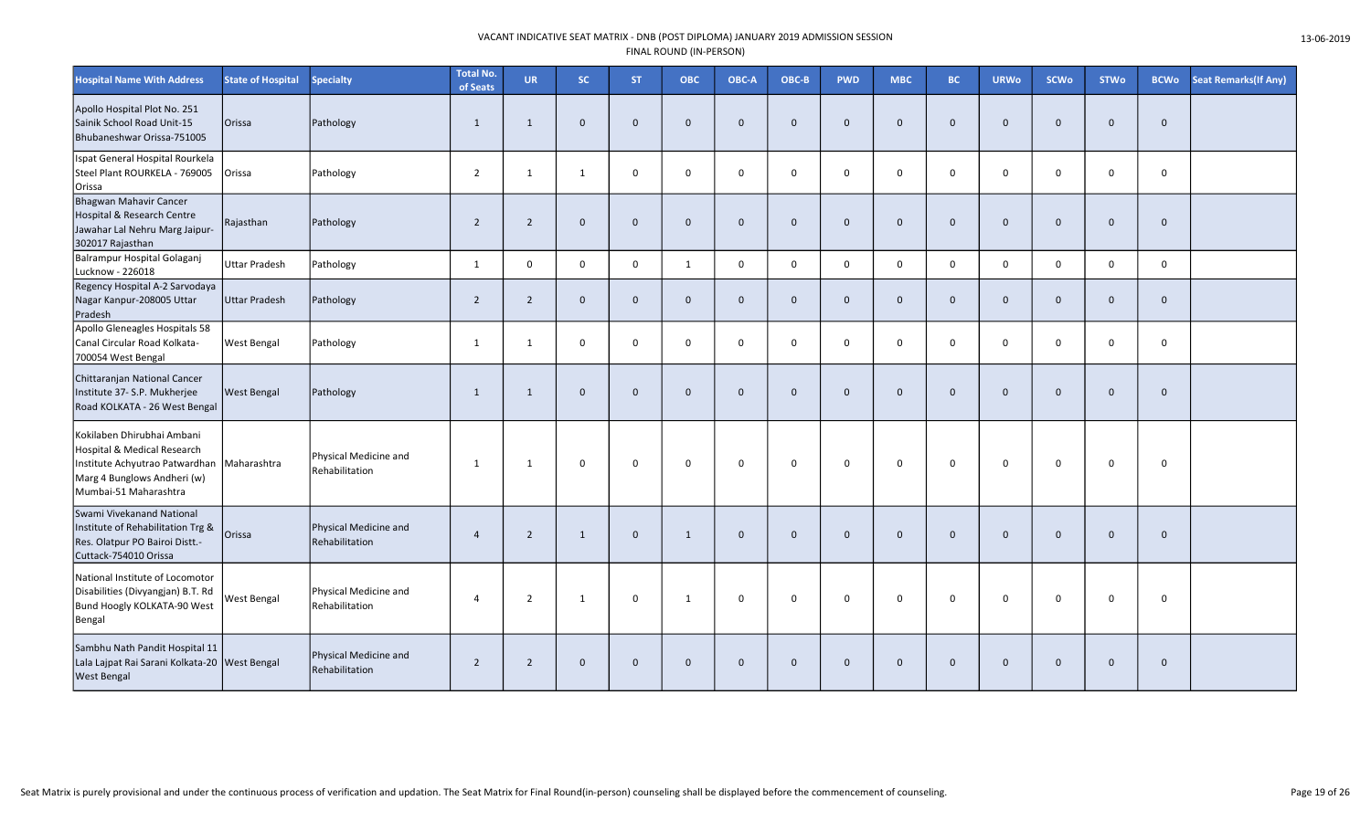| <b>Hospital Name With Address</b>                                                                                                                   | <b>State of Hospital</b> | <b>Specialty</b>                        | <b>Total No.</b><br>of Seats | <b>UR</b>      | SC.            | <b>ST</b>    | <b>OBC</b>   | OBC-A        | OBC-B        | <b>PWD</b>   | <b>MBC</b>   | BC.            | <b>URWo</b>  | <b>SCWo</b>  | <b>STWo</b>  | <b>BCWo</b>  | Seat Remarks(If Any) |
|-----------------------------------------------------------------------------------------------------------------------------------------------------|--------------------------|-----------------------------------------|------------------------------|----------------|----------------|--------------|--------------|--------------|--------------|--------------|--------------|----------------|--------------|--------------|--------------|--------------|----------------------|
| Apollo Hospital Plot No. 251<br>Sainik School Road Unit-15<br>Bhubaneshwar Orissa-751005                                                            | Orissa                   | Pathology                               | $\mathbf{1}$                 | $\mathbf{1}$   | $\overline{0}$ | $\mathbf 0$  | $\mathbf{0}$ | $\mathbf{0}$ | $\mathbf{0}$ | $\mathbf{0}$ | $\mathbf{0}$ | $\Omega$       | $\mathbf{0}$ | $\mathbf{0}$ | $\mathbf{0}$ | $\mathbf{0}$ |                      |
| Ispat General Hospital Rourkela<br>Steel Plant ROURKELA - 769005<br>Orissa                                                                          | Orissa                   | Pathology                               | $\overline{2}$               | 1              | 1              | $\mathbf 0$  | $\Omega$     | $\mathbf 0$  | $\mathbf 0$  | $\mathbf 0$  | 0            | $\mathbf{0}$   | $\mathbf 0$  | $\mathbf 0$  | $\mathbf 0$  | $\mathbf 0$  |                      |
| Bhagwan Mahavir Cancer<br>Hospital & Research Centre<br>Jawahar Lal Nehru Marg Jaipur-<br>302017 Rajasthan                                          | Rajasthan                | Pathology                               | $\overline{2}$               | $\overline{2}$ | $\overline{0}$ | $\mathbf 0$  | $\mathbf{0}$ | $\mathbf{0}$ | $\mathbf 0$  | $\mathbf{0}$ | $\mathbf{0}$ | $\overline{0}$ | $\mathbf{0}$ | $\mathbf{0}$ | $\Omega$     | $\mathbf 0$  |                      |
| Balrampur Hospital Golaganj<br>Lucknow - 226018                                                                                                     | <b>Uttar Pradesh</b>     | Pathology                               | 1                            | $\mathbf 0$    | $\mathbf 0$    | $\mathbf 0$  | 1            | $\mathbf 0$  | $\mathbf 0$  | $\mathbf 0$  | $\mathbf 0$  | $\mathbf 0$    | $\mathbf 0$  | $\mathbf 0$  | $\mathbf 0$  | $\mathbf 0$  |                      |
| Regency Hospital A-2 Sarvodaya<br>Nagar Kanpur-208005 Uttar<br>Pradesh                                                                              | Uttar Pradesh            | Pathology                               | $\overline{2}$               | $\overline{2}$ | $\mathbf{0}$   | $\mathbf{0}$ | $\Omega$     | $\Omega$     | $\mathbf{0}$ | $\mathbf{0}$ | $\mathbf{0}$ | $\overline{0}$ | $\mathbf{0}$ | $\mathbf{0}$ | $\mathbf{0}$ | $\mathbf{0}$ |                      |
| Apollo Gleneagles Hospitals 58<br>Canal Circular Road Kolkata-<br>700054 West Bengal                                                                | <b>West Bengal</b>       | Pathology                               | $\mathbf{1}$                 | 1              | $\mathbf 0$    | $\mathbf 0$  | $\Omega$     | $\Omega$     | $\mathbf 0$  | $\mathbf 0$  | 0            | $\overline{0}$ | 0            | $\mathbf 0$  | $\Omega$     | $\mathbf 0$  |                      |
| Chittaranjan National Cancer<br>Institute 37- S.P. Mukherjee<br>Road KOLKATA - 26 West Bengal                                                       | <b>West Bengal</b>       | Pathology                               | $\mathbf{1}$                 | 1              | $\overline{0}$ | $\mathbf{0}$ | $\Omega$     | $\Omega$     | $\mathbf{0}$ | $\Omega$     | $\Omega$     | $\overline{0}$ | $\mathbf{0}$ | $\mathbf{0}$ | $\Omega$     | $\mathbf{0}$ |                      |
| Kokilaben Dhirubhai Ambani<br>Hospital & Medical Research<br>Institute Achyutrao Patwardhan<br>Marg 4 Bunglows Andheri (w)<br>Mumbai-51 Maharashtra | Maharashtra              | Physical Medicine and<br>Rehabilitation | -1                           | 1              | $\mathbf 0$    | $\mathbf 0$  | $\mathbf 0$  | $\mathbf 0$  | 0            | 0            | 0            | 0              | 0            | $\mathbf 0$  | $\Omega$     | $\mathsf{o}$ |                      |
| Swami Vivekanand National<br>Institute of Rehabilitation Trg &<br>Res. Olatpur PO Bairoi Distt.-<br>Cuttack-754010 Orissa                           | Orissa                   | Physical Medicine and<br>Rehabilitation | $\overline{4}$               | $\overline{2}$ | $\mathbf{1}$   | $\mathbf 0$  | 1            | $\Omega$     | $\mathbf{0}$ | $\Omega$     | $\mathbf{0}$ | $\overline{0}$ | $\Omega$     | $\mathbf{0}$ | $\Omega$     | $\mathbf{0}$ |                      |
| National Institute of Locomotor<br>Disabilities (Divyangjan) B.T. Rd<br>Bund Hoogly KOLKATA-90 West<br>Bengal                                       | West Bengal              | Physical Medicine and<br>Rehabilitation | $\overline{4}$               | $\overline{2}$ | $\mathbf{1}$   | $\mathbf 0$  | 1            | $\mathbf 0$  | $\mathsf{O}$ | $\mathbf 0$  | 0            | $\mathbf 0$    | $\mathbf 0$  | $\mathbf 0$  | $\mathbf 0$  | $\mathsf 0$  |                      |
| Sambhu Nath Pandit Hospital 11<br>Lala Lajpat Rai Sarani Kolkata-20 West Bengal<br><b>West Bengal</b>                                               |                          | Physical Medicine and<br>Rehabilitation | $\overline{2}$               | $\overline{2}$ | $\mathbf 0$    | $\mathbf 0$  | $\mathbf 0$  | $\Omega$     | $\mathbf 0$  | $\mathbf 0$  | $\mathbf 0$  | $\Omega$       | $\Omega$     | $\mathbf 0$  | $\Omega$     | $\mathbf 0$  |                      |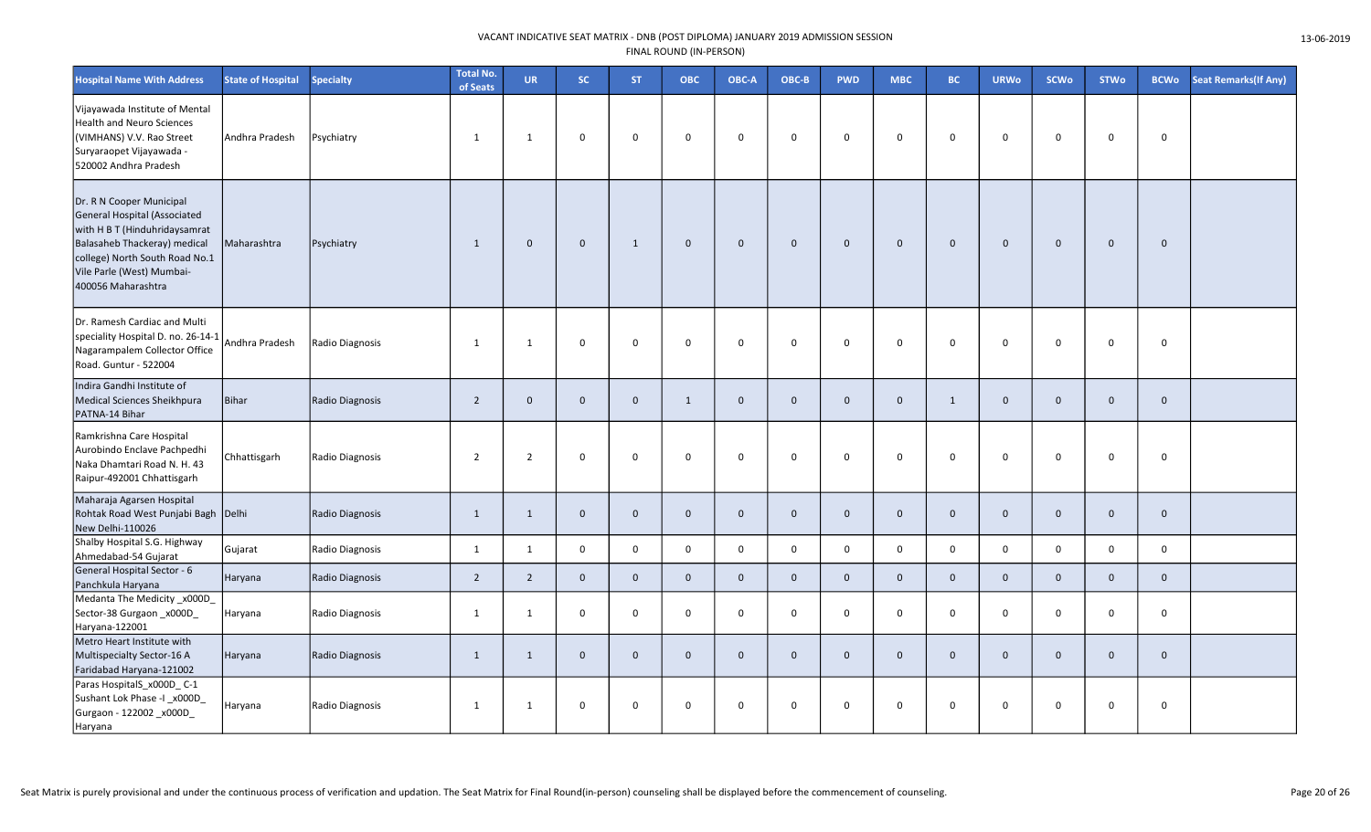| <b>Hospital Name With Address</b>                                                                                                                                                                              | <b>State of Hospital</b> | <b>Specialty</b> | Total No.<br>of Seats | <b>UR</b>      | <b>SC</b>    | <b>ST</b>    | ОВС          | OBC-A        | OBC-B        | <b>PWD</b>   | <b>MBC</b>     | <b>BC</b>      | <b>URWo</b>  | <b>SCWo</b>  | <b>STWo</b>  | <b>BCWo</b>  | <b>Seat Remarks (If Any)</b> |
|----------------------------------------------------------------------------------------------------------------------------------------------------------------------------------------------------------------|--------------------------|------------------|-----------------------|----------------|--------------|--------------|--------------|--------------|--------------|--------------|----------------|----------------|--------------|--------------|--------------|--------------|------------------------------|
| Vijayawada Institute of Mental<br><b>Health and Neuro Sciences</b><br>(VIMHANS) V.V. Rao Street<br>Suryaraopet Vijayawada -<br>520002 Andhra Pradesh                                                           | Andhra Pradesh           | Psychiatry       | 1                     | 1              | $\mathbf 0$  | $\Omega$     | $\mathbf 0$  | $\mathbf 0$  | $\mathbf 0$  | $\mathbf 0$  | $\mathbf 0$    | $\mathbf 0$    | $\mathbf 0$  | $\mathbf 0$  | $\mathbf 0$  | 0            |                              |
| Dr. R N Cooper Municipal<br>General Hospital (Associated<br>with H B T (Hinduhridaysamrat<br>Balasaheb Thackeray) medical<br>college) North South Road No.1<br>Vile Parle (West) Mumbai-<br>400056 Maharashtra | Maharashtra              | Psychiatry       | 1                     | $\mathbf 0$    | $\mathbf 0$  | 1            | $\mathbf 0$  | $\mathbf 0$  | $\mathbf 0$  | $\mathbf 0$  | $\mathbf 0$    | $\mathbf 0$    | $\mathbf 0$  | $\mathbf 0$  | $\mathbf{0}$ | $\mathbf 0$  |                              |
| Dr. Ramesh Cardiac and Multi<br>speciality Hospital D. no. 26-14-1<br>Nagarampalem Collector Office<br>Road. Guntur - 522004                                                                                   | Andhra Pradesh           | Radio Diagnosis  | 1                     | 1              | $\mathbf 0$  | $\Omega$     | $\mathbf 0$  | $\mathbf 0$  | $\mathbf 0$  | $\mathbf 0$  | $\mathbf 0$    | $\mathbf 0$    | $\mathbf 0$  | $\mathbf 0$  | $\mathbf 0$  | 0            |                              |
| Indira Gandhi Institute of<br>Medical Sciences Sheikhpura<br>PATNA-14 Bihar                                                                                                                                    | <b>Bihar</b>             | Radio Diagnosis  | $\overline{2}$        | $\mathbf{0}$   | $\mathbf{0}$ | $\mathbf{0}$ | 1            | $\mathbf{0}$ | $\mathbf{0}$ | $\mathbf{0}$ | $\mathbf{0}$   | 1              | $\Omega$     | $\mathbf{0}$ | $\mathbf{0}$ | $\mathbf{0}$ |                              |
| Ramkrishna Care Hospital<br>Aurobindo Enclave Pachpedhi<br>Naka Dhamtari Road N. H. 43<br>Raipur-492001 Chhattisgarh                                                                                           | Chhattisgarh             | Radio Diagnosis  | $\overline{2}$        | $\overline{2}$ | $\mathbf 0$  | $\Omega$     | $\mathbf 0$  | $\mathbf 0$  | $\mathbf 0$  | $\mathbf 0$  | $\mathbf 0$    | $\mathbf 0$    | $\mathbf 0$  | $\mathbf 0$  | $\mathbf 0$  | 0            |                              |
| Maharaja Agarsen Hospital<br>Rohtak Road West Punjabi Bagh<br>New Delhi-110026                                                                                                                                 | Delhi                    | Radio Diagnosis  | 1                     | $\mathbf{1}$   | $\mathbf 0$  | $\mathbf 0$  | $\mathbf{0}$ | $\mathbf 0$  | $\mathbf 0$  | $\mathbf{0}$ | $\mathbf{0}$   | $\mathbf 0$    | $\mathbf 0$  | $\mathbf 0$  | $\mathbf 0$  | $\mathbf 0$  |                              |
| Shalby Hospital S.G. Highway<br>Ahmedabad-54 Gujarat                                                                                                                                                           | Gujarat                  | Radio Diagnosis  | 1                     | 1              | $\mathbf 0$  | $\mathbf 0$  | $\mathbf 0$  | $\mathbf 0$  | $\mathbf 0$  | $\mathbf{0}$ | $\mathbf{0}$   | $\mathbf 0$    | $\mathbf{0}$ | $\mathbf 0$  | $\mathbf 0$  | $\mathbf 0$  |                              |
| General Hospital Sector - 6<br>Panchkula Haryana                                                                                                                                                               | Haryana                  | Radio Diagnosis  | $\overline{2}$        | $\overline{2}$ | $\mathbf{0}$ | $\mathbf{0}$ | $\mathbf{0}$ | $\mathbf{0}$ | $\mathbf 0$  | $\mathbf{0}$ | $\mathbf{0}$   | $\mathbf{0}$   | $\mathbf{0}$ | $\mathbf 0$  | $\mathbf{0}$ | $\mathbf{0}$ |                              |
| Medanta The Medicity_x000D_<br>Sector-38 Gurgaon_x000D_<br>Haryana-122001                                                                                                                                      | Haryana                  | Radio Diagnosis  | 1                     | $\mathbf{1}$   | $\mathbf 0$  | $\mathbf 0$  | $\mathbf 0$  | $\Omega$     | $\mathbf 0$  | $\mathbf 0$  | $\mathbf 0$    | $\Omega$       | $\Omega$     | $\mathbf 0$  | $\mathbf 0$  | $\Omega$     |                              |
| Metro Heart Institute with<br>Multispecialty Sector-16 A<br>Faridabad Haryana-121002                                                                                                                           | Haryana                  | Radio Diagnosis  | 1                     | 1              | $\mathbf 0$  | $\mathbf 0$  | $\mathbf 0$  | $\mathbf 0$  | $\mathbf 0$  | $\mathbf{0}$ | $\overline{0}$ | $\overline{0}$ | $\mathbf 0$  | $\mathbf 0$  | $\mathbf 0$  | $\mathbf 0$  |                              |
| Paras HospitalS_x000D_C-1<br>Sushant Lok Phase -I_x000D_<br>Gurgaon - 122002 _x000D_<br>Haryana                                                                                                                | Haryana                  | Radio Diagnosis  | 1                     | $\mathbf{1}$   | $\mathbf 0$  | 0            | $\mathbf 0$  | 0            | 0            | $\mathbf 0$  | $\mathbf 0$    | $\mathbf 0$    | 0            | $\mathbf 0$  | 0            | 0            |                              |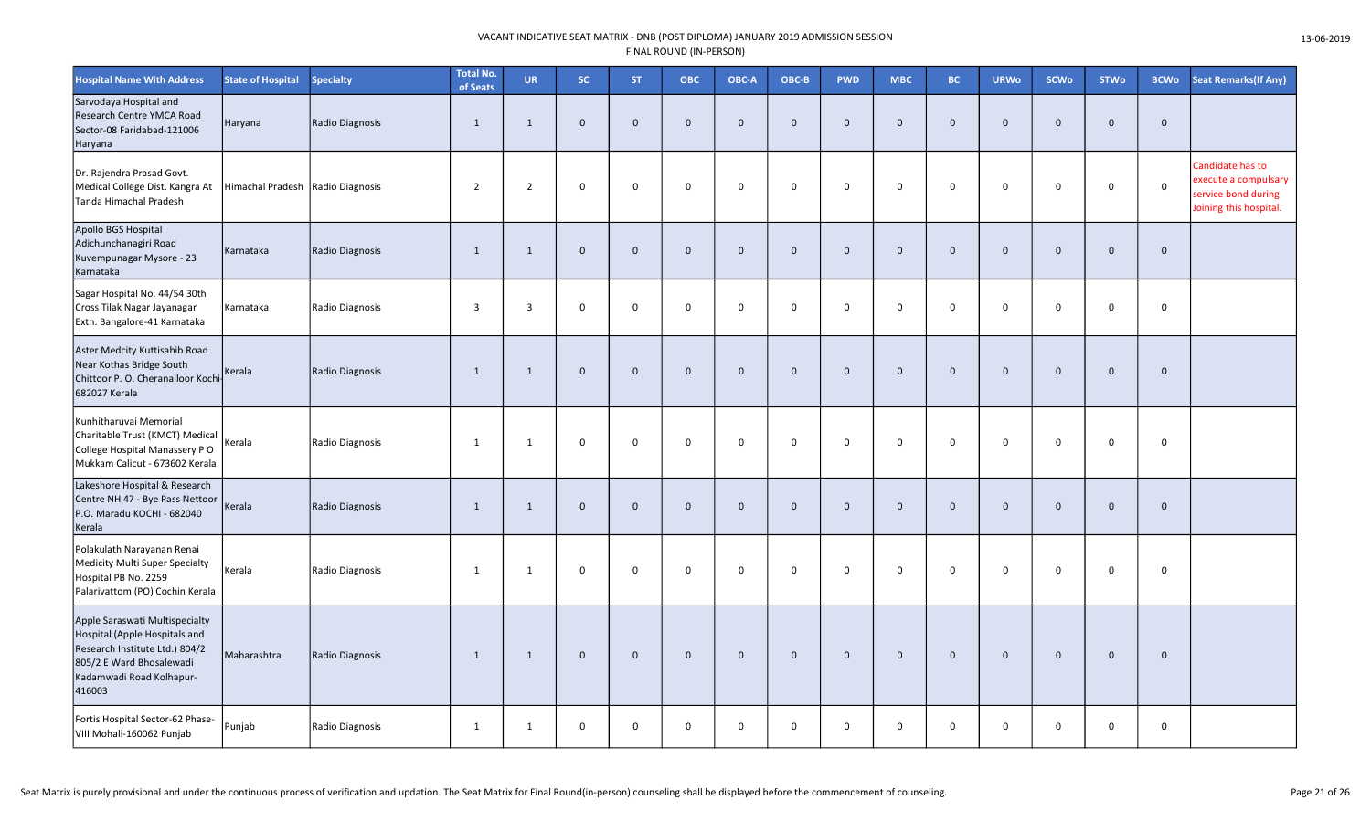| <b>Hospital Name With Address</b>                                                                                                                                   | <b>State of Hospital</b> | <b>Specialty</b> | <b>Total No.</b><br>of Seats | <b>UR</b>      | SC.          | <b>ST</b>    | ОВС          | OBC-A        | OBC-B        | <b>PWD</b>   | <b>MBC</b>   | <b>BC</b>      | <b>URWo</b>  | SCWo         | <b>STWo</b>  | <b>BCWo</b>  | <b>Seat Remarks (If Any)</b>                                                              |
|---------------------------------------------------------------------------------------------------------------------------------------------------------------------|--------------------------|------------------|------------------------------|----------------|--------------|--------------|--------------|--------------|--------------|--------------|--------------|----------------|--------------|--------------|--------------|--------------|-------------------------------------------------------------------------------------------|
| Sarvodaya Hospital and<br>Research Centre YMCA Road<br>Sector-08 Faridabad-121006<br>Haryana                                                                        | Haryana                  | Radio Diagnosis  | $\overline{1}$               | 1              | $\mathbf{0}$ | $\mathbf{0}$ | $\mathbf{0}$ | $\mathbf{0}$ | $\mathbf{0}$ | $\mathbf{0}$ | $\mathbf{0}$ | $\overline{0}$ | $\Omega$     | $\mathbf{0}$ | $\mathbf{0}$ | $\mathbf{0}$ |                                                                                           |
| Dr. Rajendra Prasad Govt.<br>Medical College Dist. Kangra At<br><b>Tanda Himachal Pradesh</b>                                                                       | Himachal Pradesh         | Radio Diagnosis  | $\overline{2}$               | $\overline{2}$ | $\mathbf 0$  | $\Omega$     | $\mathbf 0$  | $\mathbf 0$  | 0            | $\mathbf 0$  | $\mathsf 0$  | $\Omega$       | $\Omega$     | $\mathbf 0$  | $\Omega$     | $\mathbf 0$  | Candidate has to<br>execute a compulsary<br>service bond during<br>Joining this hospital. |
| Apollo BGS Hospital<br>Adichunchanagiri Road<br>Kuvempunagar Mysore - 23<br>Karnataka                                                                               | Karnataka                | Radio Diagnosis  | $\mathbf{1}$                 | $\mathbf{1}$   | $\mathbf 0$  | $\mathbf 0$  | $\mathbf 0$  | $\mathbf{0}$ | $\mathbf 0$  | $\mathbf 0$  | $\mathbf 0$  | $\mathbf{0}$   | $\Omega$     | $\mathbf 0$  | $\mathbf 0$  | $\mathbf 0$  |                                                                                           |
| Sagar Hospital No. 44/54 30th<br>Cross Tilak Nagar Jayanagar<br>Extn. Bangalore-41 Karnataka                                                                        | Karnataka                | Radio Diagnosis  | 3                            | 3              | $\mathbf 0$  | $\mathbf 0$  | $\mathbf 0$  | $\mathbf 0$  | 0            | 0            | $\mathsf 0$  | $\mathbf 0$    | $\mathbf 0$  | $\mathbf 0$  | 0            | $\mathsf{O}$ |                                                                                           |
| Aster Medcity Kuttisahib Road<br>Near Kothas Bridge South<br>Chittoor P. O. Cheranalloor Kochi<br>682027 Kerala                                                     | Kerala                   | Radio Diagnosis  | $\mathbf{1}$                 | $\mathbf{1}$   | $\mathbf 0$  | $\mathbf 0$  | $\mathbf 0$  | $\mathbf 0$  | $\mathbf 0$  | $\mathbf 0$  | $\mathbf 0$  | $\mathbf 0$    | $\mathbf{0}$ | $\mathbf 0$  | $\mathbf 0$  | $\mathbf{0}$ |                                                                                           |
| Kunhitharuvai Memorial<br>Charitable Trust (KMCT) Medical<br>College Hospital Manassery PO<br>Mukkam Calicut - 673602 Kerala                                        | Kerala                   | Radio Diagnosis  | $\mathbf{1}$                 | $\mathbf{1}$   | $\mathbf 0$  | $\mathbf 0$  | $\mathbf 0$  | $\mathbf 0$  | $\mathbf 0$  | $\mathbf 0$  | $\mathbf 0$  | $\mathbf 0$    | $\mathbf 0$  | $\mathbf 0$  | $\mathbf 0$  | $\mathsf{O}$ |                                                                                           |
| Lakeshore Hospital & Research<br>Centre NH 47 - Bye Pass Nettoor<br>P.O. Maradu KOCHI - 682040<br>Kerala                                                            | Kerala                   | Radio Diagnosis  | $\mathbf{1}$                 | $\mathbf{1}$   | $\mathbf 0$  | $\mathbf 0$  | $\mathbf 0$  | $\mathbf 0$  | $\mathbf 0$  | $\mathbf 0$  | $\mathbf 0$  | $\overline{0}$ | $\Omega$     | $\mathbf 0$  | $\mathbf 0$  | $\Omega$     |                                                                                           |
| Polakulath Narayanan Renai<br><b>Medicity Multi Super Specialty</b><br>Hospital PB No. 2259<br>Palarivattom (PO) Cochin Kerala                                      | Kerala                   | Radio Diagnosis  | 1                            | 1              | $\mathbf 0$  | $\mathbf 0$  | $\mathbf 0$  | $\mathbf 0$  | 0            | 0            | $\mathbf 0$  | $\mathbf 0$    | $\mathbf 0$  | $\mathbf 0$  | 0            | 0            |                                                                                           |
| Apple Saraswati Multispecialty<br>Hospital (Apple Hospitals and<br>Research Institute Ltd.) 804/2<br>805/2 E Ward Bhosalewadi<br>Kadamwadi Road Kolhapur-<br>416003 | Maharashtra              | Radio Diagnosis  | 1                            | 1              | $\mathbf 0$  | $\mathbf{0}$ | $\mathbf{0}$ | $\mathbf{0}$ | $\mathbf{0}$ | $\mathbf{0}$ | $\mathbf{0}$ | $\mathbf{0}$   | $\mathbf{0}$ | $\mathbf{0}$ | $\mathbf{0}$ | $\mathbf{0}$ |                                                                                           |
| Fortis Hospital Sector-62 Phase-<br>VIII Mohali-160062 Punjab                                                                                                       | Punjab                   | Radio Diagnosis  | 1                            | 1              | $\mathbf 0$  | $\mathbf 0$  | $\mathbf 0$  | $\mathbf 0$  | $\mathbf 0$  | $\mathbf 0$  | 0            | $\mathbf 0$    | $\mathbf 0$  | $\mathbf 0$  | $\mathbf 0$  | $\mathbf 0$  |                                                                                           |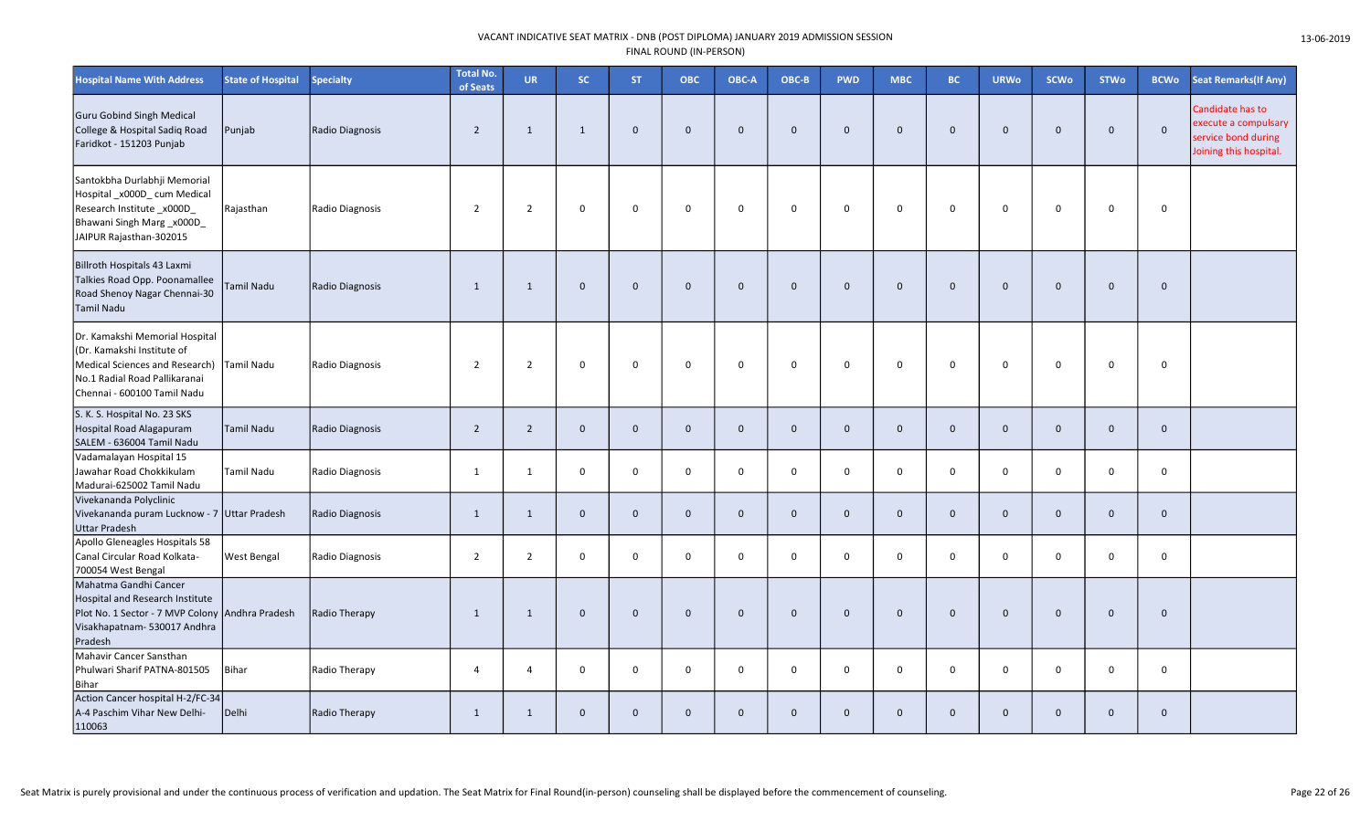| <b>Hospital Name With Address</b>                                                                                                                              | <b>State of Hospital</b> | <b>Specialty</b> | <b>Total No.</b><br>of Seats | <b>UR</b>      | SC.          | <b>ST</b>    | ОВС            | OBC-A        | OBC-B        | <b>PWD</b>   | <b>MBC</b>   | <b>BC</b>      | <b>URWo</b>  | <b>SCWo</b>  | <b>STWo</b>  | <b>BCWo</b>  | <b>Seat Remarks (If Any)</b>                                                              |
|----------------------------------------------------------------------------------------------------------------------------------------------------------------|--------------------------|------------------|------------------------------|----------------|--------------|--------------|----------------|--------------|--------------|--------------|--------------|----------------|--------------|--------------|--------------|--------------|-------------------------------------------------------------------------------------------|
| Guru Gobind Singh Medical<br>College & Hospital Sadiq Road<br>Faridkot - 151203 Punjab                                                                         | Punjab                   | Radio Diagnosis  | $\overline{2}$               | $\mathbf{1}$   | $\mathbf{1}$ | $\Omega$     | $\Omega$       | $\mathbf{0}$ | $\mathbf 0$  | $\mathbf{0}$ | $\mathbf{0}$ | $\overline{0}$ | $\Omega$     | $\mathbf{0}$ | $\Omega$     | $\mathbf{0}$ | Candidate has to<br>execute a compulsary<br>service bond during<br>Joining this hospital. |
| Santokbha Durlabhji Memorial<br>Hospital_x000D_cum Medical<br>Research Institute_x000D_<br>Bhawani Singh Marg_x000D_<br>JAIPUR Rajasthan-302015                | Rajasthan                | Radio Diagnosis  | $\overline{2}$               | $\overline{2}$ | $\mathsf 0$  | $\mathbf 0$  | $\mathbf 0$    | $\mathbf 0$  | $\mathbf 0$  | $\Omega$     | 0            | $\mathbf 0$    | $\Omega$     | $\mathbf 0$  | 0            | $\mathsf{O}$ |                                                                                           |
| Billroth Hospitals 43 Laxmi<br>Talkies Road Opp. Poonamallee<br>Road Shenoy Nagar Chennai-30<br>Tamil Nadu                                                     | <b>Tamil Nadu</b>        | Radio Diagnosis  | 1                            | $\mathbf{1}$   | $\mathbf 0$  | $\mathbf 0$  | $\mathbf{0}$   | $\mathbf{0}$ | $\mathbf 0$  | $\mathbf{0}$ | $\mathbf 0$  | $\overline{0}$ | $\mathbf 0$  | $\mathbf 0$  | $\mathbf{0}$ | $\mathbf 0$  |                                                                                           |
| Dr. Kamakshi Memorial Hospital<br>(Dr. Kamakshi Institute of<br>Medical Sciences and Research)<br>No.1 Radial Road Pallikaranai<br>Chennai - 600100 Tamil Nadu | Tamil Nadu               | Radio Diagnosis  | $\overline{2}$               | $\overline{2}$ | $\mathbf 0$  | $\mathbf 0$  | $\Omega$       | $\mathbf 0$  | $\mathbf 0$  | $\Omega$     | $\mathbf 0$  | $\mathbf 0$    | $\Omega$     | $\Omega$     | $\Omega$     | $\mathbf 0$  |                                                                                           |
| S. K. S. Hospital No. 23 SKS<br>Hospital Road Alagapuram<br>SALEM - 636004 Tamil Nadu                                                                          | <b>Tamil Nadu</b>        | Radio Diagnosis  | $\overline{2}$               | $\overline{2}$ | $\mathbf 0$  | $\mathbf 0$  | $\overline{0}$ | $\mathbf{0}$ | $\mathbf 0$  | $\mathbf 0$  | $\mathbf 0$  | $\overline{0}$ | $\Omega$     | $\mathbf 0$  | $\mathbf{0}$ | $\mathbf 0$  |                                                                                           |
| Vadamalayan Hospital 15<br>Jawahar Road Chokkikulam<br>Madurai-625002 Tamil Nadu                                                                               | <b>Tamil Nadu</b>        | Radio Diagnosis  | $\mathbf{1}$                 | 1              | $\mathbf 0$  | $\mathbf 0$  | $\mathbf 0$    | $\mathbf 0$  | $\mathsf{O}$ | 0            | $\mathbf 0$  | $\mathbf 0$    | $\mathbf{0}$ | $\mathbf 0$  | $\mathbf 0$  | $\mathsf{O}$ |                                                                                           |
| Vivekananda Polyclinic<br>Vivekananda puram Lucknow - 7 Uttar Pradesh<br><b>Uttar Pradesh</b>                                                                  |                          | Radio Diagnosis  | 1                            | $\mathbf{1}$   | $\mathbf 0$  | $\mathbf 0$  | $\mathbf{0}$   | $\mathbf 0$  | $\mathbf{0}$ | $\mathbf 0$  | $\mathbf{0}$ | $\overline{0}$ | $\mathbf 0$  | $\mathbf 0$  | $\mathbf 0$  | $\mathbf 0$  |                                                                                           |
| Apollo Gleneagles Hospitals 58<br>Canal Circular Road Kolkata-<br>700054 West Bengal                                                                           | <b>West Bengal</b>       | Radio Diagnosis  | $\overline{2}$               | $\overline{2}$ | $\mathbf 0$  | 0            | $\mathbf 0$    | $\mathbf 0$  | $\mathbf 0$  | 0            | 0            | $\mathbf 0$    | $\mathbf 0$  | $\mathbf 0$  | $\mathbf 0$  | $\mathsf{O}$ |                                                                                           |
| Mahatma Gandhi Cancer<br>Hospital and Research Institute<br>Plot No. 1 Sector - 7 MVP Colony Andhra Pradesh<br>Visakhapatnam- 530017 Andhra<br>Pradesh         |                          | Radio Therapy    | $\mathbf{1}$                 | 1              | $\mathbf 0$  | $\mathbf{0}$ | $\mathbf{0}$   | $\mathbf{0}$ | $\mathbf{0}$ | $\Omega$     | $\Omega$     | $\overline{0}$ | $\mathbf{0}$ | $\mathbf{0}$ | $\mathbf{0}$ | $\mathbf{0}$ |                                                                                           |
| Mahavir Cancer Sansthan<br>Phulwari Sharif PATNA-801505<br>Bihar                                                                                               | Bihar                    | Radio Therapy    | $\overline{4}$               | 4              | $\pmb{0}$    | $\mathsf 0$  | $\mathbf 0$    | $\mathbf 0$  | $\mathbf 0$  | 0            | $\mathsf 0$  | $\mathbf 0$    | $\mathbf 0$  | $\mathsf 0$  | $\mathbf 0$  | $\mathbf 0$  |                                                                                           |
| Action Cancer hospital H-2/FC-34<br>A-4 Paschim Vihar New Delhi-<br>110063                                                                                     | Delhi                    | Radio Therapy    | 1                            | $\mathbf{1}$   | $\mathbf 0$  | $\mathbf 0$  | $\mathbf{0}$   | $\mathbf{0}$ | $\mathbf{0}$ | $\Omega$     | $\mathbf{0}$ | $\mathbf{0}$   | 0            | $\mathbf 0$  | $\mathbf{0}$ | $\mathbf 0$  |                                                                                           |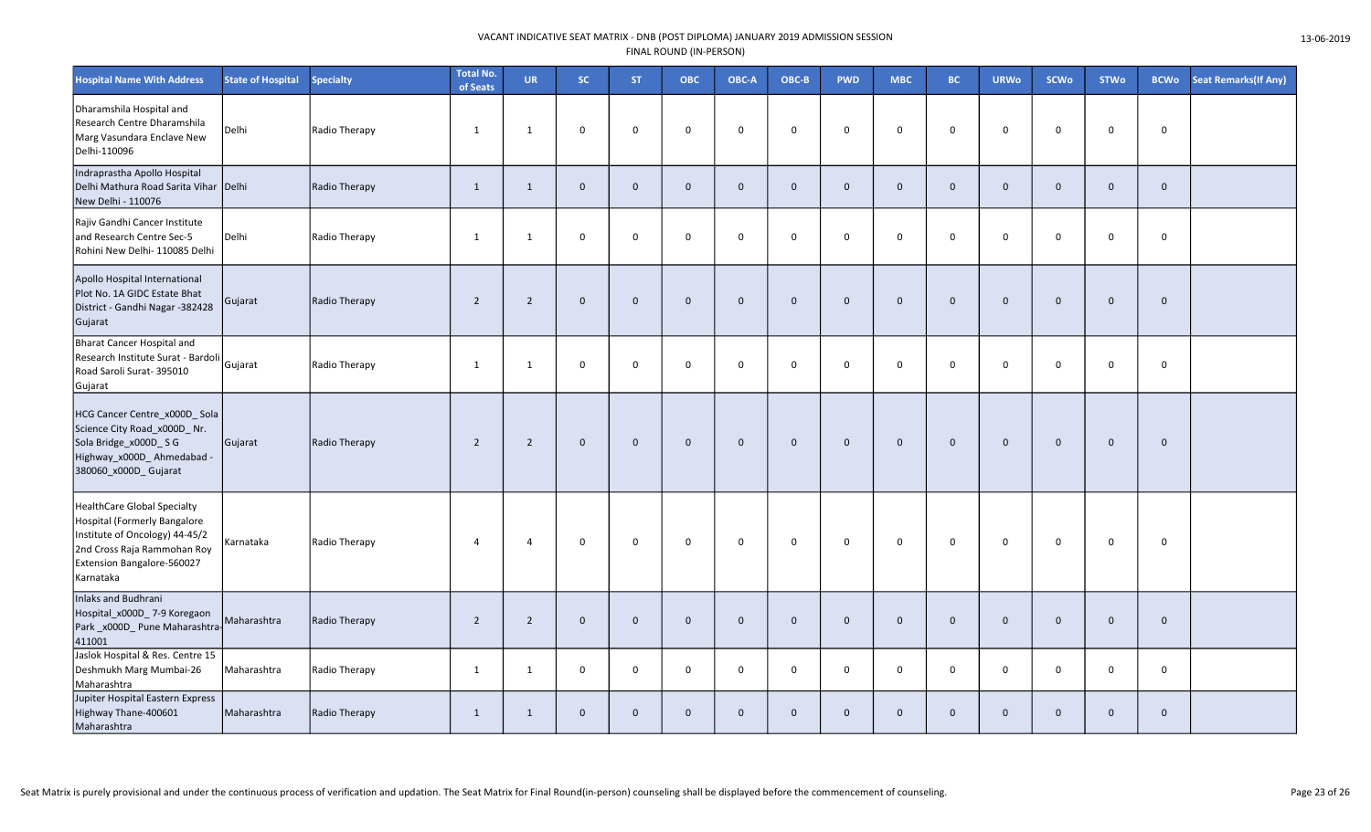| <b>Hospital Name With Address</b>                                                                                                                                       | <b>State of Hospital</b> | <b>Specialty</b>     | <b>Total No.</b><br>of Seats | <b>UR</b>      | SC.          | <b>ST</b>    | <b>OBC</b>     | OBC-A        | OBC-B        | <b>PWD</b>   | <b>MBC</b>   | BC.            | <b>URWo</b>  | <b>SCWo</b>  | <b>STWo</b>  | <b>BCWo</b>  | <b>Seat Remarks (If Any)</b> |
|-------------------------------------------------------------------------------------------------------------------------------------------------------------------------|--------------------------|----------------------|------------------------------|----------------|--------------|--------------|----------------|--------------|--------------|--------------|--------------|----------------|--------------|--------------|--------------|--------------|------------------------------|
| Dharamshila Hospital and<br>Research Centre Dharamshila<br>Marg Vasundara Enclave New<br>Delhi-110096                                                                   | Delhi                    | Radio Therapy        | $\mathbf{1}$                 | 1              | $\mathbf 0$  | $\mathbf 0$  | $\mathbf 0$    | $\mathbf 0$  | $\mathbf 0$  | $\mathbf 0$  | $\mathbf 0$  | $\mathbf 0$    | $\mathbf 0$  | $\mathbf 0$  | $\mathbf 0$  | $\mathbf 0$  |                              |
| Indraprastha Apollo Hospital<br>Delhi Mathura Road Sarita Vihar Delhi<br>New Delhi - 110076                                                                             |                          | Radio Therapy        | $\mathbf{1}$                 | $\mathbf{1}$   | $\mathbf{0}$ | $\mathbf 0$  | $\mathbf{0}$   | $\mathbf{0}$ | $\mathbf{0}$ | $\mathbf{0}$ | $\mathbf{0}$ | $\overline{0}$ | $\mathbf{0}$ | $\mathbf 0$  | $\mathbf{0}$ | $\mathbf{0}$ |                              |
| Rajiv Gandhi Cancer Institute<br>and Research Centre Sec-5<br>Rohini New Delhi- 110085 Delhi                                                                            | Delhi                    | Radio Therapy        | 1                            | 1              | $\mathbf 0$  | $\mathbf 0$  | $\mathbf 0$    | $\mathbf 0$  | $\mathbf 0$  | $\mathbf 0$  | $\mathbf 0$  | $\overline{0}$ | $\Omega$     | $\mathbf 0$  | $\mathbf 0$  | $\mathsf 0$  |                              |
| Apollo Hospital International<br>Plot No. 1A GIDC Estate Bhat<br>District - Gandhi Nagar -382428<br>Gujarat                                                             | Gujarat                  | Radio Therapy        | $\overline{2}$               | $\overline{2}$ | $\mathbf 0$  | $\mathbf{0}$ | $\mathbf{0}$   | $\mathbf{0}$ | $\mathbf{0}$ | $\mathbf{0}$ | $\mathbf{0}$ | $\overline{0}$ | $\mathbf{0}$ | $\mathbf{0}$ | $\Omega$     | $\mathbf{0}$ |                              |
| Bharat Cancer Hospital and<br>Research Institute Surat - Bardoli<br>Road Saroli Surat- 395010<br>Gujarat                                                                | Gujarat                  | Radio Therapy        | $\mathbf{1}$                 | 1              | $\mathbf 0$  | $\mathbf 0$  | $\mathbf 0$    | $\Omega$     | $\mathbf 0$  | $\mathbf 0$  | 0            | $\overline{0}$ | $\mathbf 0$  | $\mathbf 0$  | $\mathbf 0$  | $\mathbf 0$  |                              |
| HCG Cancer Centre_x000D_Sola<br>Science City Road_x000D_ Nr.<br>Sola Bridge_x000D_SG<br>Highway_x000D_Ahmedabad -<br>380060_x000D_Gujarat                               | Gujarat                  | Radio Therapy        | $\overline{2}$               | $\overline{2}$ | $\mathbf 0$  | $\mathbf 0$  | $\overline{0}$ | $\mathbf 0$  | $\mathbf 0$  | $\mathbf 0$  | $\mathbf{0}$ | $\overline{0}$ | $\mathbf 0$  | $\mathbf 0$  | $\mathbf 0$  | $\mathbf 0$  |                              |
| HealthCare Global Specialty<br>Hospital (Formerly Bangalore<br>Institute of Oncology) 44-45/2<br>2nd Cross Raja Rammohan Roy<br>Extension Bangalore-560027<br>Karnataka | Karnataka                | Radio Therapy        | 4                            | $\overline{4}$ | $\mathbf 0$  | $\mathbf 0$  | $\Omega$       | $\mathbf 0$  | $\mathbf 0$  | $\mathbf 0$  | $\mathbf 0$  | $\mathbf 0$    | $\mathbf 0$  | $\mathbf 0$  | $\Omega$     | $\mathbf 0$  |                              |
| Inlaks and Budhrani<br>Hospital_x000D_7-9 Koregaon<br>Park_x000D_Pune Maharashtra<br>411001                                                                             | Maharashtra              | Radio Therapy        | $\overline{2}$               | $\overline{2}$ | $\mathbf 0$  | $\mathbf 0$  | $\mathbf 0$    | $\mathbf 0$  | $\mathbf 0$  | $\mathbf 0$  | $\mathbf{0}$ | $\overline{0}$ | $\mathbf 0$  | $\mathbf 0$  | $\mathbf 0$  | $\mathbf 0$  |                              |
| Jaslok Hospital & Res. Centre 15<br>Deshmukh Marg Mumbai-26<br>Maharashtra                                                                                              | Maharashtra              | Radio Therapy        | $\mathbf{1}$                 | 1              | $\mathbf{0}$ | $\mathbf 0$  | $\Omega$       | $\mathbf 0$  | $\mathbf 0$  | $\mathbf 0$  | $\mathbf 0$  | $\mathbf 0$    | $\mathbf 0$  | $\mathbf 0$  | $\mathbf 0$  | $\mathbf 0$  |                              |
| Jupiter Hospital Eastern Express<br>Highway Thane-400601<br>Maharashtra                                                                                                 | Maharashtra              | <b>Radio Therapy</b> | $\mathbf{1}$                 | $\mathbf{1}$   | $\mathbf 0$  | $\mathbf 0$  | $\mathbf{0}$   | $\mathbf{0}$ | $\mathbf 0$  | $\mathbf{0}$ | $\mathbf{0}$ | $\overline{0}$ | $\mathbf{0}$ | $\mathbf 0$  | $\mathbf{0}$ | $\mathbf 0$  |                              |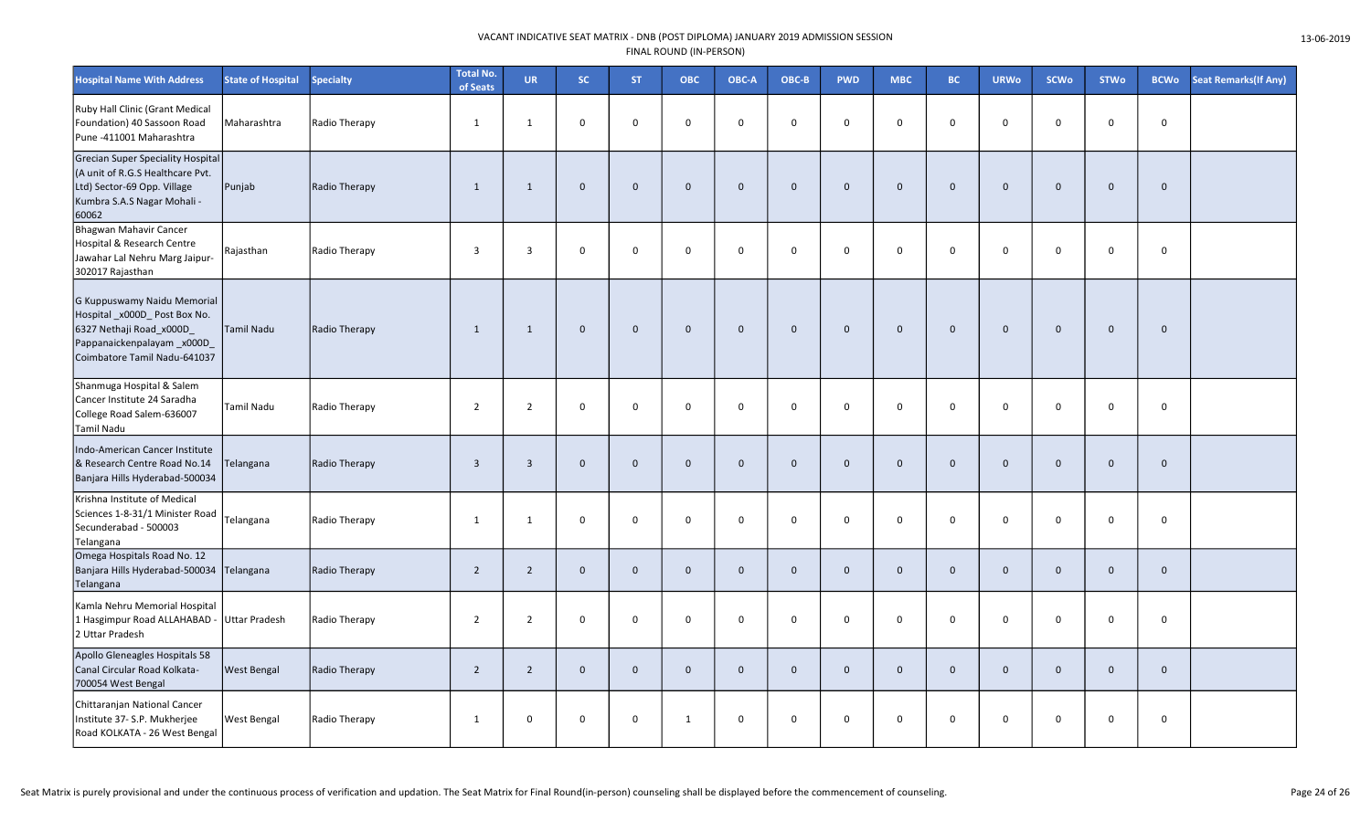| <b>Hospital Name With Address</b>                                                                                                                   | <b>State of Hospital</b> | <b>Specialty</b> | <b>Total No.</b><br>of Seats | <b>UR</b>      | SC.          | ST.          | <b>OBC</b>   | OBC-A        | OBC-B        | <b>PWD</b>   | <b>MBC</b>   | BC.            | <b>URWo</b>  | <b>SCWo</b>  | <b>STWo</b>  | <b>BCWo</b>  | <b>Seat Remarks (If Any)</b> |
|-----------------------------------------------------------------------------------------------------------------------------------------------------|--------------------------|------------------|------------------------------|----------------|--------------|--------------|--------------|--------------|--------------|--------------|--------------|----------------|--------------|--------------|--------------|--------------|------------------------------|
| Ruby Hall Clinic (Grant Medical<br>Foundation) 40 Sassoon Road<br>Pune -411001 Maharashtra                                                          | Maharashtra              | Radio Therapy    | 1                            | $\mathbf{1}$   | $\mathbf 0$  | $\Omega$     | $\mathbf 0$  | $\mathbf 0$  | $\mathbf 0$  | $\mathbf 0$  | $\mathbf 0$  | $\Omega$       | $\Omega$     | $\mathbf 0$  | $\mathbf 0$  | 0            |                              |
| <b>Grecian Super Speciality Hospital</b><br>(A unit of R.G.S Healthcare Pvt.<br>Ltd) Sector-69 Opp. Village<br>Kumbra S.A.S Nagar Mohali -<br>60062 | Punjab                   | Radio Therapy    | 1                            | $\mathbf{1}$   | $\mathbf 0$  | $\mathbf{0}$ | $\mathbf 0$  | $\mathbf 0$  | $\mathbf 0$  | $\mathbf{0}$ | $\mathbf 0$  | $\Omega$       | $\mathbf{0}$ | $\mathbf 0$  | $\mathbf{0}$ | $\mathbf{0}$ |                              |
| Bhagwan Mahavir Cancer<br>Hospital & Research Centre<br>Jawahar Lal Nehru Marg Jaipur-<br>302017 Rajasthan                                          | Rajasthan                | Radio Therapy    | $\overline{\mathbf{3}}$      | $\overline{3}$ | $\mathbf 0$  | $\Omega$     | $\mathsf 0$  | $\mathbf 0$  | $\mathbf 0$  | $\mathbf 0$  | $\mathbf 0$  | $\mathbf 0$    | $\Omega$     | $\mathbf 0$  | 0            | 0            |                              |
| G Kuppuswamy Naidu Memorial<br>Hospital_x000D_Post Box No.<br>6327 Nethaji Road_x000D<br>Pappanaickenpalayam_x000D_<br>Coimbatore Tamil Nadu-641037 | Tamil Nadu               | Radio Therapy    | $\mathbf{1}$                 | $\mathbf{1}$   | $\mathbf 0$  | $\mathbf 0$  | $\mathbf 0$  | $\mathbf 0$  | $\mathbf 0$  | $\mathbf 0$  | $\mathbf 0$  | $\mathbf 0$    | $\mathbf 0$  | $\mathbf 0$  | $\mathbf 0$  | $\mathbf 0$  |                              |
| Shanmuga Hospital & Salem<br>Cancer Institute 24 Saradha<br>College Road Salem-636007<br><b>Tamil Nadu</b>                                          | Tamil Nadu               | Radio Therapy    | $\overline{2}$               | $\overline{2}$ | $\mathbf 0$  | $\mathbf 0$  | $\mathbf 0$  | $\mathbf 0$  | $\mathsf{O}$ | $\mathbf 0$  | $\mathsf 0$  | $\mathbf 0$    | $\mathbf 0$  | $\mathbf 0$  | 0            | 0            |                              |
| Indo-American Cancer Institute<br>& Research Centre Road No.14<br>Banjara Hills Hyderabad-500034                                                    | Telangana                | Radio Therapy    | $\overline{\mathbf{3}}$      | $\overline{3}$ | $\mathbf 0$  | $\mathbf{0}$ | $\mathbf 0$  | $\mathbf 0$  | $\mathbf 0$  | $\mathbf 0$  | $\mathbf 0$  | $\overline{0}$ | $\mathbf{0}$ | $\mathbf 0$  | $\mathbf 0$  | $\mathbf 0$  |                              |
| Krishna Institute of Medical<br>Sciences 1-8-31/1 Minister Road<br>Secunderabad - 500003<br>Telangana                                               | Telangana                | Radio Therapy    | 1                            | $\mathbf{1}$   | $\mathsf 0$  | $\mathsf 0$  | $\mathbf 0$  | $\mathbf 0$  | 0            | $\mathsf 0$  | $\mathsf 0$  | $\mathbf 0$    | 0            | $\mathbf 0$  | 0            | 0            |                              |
| Omega Hospitals Road No. 12<br>Banjara Hills Hyderabad-500034<br>Telangana                                                                          | Telangana                | Radio Therapy    | $\overline{2}$               | 2              | $\mathbf{0}$ | $\mathbf{0}$ | $\mathbf{0}$ | $\Omega$     | $\mathbf{0}$ | $\mathbf{0}$ | $\mathbf{0}$ | $\mathbf{0}$   | $\Omega$     | $\mathbf{0}$ | $\mathbf{0}$ | $\mathbf{0}$ |                              |
| Kamla Nehru Memorial Hospital<br>1 Hasgimpur Road ALLAHABAD -<br>2 Uttar Pradesh                                                                    | <b>Uttar Pradesh</b>     | Radio Therapy    | $\overline{2}$               | $\overline{2}$ | $\mathbf 0$  | $\mathbf 0$  | $\mathbf 0$  | $\mathbf 0$  | 0            | $\mathbf 0$  | $\mathbf 0$  | $\mathbf 0$    | $\mathbf 0$  | $\mathbf 0$  | 0            | $\mathsf{O}$ |                              |
| Apollo Gleneagles Hospitals 58<br>Canal Circular Road Kolkata-<br>700054 West Bengal                                                                | <b>West Bengal</b>       | Radio Therapy    | $\overline{2}$               | $\overline{2}$ | $\mathbf 0$  | $\mathbf{0}$ | $\mathbf{0}$ | $\mathbf{0}$ | $\mathbf{0}$ | $\mathbf 0$  | $\mathbf{0}$ | $\overline{0}$ | $\mathbf{0}$ | $\mathbf 0$  | $\mathbf{0}$ | $\mathbf 0$  |                              |
| Chittaranjan National Cancer<br>Institute 37- S.P. Mukherjee<br>Road KOLKATA - 26 West Bengal                                                       | West Bengal              | Radio Therapy    | 1                            | $\mathbf 0$    | $\mathsf 0$  | 0            | 1            | 0            | 0            | $\mathbf 0$  | $\mathbf 0$  | $\mathbf 0$    | 0            | $\mathbf 0$  | 0            | 0            |                              |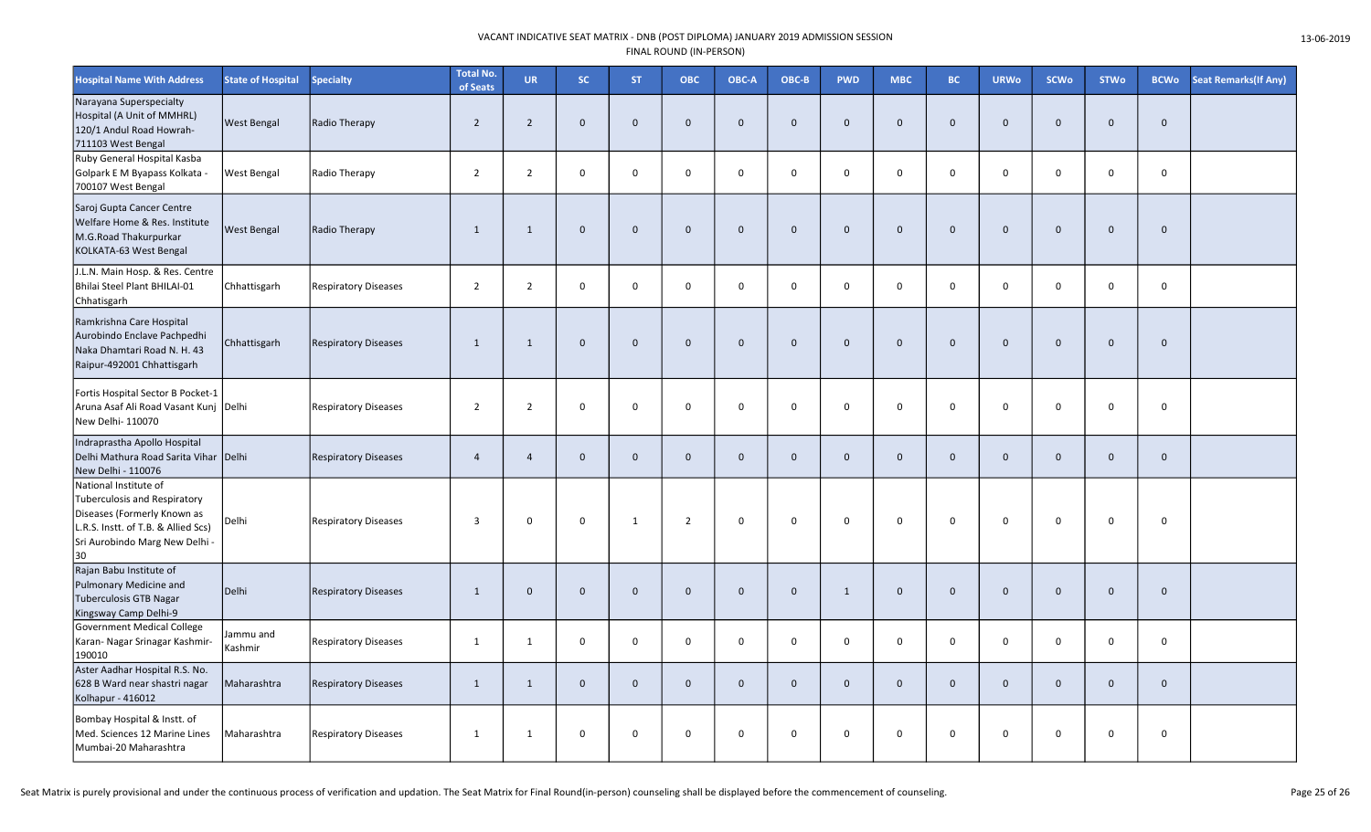| <b>Hospital Name With Address</b>                                                                                                                                          | <b>State of Hospital</b> | <b>Specialty</b>            | <b>Total No.</b><br>of Seats | <b>UR</b>      | SC.            | <b>ST</b>    | <b>OBC</b>     | OBC-A        | OBC-B        | <b>PWD</b>   | <b>MBC</b>   | BC.            | <b>URWo</b>  | <b>SCWo</b>  | <b>STWo</b>  | <b>BCWo</b>  | <b>Seat Remarks (If Any)</b> |
|----------------------------------------------------------------------------------------------------------------------------------------------------------------------------|--------------------------|-----------------------------|------------------------------|----------------|----------------|--------------|----------------|--------------|--------------|--------------|--------------|----------------|--------------|--------------|--------------|--------------|------------------------------|
| Narayana Superspecialty<br>Hospital (A Unit of MMHRL)<br>120/1 Andul Road Howrah-<br>711103 West Bengal                                                                    | <b>West Bengal</b>       | Radio Therapy               | $\overline{2}$               | $\overline{2}$ | $\mathbf 0$    | $\mathbf{0}$ | $\mathbf{0}$   | $\mathbf{0}$ | $\mathbf 0$  | $\mathbf{0}$ | $\mathbf 0$  | $\overline{0}$ | $\mathbf 0$  | $\mathbf 0$  | $\mathbf{0}$ | $\mathbf 0$  |                              |
| Ruby General Hospital Kasba<br>Golpark E M Byapass Kolkata<br>700107 West Bengal                                                                                           | West Bengal              | Radio Therapy               | $\overline{2}$               | $\overline{2}$ | $\mathbf 0$    | $\mathsf{O}$ | $\mathbf 0$    | $\mathbf 0$  | $\mathsf{O}$ | 0            | 0            | $\mathbf 0$    | $\mathbf 0$  | $\mathsf 0$  | 0            | $\mathsf{o}$ |                              |
| Saroj Gupta Cancer Centre<br>Welfare Home & Res. Institute<br>M.G.Road Thakurpurkar<br>KOLKATA-63 West Bengal                                                              | <b>West Bengal</b>       | Radio Therapy               | $\mathbf{1}$                 | $\mathbf{1}$   | $\overline{0}$ | $\mathbf 0$  | $\mathbf{0}$   | $\mathbf{0}$ | $\mathbf 0$  | $\mathbf 0$  | $\mathbf 0$  | $\overline{0}$ | $\mathbf 0$  | $\mathbf 0$  | $\mathbf{0}$ | $\mathbf 0$  |                              |
| J.L.N. Main Hosp. & Res. Centre<br>Bhilai Steel Plant BHILAI-01<br>Chhatisgarh                                                                                             | Chhattisgarh             | <b>Respiratory Diseases</b> | $\overline{2}$               | $\overline{2}$ | $\mathsf 0$    | $\mathsf 0$  | $\Omega$       | $\Omega$     | $\mathbf 0$  | $\mathsf 0$  | 0            | $\mathsf 0$    | 0            | $\mathsf 0$  | $\mathbf 0$  | $\mathbf 0$  |                              |
| Ramkrishna Care Hospital<br>Aurobindo Enclave Pachpedhi<br>Naka Dhamtari Road N. H. 43<br>Raipur-492001 Chhattisgarh                                                       | Chhattisgarh             | <b>Respiratory Diseases</b> | $\mathbf{1}$                 | $\mathbf{1}$   | $\overline{0}$ | $\mathbf 0$  | $\Omega$       | $\mathbf{0}$ | $\mathbf 0$  | $\mathbf 0$  | $\mathbf{0}$ | $\overline{0}$ | $\mathbf{0}$ | $\mathbf{0}$ | $\mathbf{0}$ | $\mathbf 0$  |                              |
| Fortis Hospital Sector B Pocket-1<br>Aruna Asaf Ali Road Vasant Kunj<br>New Delhi- 110070                                                                                  | Delhi                    | <b>Respiratory Diseases</b> | $\overline{2}$               | $\overline{2}$ | $\mathbf 0$    | $\mathbf 0$  | $\Omega$       | $\mathbf 0$  | $\mathsf{O}$ | 0            | 0            | $\overline{0}$ | $\Omega$     | $\mathbf 0$  | $\mathbf 0$  | $\mathsf{o}$ |                              |
| Indraprastha Apollo Hospital<br>Delhi Mathura Road Sarita Vihar Delhi<br>New Delhi - 110076                                                                                |                          | <b>Respiratory Diseases</b> | $\overline{4}$               | $\overline{a}$ | $\mathbf 0$    | $\mathbf{0}$ | $\overline{0}$ | $\mathbf{0}$ | $\mathbf 0$  | $\mathbf 0$  | $\mathbf{0}$ | $\mathbf 0$    | $\mathbf{0}$ | $\mathbf 0$  | $\mathbf{0}$ | $\mathbf 0$  |                              |
| National Institute of<br><b>Tuberculosis and Respiratory</b><br>Diseases (Formerly Known as<br>L.R.S. Instt. of T.B. & Allied Scs)<br>Sri Aurobindo Marg New Delhi -<br>30 | Delhi                    | <b>Respiratory Diseases</b> | $\overline{3}$               | 0              | $\mathbf 0$    | 1            | $\overline{2}$ | $\mathbf 0$  | $\mathsf{O}$ | $\mathbf 0$  | $\mathbf 0$  | $\mathbf 0$    | $\mathbf 0$  | $\mathbf 0$  | $\mathbf 0$  | $\mathsf{o}$ |                              |
| Rajan Babu Institute of<br>Pulmonary Medicine and<br>Tuberculosis GTB Nagar<br>Kingsway Camp Delhi-9                                                                       | Delhi                    | <b>Respiratory Diseases</b> | $\mathbf{1}$                 | $\mathbf 0$    | $\overline{0}$ | $\mathbf 0$  | $\Omega$       | $\Omega$     | $\mathbf 0$  | 1            | $\mathbf{0}$ | $\overline{0}$ | $\Omega$     | $\mathbf 0$  | $\Omega$     | $\mathbf 0$  |                              |
| <b>Government Medical College</b><br>Karan- Nagar Srinagar Kashmir-<br>190010                                                                                              | ammu and<br>Kashmir      | <b>Respiratory Diseases</b> | $\mathbf{1}$                 | 1              | $\mathbf 0$    | $\mathbf 0$  | $\mathbf 0$    | $\mathbf 0$  | $\mathbf 0$  | $\mathbf 0$  | 0            | $\mathbf{0}$   | 0            | $\mathbf 0$  | $\mathbf 0$  | $\mathbf 0$  |                              |
| Aster Aadhar Hospital R.S. No.<br>628 B Ward near shastri nagar<br>Kolhapur - 416012                                                                                       | Maharashtra              | <b>Respiratory Diseases</b> | $\mathbf{1}$                 | $\mathbf{1}$   | $\mathbf{0}$   | $\mathbf{0}$ | $\mathbf{0}$   | $\mathbf{0}$ | $\mathbf 0$  | $\mathbf{0}$ | $\mathbf{0}$ | $\overline{0}$ | $\mathbf{0}$ | $\mathbf{0}$ | $\mathbf{0}$ | $\mathbf{0}$ |                              |
| Bombay Hospital & Instt. of<br>Med. Sciences 12 Marine Lines<br>Mumbai-20 Maharashtra                                                                                      | Maharashtra              | <b>Respiratory Diseases</b> | $\mathbf{1}$                 | $\mathbf{1}$   | $\mathbf 0$    | $\mathbf 0$  | $\mathbf 0$    | $\mathbf 0$  | 0            | 0            | $\mathbf 0$  | $\overline{0}$ | $\mathbf{0}$ | $\mathbf 0$  | $\Omega$     | $\mathbf 0$  |                              |